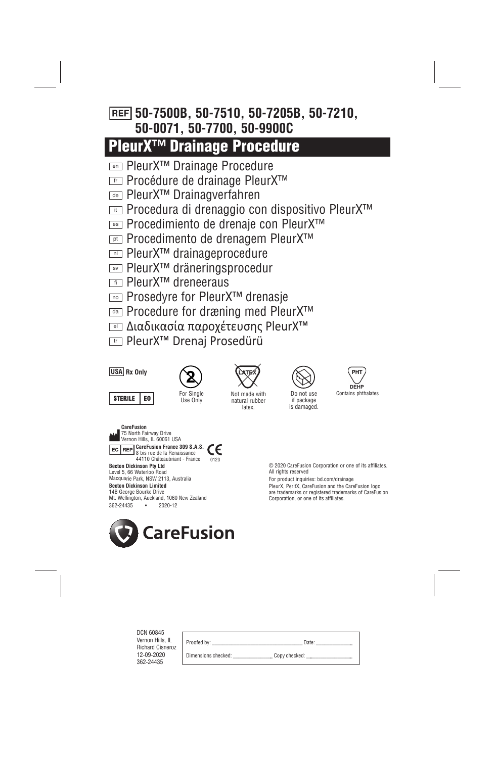# **50-7500B, 50-7510, 50-7205B, 50-7210, 50-0071, 50-7700, 50-9900C**

# **PleurX™ Drainage Procedure**

- PleurX™ Drainage Procedure en
- Procédure de drainage PleurX™ fr
- PleurX™ Drainagverfahren de
- Procedura di drenaggio con dispositivo PleurX™ it
- Procedimiento de drenaje con PleurX™ es
- <u>**pt</u> Procedimento de drenagem PleurX™**</u>
- PleurX™ drainageprocedure nl
- PleurX™ dräneringsprocedur sv
- PleurX™ dreneeraus fi
- <u>ल्</u>ञ Prosedyre for PleurX™ drenasje
- Procedure for dræning med PleurX™ da
- Διαδικασία παροχέτευσης PleurX™ el
- <del>™</del> PleurX™ Drenaj Prosedürü



362-24435 • 2020-12



Do not use if package is damaged.



© 2020 CareFusion Corporation or one of its affiliates. All rights reserved

For product inquiries: bd.com/drainage

PleurX, PeritX, CareFusion and the CareFusion logo are trademarks or registered trademarks of CareFusion Corporation, or one of its affiliates.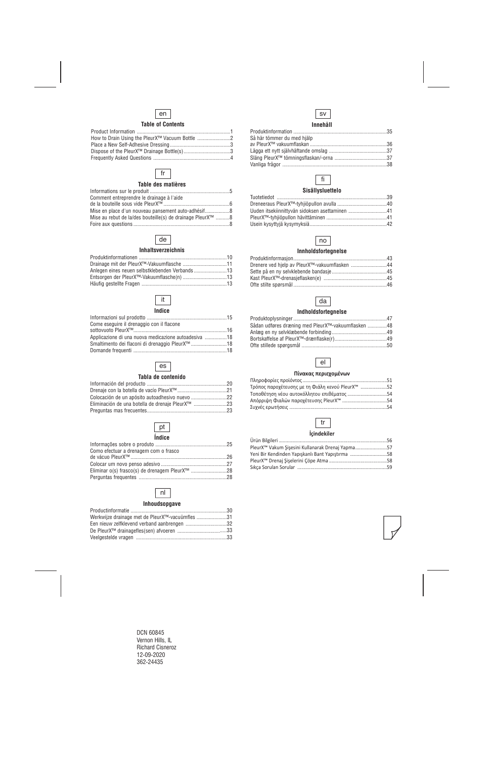## en

#### **Table of Contents**

| How to Drain Using the PleurX™ Vacuum Bottle 2 |  |
|------------------------------------------------|--|
|                                                |  |
|                                                |  |
|                                                |  |

## fr

#### **Table des matières**

| Comment entreprendre le drainage à l'aide                  |  |
|------------------------------------------------------------|--|
|                                                            |  |
| Mise en place d'un nouveau pansement auto-adhésif8         |  |
| Mise au rebut de la/des bouteille(s) de drainage PleurX™ 8 |  |
|                                                            |  |

## de

#### **Inhaltsverzeichnis**

| Anlegen eines neuen selbstklebenden Verbands13 |  |
|------------------------------------------------|--|
|                                                |  |
|                                                |  |

## it

#### **Indice**

| Applicazione di una nuova medicazione autoadesiva 18        |
|-------------------------------------------------------------|
| Smaltimento dei flaconi di drenaggio PleurX <sup>™</sup> 18 |
|                                                             |
|                                                             |



#### **Tabla de contenido**

| Eliminación de una botella de drenaje PleurX™ 23 |  |
|--------------------------------------------------|--|
|                                                  |  |



| Como efectuar a drenagem com o frasco |  |
|---------------------------------------|--|
|                                       |  |
|                                       |  |
|                                       |  |
|                                       |  |

## nl

#### **Inhoudsopgave**

| Werkwijze drainage met de PleurX <sup>™</sup> -vacuümfles 31 |  |
|--------------------------------------------------------------|--|
| Een nieuw zelfklevend verband aanbrengen 32                  |  |
|                                                              |  |
|                                                              |  |



#### **Innehåll**

## fi

#### **Sisällysluettelo**

| Uuden itsekiinnittyvän sidoksen asettaminen 41 |  |
|------------------------------------------------|--|
|                                                |  |
|                                                |  |

## no

#### **Innholdsfortegnelse**

| Drenere ved hjelp av PleurX™-vakuumflasken 44 |  |
|-----------------------------------------------|--|
|                                               |  |
|                                               |  |
|                                               |  |

## da

#### **Indholdsfortegnelse**

| Sådan udføres dræning med PleurX <sup>™</sup> -vakuumflasken 48 |  |
|-----------------------------------------------------------------|--|
|                                                                 |  |
|                                                                 |  |
|                                                                 |  |

## el

#### **Πίνακας περιεχομένων**

| Τρόπος παροχέτευσης με τη Φιάλη κενού PleurX™ 52 |  |
|--------------------------------------------------|--|
| Τοποθέτηση νέου αυτοκόλλητου επιθέματος 54       |  |
| Απόρριψη Φιαλών παροχέτευσης PleurX™ 54          |  |
|                                                  |  |

## tr

#### **İçindekiler**

| PleurX <sup>™</sup> Vakum Şişesini Kullanarak Drenaj Yapma57 |  |
|--------------------------------------------------------------|--|
| Yeni Bir Kendinden Yapışkanlı Bant Yapıştırma 58             |  |
|                                                              |  |
|                                                              |  |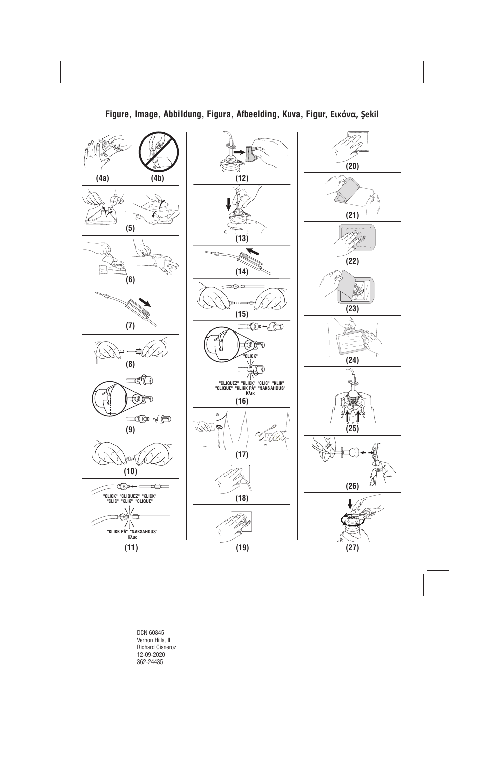## **Figure, Image, Abbildung, Figura, Afbeelding, Kuva, Figur, Εικόνα, Şekil**

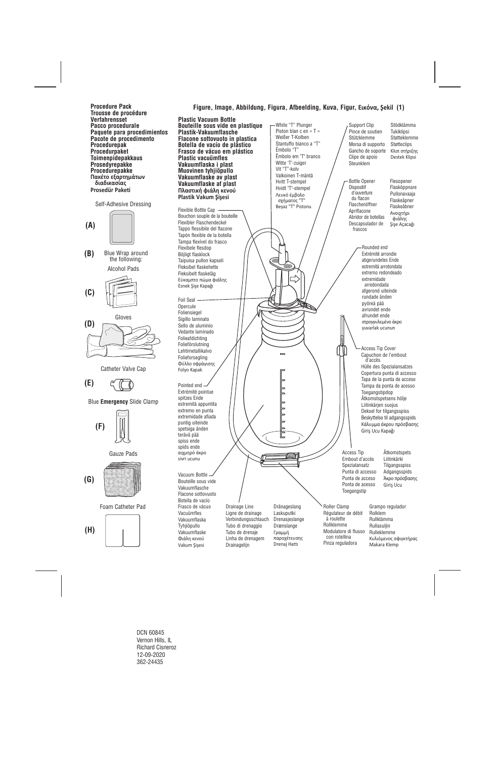**Procedure Pack Trousse de procédure Verfahrensset Pacco procedurale Paquete para procedimientos Pacote de procedimento Procedurepak Procedurpaket Toimenpidepakkaus Prosedyrepakke Procedurepakke Πακέτο εξαρτημάτων διαδικασίας Prosedür Paketi** 





Blue Wrap around the following: **(B)**





Gloves



Catheter Valve Cap



Blue **Emergency** Slide Clamp







Foam Catheter Pad



**Plastic Vacuum Bottle Bouteille sous vide en plastique Plastik-Vakuumflasche Flacone sottovuoto in plastica Botella de vacío de plástico Frasco de vácuo em plástico Plastic vacuümfles Vakuumflaska i plast Muovinen tyhjiöpullo Vakuumflaske av plast Vakuumflaske af plast Πλαστική φιάλη κενού Plastik Vakum Şişesi** 

Flexible Bottle Cap -Bouchon souple de la bouteille Flexibler Flaschendeckel Tappo flessibile del flacone Tapón flexible de la botella Tampa flexível do frasco Flexibele flesdop Böjligt flasklock Taipuisa pullon kapseli Fleksibel flaskehette Fleksibelt flaskelåg Εύκαμπτο πώμα φιάλης Esnek Şişe Kapağı

Foil Seal Opercule Foliensiegel Sigillo laminato Sello de aluminio Vedante laminado Folieafdichting Folieförslutning Lehtimetallikalvo Folieforsegling Φύλλο σφράγισης Folyo Kapak

Pointed end Extrémité pointue spitzes Ende estremità appuntita extremo en punta extremidade afiada puntig uiteinde spetsiga änden terävä pää spiss ende spids ende αιχμηρό άκρο sivri ucunu

Vacuum Bottle Bouteille sous vide Vakuumflasche Flacone sottovuoto Botella de vacío Frasco de vácuo Vacuümfles Vakuumflaska Tyhjiöpullo Vakuumflaske Φιάλη κενού Vakum Şişesi

Linha de drenagem Drainagelijn

παροχέτευσης Drenaj Hattı

Roller Clamp Régulateur de débit à roulette Rollklemme Modulatore di flusso con rotellina Pinza reguladora

Support Clip Pince de soutien Stützklemme Morsa di supporto Gancho de soporte Clipe de apoio Steunklem Stödklämma Tukiklipsi Støtteklemme Støtteclips Κλιπ στήριξης

Bottle Opener **Dispositif**  d'ouverture du flacon Flaschenöffner Apriflacone Abridor de botellas Descapsulador de frascos

**Figure, Image, Abbildung, Figura, Afbeelding, Kuva, Figur, Εικόνα, Şekil (1)**

White "T" Plunger Piston blan c en « T » Weißer T-Kolben Stantuffo bianco a "T"

Êmbolo em "T" branco Witte 'T'-zuiger Vit "T"-kolv Valkoinen T-mäntä Hvitt T-stempel Hvidt "T"-stempel Λευκό έμβολο σχήματος "T" Beyaz "T" Pistonu

Émbolo "T"

Destek Klipsi Flesopener Flasköppnare Pullonavaaja Flaskeåpner Flaskeåbner Ανοιχτήρι φιάλης

Şişe Açacağı

Rounded end Extrémité arrondie abgerundetes Ende estremità arrotondata extremo redondeado extremidade arredondada afgerond uiteinde rundade änden pyöreä pää avrundet ende afrundet ende στρογγυλεμένο άκρο yuvarlak ucunun

Access Tip Cover Capuchon de l'embout d'accès Hülle des Spezialansatzes Copertura punta di accesso Tapa de la punta de acceso Tampa da ponta de acesso Toegangstipdop Åtkomstspetsens hölje Liitinkärjen suojus Deksel for tilgangsspiss Beskyttelse til adgangsspids Κάλυμμα άκρου πρόσβασης Giriş Ucu Kapağı

Access Tip Embout d'accès Spezialansatz Punta di accesso Punta de acceso Ponta de acesso Toegangstip

Åtkomstspets Liitinkärki **Tilgangsspiss** Adgangsspids Άκρο πρόσβασης Giriş Ucu

Grampo regulador Rolklem Rullklämma Rullasuljin Rulleklemme Κυλιόμενος σφιγκτήρας Makara Klemp

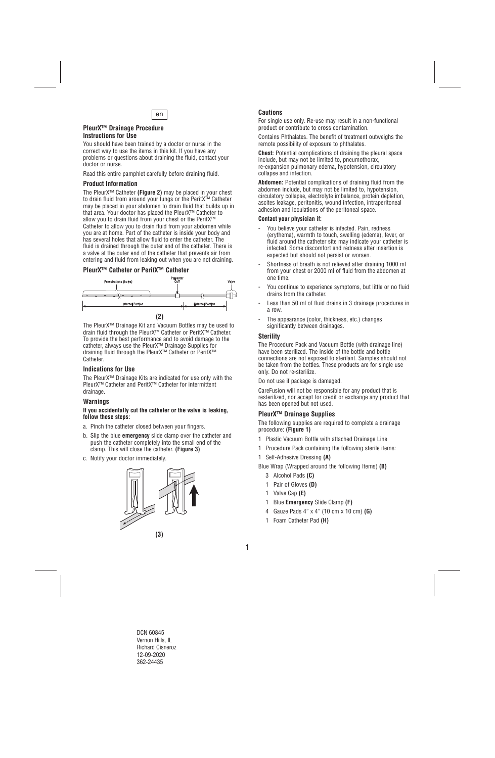

#### **PleurX™ Drainage Procedure Instructions for Use**

You should have been trained by a doctor or nurse in the correct way to use the items in this kit. If you have any problems or questions about draining the fluid, contact your doctor or nurse.

Read this entire pamphlet carefully before draining fluid.

## **Product Information**

The PleurX™ Catheter **(Figure 2)** may be placed in your chest to drain fluid from around your lungs or the PeritX™ Catheter may be placed in your abdomen to drain fluid that builds up in that area. Your doctor has placed the PleurX™ Catheter to allow you to drain fluid from your chest or the PeritX™ Catheter to allow you to drain fluid from your abdomen while you are at home. Part of the catheter is inside your body and has several holes that allow fluid to enter the catheter. The fluid is drained through the outer end of the catheter. There is a valve at the outer end of the catheter that prevents air from entering and fluid from leaking out when you are not draining.

## **PleurX™ Catheter or PeritX™ Catheter**



The PleurX™ Drainage Kit and Vacuum Bottles may be used to drain fluid through the PleurX™ Catheter or PeritX™ Catheter. To provide the best performance and to avoid damage to the catheter, always use the PleurX™ Drainage Supplies for draining fluid through the PleurX™ Catheter or PeritX™ Catheter.

#### **Indications for Use**

The PleurX™ Drainage Kits are indicated for use only with the PleurX™ Catheter and PeritX™ Catheter for intermittent drainage.

#### **Warnings**

#### **If you accidentally cut the catheter or the valve is leaking, follow these steps:**

- a. Pinch the catheter closed between your fingers.
- b. Slip the blue **emergency** slide clamp over the catheter and push the catheter completely into the small end of the clamp. This will close the catheter. **(Figure 3)**
- c. Notify your doctor immediately.



## **Cautions**

For single use only. Re-use may result in a non-functional product or contribute to cross contamination.

Contains Phthalates. The benefit of treatment outweighs the remote possibility of exposure to phthalates.

**Chest:** Potential complications of draining the pleural space include, but may not be limited to, pneumothorax, re-expansion pulmonary edema, hypotension, circulatory collapse and infection.

**Abdomen:** Potential complications of draining fluid from the abdomen include, but may not be limited to, hypotension, circulatory collapse, electrolyte imbalance, protein depletion, ascites leakage, peritonitis, wound infection, intraperitoneal adhesion and loculations of the peritoneal space.

#### **Contact your physician if:**

- You believe vour catheter is infected. Pain, redness (erythema), warmth to touch, swelling (edema), fever, or fluid around the catheter site may indicate your catheter is infected. Some discomfort and redness after insertion is expected but should not persist or worsen.
- Shortness of breath is not relieved after draining 1000 ml from your chest or 2000 ml of fluid from the abdomen at one time.
- You continue to experience symptoms, but little or no fluid drains from the catheter.
- Less than 50 ml of fluid drains in 3 drainage procedures in a row.
- The appearance (color, thickness, etc.) changes significantly between drainages.

## **Sterility**

The Procedure Pack and Vacuum Bottle (with drainage line) have been sterilized. The inside of the bottle and bottle connections are not exposed to sterilant. Samples should not be taken from the bottles. These products are for single use only. Do not re-sterilize.

Do not use if package is damaged.

CareFusion will not be responsible for any product that is resterilized, nor accept for credit or exchange any product that has been opened but not used.

## **PleurX™ Drainage Supplies**

The following supplies are required to complete a drainage procedure: **(Figure 1)**

- 1 Plastic Vacuum Bottle with attached Drainage Line
- 1 Procedure Pack containing the following sterile items:
- 1 Self-Adhesive Dressing **(A)**

Blue Wrap (Wrapped around the following Items) **(B)** 

- 3 Alcohol Pads **(C)**
- 1 Pair of Gloves **(D)**
- 1 Valve Cap **(E)**
- 1 Blue **Emergency** Slide Clamp **(F)**
- 4 Gauze Pads 4" x 4" (10 cm x 10 cm) **(G)**
- 1 Foam Catheter Pad **(H)**

1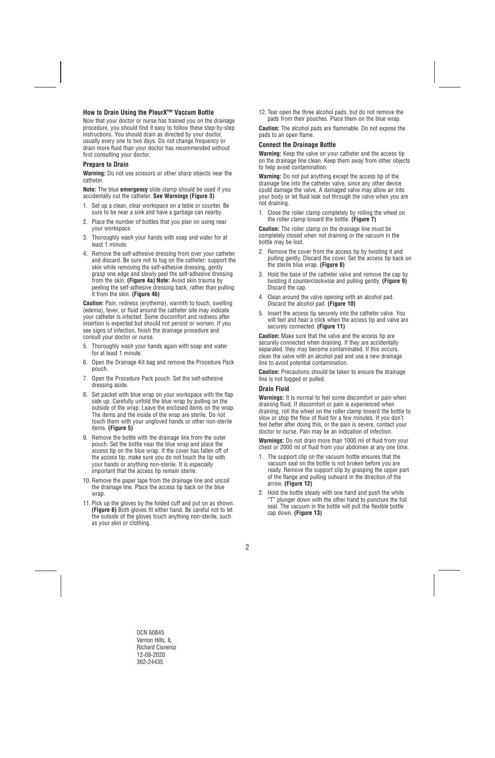## **How to Drain Using the PleurX™ Vaccum Bottle**

Now that your doctor or nurse has trained you on the drainage procedure, you should find it easy to follow these step-by-step instructions. You should drain as directed by your doctor, usually every one to two days. Do not change frequency or drain more fluid than your doctor has recommended without first consulting your doctor.

### **Prepare to Drain**

**Warning:** Do not use scissors or other sharp objects near the catheter.

**Note:** The blue **emergency** slide clamp should be used if you accidentally cut the catheter. **See Warnings (Figure 3)** 

- 1. Set up a clean, clear workspace on a table or counter. Be sure to be near a sink and have a garbage can nearby.
- 2. Place the number of bottles that you plan on using near your workspace.
- 3. Thoroughly wash your hands with soap and water for at least 1 minute.
- 4. Remove the self-adhesive dressing from over your catheter and discard. Be sure not to tug on the catheter: support the skin while removing the self-adhesive dressing, gently grasp one edge and slowly peel the self-adhesive dressing from the skin. **(Figure 4a) Note:** Avoid skin trauma by peeling the self-adhesive dressing back, rather than pulling it from the skin. **(Figure 4b)**

**Caution:** Pain, redness (erythema), warmth to touch, swelling (edema), fever, or fluid around the catheter site may indicate your catheter is infected. Some discomfort and redness after insertion is expected but should not persist or worsen. If you see signs of infection, finish the drainage procedure and consult your doctor or nurse.

- 5. Thoroughly wash your hands again with soap and water for at least 1 minute.
- 6. Open the Drainage Kit bag and remove the Procedure Pack pouch.
- 7. Open the Procedure Pack pouch. Set the self-adhesive dressing aside.
- 8. Set packet with blue wrap on your workspace with the flap side up. Carefully unfold the blue wrap by pulling on the outside of the wrap. Leave the enclosed items on the wrap. The items and the inside of the wrap are sterile. Do not touch them with your ungloved hands or other non-sterile items. **(Figure 5)**
- 9. Remove the bottle with the drainage line from the outer pouch. Set the bottle near the blue wrap and place the access tip on the blue wrap. If the cover has fallen off of the access tip, make sure you do not touch the tip with your hands or anything non-sterile. It is especially important that the access tip remain sterile.
- 10. Remove the paper tape from the drainage line and uncoil the drainage line. Place the access tip back on the blue wrap.
- 11. Pick up the gloves by the folded cuff and put on as shown. **(Figure 6)** Both gloves fit either hand. Be careful not to let the outside of the gloves touch anything non-sterile, such as your skin or clothing.

12. Tear open the three alcohol pads, but do not remove the pads from their pouches. Place them on the blue wrap.

**Caution:** The alcohol pads are flammable. Do not expose the pads to an open flame.

#### **Connect the Drainage Bottle**

**Warning:** Keep the valve on your catheter and the access tip on the drainage line clean. Keep them away from other objects to help avoid contamination.

**Warning:** Do not put anything except the access tip of the drainage line into the catheter valve, since any other device could damage the valve. A damaged valve may allow air into your body or let fluid leak out through the valve when you are not draining.

1. Close the roller clamp completely by rolling the wheel on the roller clamp toward the bottle. **(Figure 7)** 

**Caution:** The roller clamp on the drainage line must be completely closed when not draining or the vacuum in the bottle may be lost.

- 2. Remove the cover from the access tip by twisting it and pulling gently. Discard the cover. Set the access tip back on the sterile blue wrap. **(Figure 8)**
- 3. Hold the base of the catheter valve and remove the cap by twisting it counterclockwise and pulling gently. **(Figure 9)** Discard the cap.
- 4. Clean around the valve opening with an alcohol pad. Discard the alcohol pad. **(Figure 10)**
- 5. Insert the access tip securely into the catheter valve. You will feel and hear a click when the access tip and valve are securely connected. **(Figure 11)**

**Caution:** Make sure that the valve and the access tip are securely connected when draining. If they are accidentally separated, they may become contaminated. If this occurs, clean the valve with an alcohol pad and use a new drainage line to avoid potential contamination.

**Caution:** Precautions should be taken to ensure the drainage line is not tugged or pulled.

## **Drain Fluid**

**Warnings:** It is normal to feel some discomfort or pain when draining fluid. If discomfort or pain is experienced when draining, roll the wheel on the roller clamp toward the bottle to slow or stop the flow of fluid for a few minutes. If you don't feel better after doing this, or the pain is severe, contact your doctor or nurse. Pain may be an indication of infection.

**Warnings:** Do not drain more than 1000 ml of fluid from your chest or 2000 ml of fluid from your abdomen at any one time.

- 1. The support clip on the vacuum bottle ensures that the vacuum seal on the bottle is not broken before you are ready. Remove the support clip by grasping the upper part of the flange and pulling outward in the direction of the arrow. **(Figure 12)**
- 2. Hold the bottle steady with one hand and push the white "T" plunger down with the other hand to puncture the foil seal. The vacuum in the bottle will pull the flexible bottle cap down. **(Figure 13)**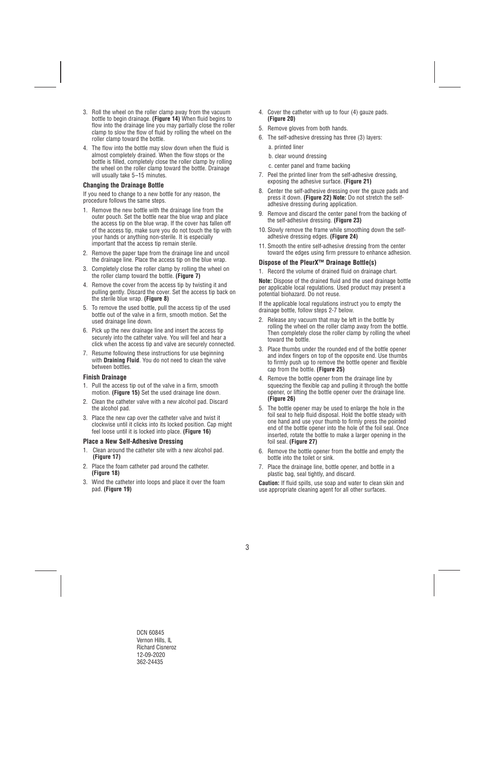- 3. Roll the wheel on the roller clamp away from the vacuum bottle to begin drainage. **(Figure 14)** When fluid begins to flow into the drainage line you may partially close the roller clamp to slow the flow of fluid by rolling the wheel on the roller clamp toward the bottle.
- 4. The flow into the bottle may slow down when the fluid is almost completely drained. When the flow stops or the bottle is filled, completely close the roller clamp by rolling the wheel on the roller clamp toward the bottle. Drainage will usually take 5–15 minutes.

### **Changing the Drainage Bottle**

If you need to change to a new bottle for any reason, the procedure follows the same steps.

- 1. Remove the new bottle with the drainage line from the outer pouch. Set the bottle near the blue wrap and place the access tip on the blue wrap. If the cover has fallen off of the access tip, make sure you do not touch the tip with your hands or anything non-sterile. It is especially important that the access tip remain sterile.
- 2. Remove the paper tape from the drainage line and uncoil the drainage line. Place the access tip on the blue wrap.
- 3. Completely close the roller clamp by rolling the wheel on the roller clamp toward the bottle. **(Figure 7)**
- 4. Remove the cover from the access tip by twisting it and pulling gently. Discard the cover. Set the access tip back on the sterile blue wrap. **(Figure 8)**
- 5. To remove the used bottle, pull the access tip of the used bottle out of the valve in a firm, smooth motion. Set the used drainage line down.
- 6. Pick up the new drainage line and insert the access tip securely into the catheter valve. You will feel and hear a click when the access tip and valve are securely connected.
- 7. Resume following these instructions for use beginning with **Draining Fluid**. You do not need to clean the valve between bottles.

#### **Finish Drainage**

- 1. Pull the access tip out of the valve in a firm, smooth motion. **(Figure 15)** Set the used drainage line down.
- 2. Clean the catheter valve with a new alcohol pad. Discard the alcohol pad.
- 3. Place the new cap over the catheter valve and twist it clockwise until it clicks into its locked position. Cap might feel loose until it is locked into place. **(Figure 16)**

#### **Place a New Self-Adhesive Dressing**

- 1. Clean around the catheter site with a new alcohol pad. **(Figure 17)**
- 2. Place the foam catheter pad around the catheter. **(Figure 18)**
- 3. Wind the catheter into loops and place it over the foam pad. **(Figure 19)**
- 4. Cover the catheter with up to four (4) gauze pads. **(Figure 20)**
- 5. Remove gloves from both hands.
- 6. The self-adhesive dressing has three (3) layers:
	- a. printed liner
	- b. clear wound dressing
	- c. center panel and frame backing
- 7. Peel the printed liner from the self-adhesive dressing, exposing the adhesive surface. **(Figure 21)**
- 8. Center the self-adhesive dressing over the gauze pads and press it down. **(Figure 22) Note:** Do not stretch the selfadhesive dressing during application.
- 9. Remove and discard the center panel from the backing of the self-adhesive dressing. **(Figure 23)**
- 10. Slowly remove the frame while smoothing down the selfadhesive dressing edges. **(Figure 24)**
- 11. Smooth the entire self-adhesive dressing from the center toward the edges using firm pressure to enhance adhesion.

## **Dispose of the PleurX™ Drainage Bottle(s)**

1. Record the volume of drained fluid on drainage chart.

**Note:** Dispose of the drained fluid and the used drainage bottle per applicable local regulations. Used product may present a potential biohazard. Do not reuse.

If the applicable local regulations instruct you to empty the drainage bottle, follow steps 2-7 below.

- 2. Release any vacuum that may be left in the bottle by rolling the wheel on the roller clamp away from the bottle. Then completely close the roller clamp by rolling the wheel toward the bottle.
- 3. Place thumbs under the rounded end of the bottle opener and index fingers on top of the opposite end. Use thumbs to firmly push up to remove the bottle opener and flexible cap from the bottle. **(Figure 25)**
- 4. Remove the bottle opener from the drainage line by squeezing the flexible cap and pulling it through the bottle opener, or lifting the bottle opener over the drainage line. **(Figure 26)**
- 5. The bottle opener may be used to enlarge the hole in the foil seal to help fluid disposal. Hold the bottle steady with one hand and use your thumb to firmly press the pointed end of the bottle opener into the hole of the foil seal. Once inserted, rotate the bottle to make a larger opening in the foil seal. **(Figure 27)**
- 6. Remove the bottle opener from the bottle and empty the bottle into the toilet or sink.
- 7. Place the drainage line, bottle opener, and bottle in a plastic bag, seal tightly, and discard.

**Caution:** If fluid spills, use soap and water to clean skin and use appropriate cleaning agent for all other surfaces.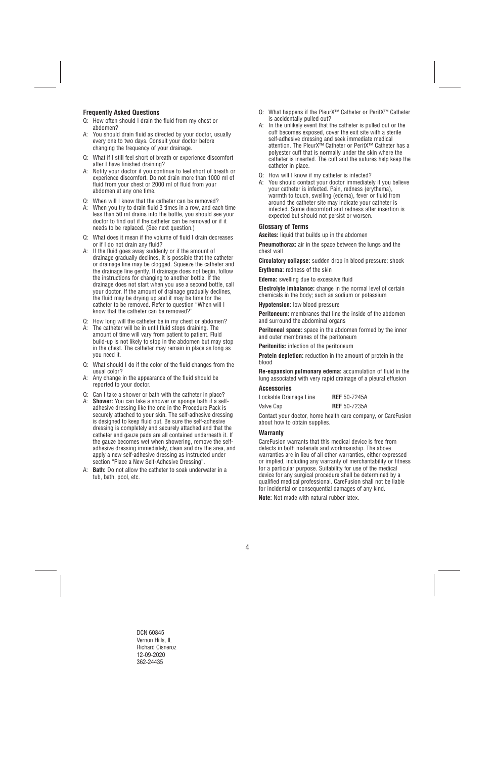## **Frequently Asked Questions**

- Q: How often should I drain the fluid from my chest or abdomen?
- A: You should drain fluid as directed by your doctor, usually every one to two days. Consult your doctor before changing the frequency of your drainage.
- Q: What if I still feel short of breath or experience discomfort after I have finished draining?
- A: Notify your doctor if you continue to feel short of breath or experience discomfort. Do not drain more than 1000 ml of fluid from your chest or 2000 ml of fluid from your abdomen at any one time.
- Q: When will I know that the catheter can be removed?
- A: When you try to drain fluid 3 times in a row, and each time less than 50 ml drains into the bottle, you should see your doctor to find out if the catheter can be removed or if it needs to be replaced. (See next question.)
- Q: What does it mean if the volume of fluid I drain decreases or if I do not drain any fluid?
- A: If the fluid goes away suddenly or if the amount of drainage gradually declines, it is possible that the catheter or drainage line may be clogged. Squeeze the catheter and the drainage line gently. If drainage does not begin, follow the instructions for changing to another bottle. If the drainage does not start when you use a second bottle, call your doctor. If the amount of drainage gradually declines, the fluid may be drying up and it may be time for the catheter to be removed. Refer to question "When will I know that the catheter can be removed?"
- Q: How long will the catheter be in my chest or abdomen?
- A: The catheter will be in until fluid stops draining. The amount of time will vary from patient to patient. Fluid build-up is not likely to stop in the abdomen but may stop in the chest. The catheter may remain in place as long as you need it.
- Q: What should I do if the color of the fluid changes from the usual color?
- A: Any change in the appearance of the fluid should be reported to your doctor.
- Q: Can I take a shower or bath with the catheter in place?
- A: **Shower:** You can take a shower or sponge bath if a selfadhesive dressing like the one in the Procedure Pack is securely attached to your skin. The self-adhesive dressing is designed to keep fluid out. Be sure the self-adhesive dressing is completely and securely attached and that the catheter and gauze pads are all contained underneath it. If the gauze becomes wet when showering, remove the selfadhesive dressing immediately, clean and dry the area, and apply a new self-adhesive dressing as instructed under section "Place a New Self-Adhesive Dressing".
- A: **Bath:** Do not allow the catheter to soak underwater in a tub, bath, pool, etc.
- Q: What happens if the PleurX<sup>™</sup> Catheter or PeritX<sup>™</sup> Catheter is accidentally pulled out?
- A: In the unlikely event that the catheter is pulled out or the cuff becomes exposed, cover the exit site with a sterile self-adhesive dressing and seek immediate medical attention. The PleurX™ Catheter or PeritX™ Catheter has a polyester cuff that is normally under the skin where the catheter is inserted. The cuff and the sutures help keep the catheter in place.
- Q: How will I know if my catheter is infected?
- A: You should contact your doctor immediately if you believe your catheter is infected. Pain, redness (erythema), warmth to touch, swelling (edema), fever or fluid from around the catheter site may indicate your catheter is infected. Some discomfort and redness after insertion is expected but should not persist or worsen.

## **Glossary of Terms**

**Ascites:** liquid that builds up in the abdomen

**Pneumothorax:** air in the space between the lungs and the chest wall

**Circulatory collapse:** sudden drop in blood pressure: shock

**Erythema:** redness of the skin

**Edema:** swelling due to excessive fluid

**Electrolyte imbalance:** change in the normal level of certain chemicals in the body; such as sodium or potassium

**Hypotension:** low blood pressure

**Peritoneum:** membranes that line the inside of the abdomen and surround the abdominal organs

**Peritoneal space:** space in the abdomen formed by the inner and outer membranes of the peritoneum

**Peritonitis:** infection of the peritoneum

**Protein depletion:** reduction in the amount of protein in the blood

**Re-expansion pulmonary edema:** accumulation of fluid in the lung associated with very rapid drainage of a pleural effusion

## **Accessories**

| Lockable Drainage Line | <b>REF</b> 50-7245A |
|------------------------|---------------------|
| Valve Cap              | <b>REF</b> 50-7235A |

Contact your doctor, home health care company, or CareFusion about how to obtain supplies.

#### **Warranty**

CareFusion warrants that this medical device is free from defects in both materials and workmanship. The above warranties are in lieu of all other warranties, either expressed or implied, including any warranty of merchantability or fitness for a particular purpose. Suitability for use of the medical device for any surgical procedure shall be determined by a qualified medical professional. CareFusion shall not be liable for incidental or consequential damages of any kind.

**Note:** Not made with natural rubber latex.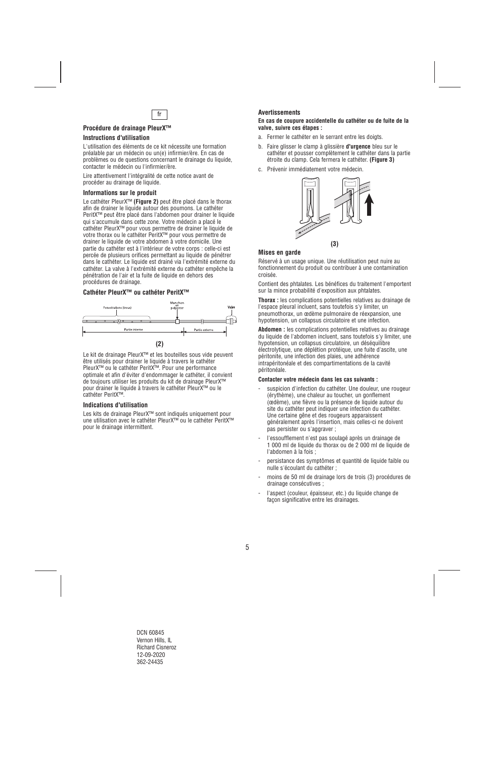

## **Procédure de drainage PleurX™**

## **Instructions d'utilisation**

L'utilisation des éléments de ce kit nécessite une formation préalable par un médecin ou un(e) infirmier/ère. En cas de problèmes ou de questions concernant le drainage du liquide, contacter le médecin ou l'infirmier/ère.

Lire attentivement l'intégralité de cette notice avant de procéder au drainage de liquide.

### **Informations sur le produit**

Le cathéter PleurX™ **(Figure 2)** peut être placé dans le thorax afin de drainer le liquide autour des poumons. Le cathéter PeritX™ peut être placé dans l'abdomen pour drainer le liquide qui s'accumule dans cette zone. Votre médecin a placé le cathéter PleurX™ pour vous permettre de drainer le liquide de votre thorax ou le cathéter PeritX™ pour vous permettre de drainer le liquide de votre abdomen à votre domicile. Une partie du cathéter est à l'intérieur de votre corps : celle-ci est percée de plusieurs orifices permettant au liquide de pénétrer dans le cathéter. Le liquide est drainé via l'extrémité externe du cathéter. La valve à l'extrémité externe du cathéter empêche la pénétration de l'air et la fuite de liquide en dehors des procédures de drainage.

## **Cathéter PleurX™ ou cathéter PeritX™**



Le kit de drainage PleurX™ et les bouteilles sous vide peuvent être utilisés pour drainer le liquide à travers le cathéter PleurX™ ou le cathéter PeritX™. Pour une performance optimale et afin d'éviter d'endommager le cathéter, il convient de toujours utiliser les produits du kit de drainage PleurX™ pour drainer le liquide à travers le cathéter PleurX™ ou le cathéter PeritX™.

## **Indications d'utilisation**

Les kits de drainage PleurX™ sont indiqués uniquement pour une utilisation avec le cathéter PleurX™ ou le cathéter PeritX™ pour le drainage intermittent.

## **Avertissements**

#### **En cas de coupure accidentelle du cathéter ou de fuite de la valve, suivre ces étapes :**

- a. Fermer le cathéter en le serrant entre les doigts.
- b. Faire glisser le clamp à glissière **d'urgence** bleu sur le cathéter et pousser complètement le cathéter dans la partie étroite du clamp. Cela fermera le cathéter. **(Figure 3)**
- c. Prévenir immédiatement votre médecin.



#### **Mises en garde**

Réservé à un usage unique. Une réutilisation peut nuire au fonctionnement du produit ou contribuer à une contamination croisée.

Contient des phtalates. Les bénéfices du traitement l'emportent sur la mince probabilité d'exposition aux phtalates.

**Thorax :** les complications potentielles relatives au drainage de l'espace pleural incluent, sans toutefois s'y limiter, un pneumothorax, un œdème pulmonaire de réexpansion, une hypotension, un collapsus circulatoire et une infection.

**Abdomen :** les complications potentielles relatives au drainage du liquide de l'abdomen incluent, sans toutefois s'y limiter, une hypotension, un collapsus circulatoire, un déséquilibre électrolytique, une déplétion protéique, une fuite d'ascite, une péritonite, une infection des plaies, une adhérence intrapéritonéale et des compartimentations de la cavité péritonéale.

#### **Contacter votre médecin dans les cas suivants :**

- suspicion d'infection du cathéter. Une douleur, une rougeur (érythème), une chaleur au toucher, un gonflement (œdème), une fièvre ou la présence de liquide autour du site du cathéter peut indiquer une infection du cathéter. Une certaine gêne et des rougeurs apparaissent généralement après l'insertion, mais celles-ci ne doivent pas persister ou s'aggraver ;
- l'essoufflement n'est pas soulagé après un drainage de 1 000 ml de liquide du thorax ou de 2 000 ml de liquide de l'abdomen à la fois ;
- persistance des symptômes et quantité de liquide faible ou nulle s'écoulant du cathéter ;
- moins de 50 ml de drainage lors de trois (3) procédures de drainage consécutives ;
- l'aspect (couleur, épaisseur, etc.) du liquide change de façon significative entre les drainages.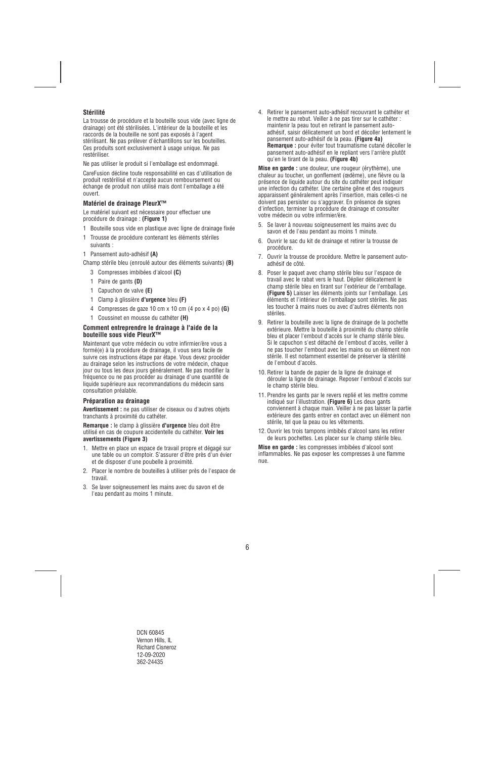## **Stérilité**

La trousse de procédure et la bouteille sous vide (avec ligne de drainage) ont été stérilisées. L'intérieur de la bouteille et les raccords de la bouteille ne sont pas exposés à l'agent stérilisant. Ne pas prélever d'échantillons sur les bouteilles. Ces produits sont exclusivement à usage unique. Ne pas restériliser.

Ne pas utiliser le produit si l'emballage est endommagé.

CareFusion décline toute responsabilité en cas d'utilisation de produit restérilisé et n'accepte aucun remboursement ou échange de produit non utilisé mais dont l'emballage a été ouvert.

## **Matériel de drainage PleurX™**

Le matériel suivant est nécessaire pour effectuer une procédure de drainage : **(Figure 1)**

- 1 Bouteille sous vide en plastique avec ligne de drainage fixée
- 1 Trousse de procédure contenant les éléments stériles suivants :
- 1 Pansement auto-adhésif **(A)**

Champ stérile bleu (enroulé autour des éléments suivants) **(B)** 

- 3 Compresses imbibées d'alcool **(C)**
- 1 Paire de gants **(D)**
- 1 Capuchon de valve **(E)**
- 1 Clamp à glissière **d'urgence** bleu **(F)**
- 4 Compresses de gaze 10 cm x 10 cm (4 po x 4 po) **(G)**
- 1 Coussinet en mousse du cathéter **(H)**

#### **Comment entreprendre le drainage à l'aide de la bouteille sous vide PleurX™**

Maintenant que votre médecin ou votre infirmier/ère vous a formé(e) à la procédure de drainage, il vous sera facile de suivre ces instructions étape par étape. Vous devez procéder au drainage selon les instructions de votre médecin, chaque jour ou tous les deux jours généralement. Ne pas modifier la fréquence ou ne pas procéder au drainage d'une quantité de liquide supérieure aux recommandations du médecin sans consultation préalable.

#### **Préparation au drainage**

**Avertissement :** ne pas utiliser de ciseaux ou d'autres objets tranchants à proximité du cathéter.

**Remarque :** le clamp à glissière **d'urgence** bleu doit être utilisé en cas de coupure accidentelle du cathéter. **Voir les avertissements (Figure 3)** 

- 1. Mettre en place un espace de travail propre et dégagé sur une table ou un comptoir. S'assurer d'être près d'un évier et de disposer d'une poubelle à proximité.
- 2. Placer le nombre de bouteilles à utiliser près de l'espace de travail.
- 3. Se laver soigneusement les mains avec du savon et de l'eau pendant au moins 1 minute.

4. Retirer le pansement auto-adhésif recouvrant le cathéter et le mettre au rebut. Veiller à ne pas tirer sur le cathéter : maintenir la peau tout en retirant le pansement autoadhésif, saisir délicatement un bord et décoller lentement le pansement auto-adhésif de la peau. **(Figure 4a) Remarque :** pour éviter tout traumatisme cutané décoller le pansement auto-adhésif en le repliant vers l'arrière plutôt qu'en le tirant de la peau. **(Figure 4b)**

**Mise en garde :** une douleur, une rougeur (érythème), une chaleur au toucher, un gonflement (œdème), une fièvre ou la présence de liquide autour du site du cathéter peut indiquer une infection du cathéter. Une certaine gêne et des rougeurs apparaissent généralement après l'insertion, mais celles-ci ne doivent pas persister ou s'aggraver. En présence de signes d'infection, terminer la procédure de drainage et consulter votre médecin ou votre infirmier/ère.

- 5. Se laver à nouveau soigneusement les mains avec du savon et de l'eau pendant au moins 1 minute.
- 6. Ouvrir le sac du kit de drainage et retirer la trousse de procédure.
- 7. Ouvrir la trousse de procédure. Mettre le pansement autoadhésif de côté.
- 8. Poser le paquet avec champ stérile bleu sur l'espace de travail avec le rabat vers le haut. Déplier délicatement le champ stérile bleu en tirant sur l'extérieur de l'emballage. **(Figure 5)** Laisser les éléments joints sur l'emballage. Les éléments et l'intérieur de l'emballage sont stériles. Ne pas les toucher à mains nues ou avec d'autres éléments non stériles.
- 9. Retirer la bouteille avec la ligne de drainage de la pochette extérieure. Mettre la bouteille à proximité du champ stérile bleu et placer l'embout d'accès sur le champ stérile bleu. Si le capuchon s'est détaché de l'embout d'accès, veiller à ne pas toucher l'embout avec les mains ou un élément non stérile. Il est notamment essentiel de préserver la stérilité de l'embout d'accès.
- 10. Retirer la bande de papier de la ligne de drainage et dérouler la ligne de drainage. Reposer l'embout d'accès sur le champ stérile bleu.
- 11. Prendre les gants par le revers replié et les mettre comme indiqué sur l'illustration. **(Figure 6)** Les deux gants conviennent à chaque main. Veiller à ne pas laisser la partie extérieure des gants entrer en contact avec un élément non stérile, tel que la peau ou les vêtements.
- 12. Ouvrir les trois tampons imbibés d'alcool sans les retirer de leurs pochettes. Les placer sur le champ stérile bleu.

**Mise en garde :** les compresses imbibées d'alcool sont inflammables. Ne pas exposer les compresses à une flamme nue.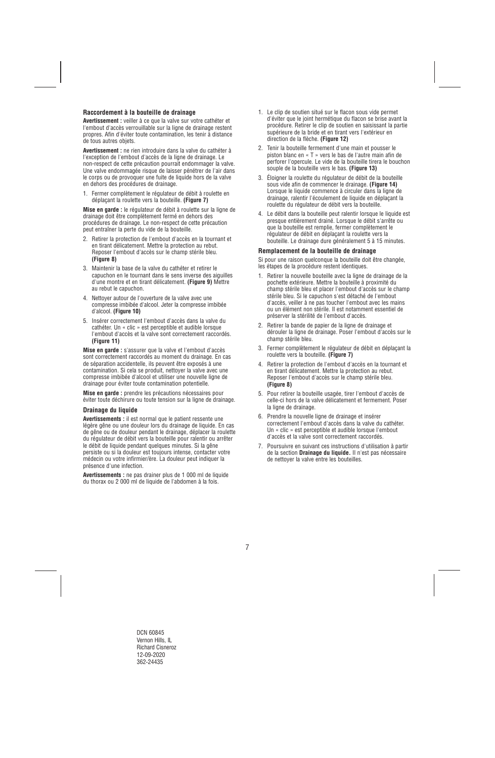## **Raccordement à la bouteille de drainage**

**Avertissement :** veiller à ce que la valve sur votre cathéter et l'embout d'accès verrouillable sur la ligne de drainage restent propres. Afin d'éviter toute contamination, les tenir à distance de tous autres objets.

**Avertissement :** ne rien introduire dans la valve du cathéter à l'exception de l'embout d'accès de la ligne de drainage. Le non-respect de cette précaution pourrait endommager la valve. Une valve endommagée risque de laisser pénétrer de l'air dans le corps ou de provoquer une fuite de liquide hors de la valve en dehors des procédures de drainage.

1. Fermer complètement le régulateur de débit à roulette en déplaçant la roulette vers la bouteille. **(Figure 7)** 

**Mise en garde :** le régulateur de débit à roulette sur la ligne de drainage doit être complètement fermé en dehors des procédures de drainage. Le non-respect de cette précaution peut entraîner la perte du vide de la bouteille.

- 2. Retirer la protection de l'embout d'accès en la tournant et en tirant délicatement. Mettre la protection au rebut. Reposer l'embout d'accès sur le champ stérile bleu. **(Figure 8)**
- 3. Maintenir la base de la valve du cathéter et retirer le capuchon en le tournant dans le sens inverse des aiguilles d'une montre et en tirant délicatement. **(Figure 9)** Mettre au rebut le capuchon.
- 4. Nettoyer autour de l'ouverture de la valve avec une compresse imbibée d'alcool. Jeter la compresse imbibée d'alcool. **(Figure 10)**
- 5. Insérer correctement l'embout d'accès dans la valve du cathéter. Un « clic » est perceptible et audible lorsque l'embout d'accès et la valve sont correctement raccordés. **(Figure 11)**

**Mise en garde :** s'assurer que la valve et l'embout d'accès sont correctement raccordés au moment du drainage. En cas de séparation accidentelle, ils peuvent être exposés à une contamination. Si cela se produit, nettoyer la valve avec une compresse imbibée d'alcool et utiliser une nouvelle ligne de drainage pour éviter toute contamination potentielle.

**Mise en garde :** prendre les précautions nécessaires pour éviter toute déchirure ou toute tension sur la ligne de drainage.

## **Drainage du liquide**

**Avertissements :** il est normal que le patient ressente une légère gêne ou une douleur lors du drainage de liquide. En cas de gêne ou de douleur pendant le drainage, déplacer la roulette du régulateur de débit vers la bouteille pour ralentir ou arrêter le débit de liquide pendant quelques minutes. Si la gêne persiste ou si la douleur est toujours intense, contacter votre médecin ou votre infirmier/ère. La douleur peut indiquer la présence d'une infection.

**Avertissements :** ne pas drainer plus de 1 000 ml de liquide du thorax ou 2 000 ml de liquide de l'abdomen à la fois.

- 1. Le clip de soutien situé sur le flacon sous vide permet d'éviter que le joint hermétique du flacon se brise avant la procédure. Retirer le clip de soutien en saisissant la partie supérieure de la bride et en tirant vers l'extérieur en direction de la flèche. **(Figure 12)**
- 2. Tenir la bouteille fermement d'une main et pousser le piston blanc en « T » vers le bas de l'autre main afin de perforer l'opercule. Le vide de la bouteille tirera le bouchon souple de la bouteille vers le bas. **(Figure 13)**
- 3. Éloigner la roulette du régulateur de débit de la bouteille sous vide afin de commencer le drainage. **(Figure 14)**  Lorsque le liquide commence à circuler dans la ligne de drainage, ralentir l'écoulement de liquide en déplaçant la roulette du régulateur de débit vers la bouteille.
- 4. Le débit dans la bouteille peut ralentir lorsque le liquide est presque entièrement drainé. Lorsque le débit s'arrête ou que la bouteille est remplie, fermer complètement le régulateur de débit en déplaçant la roulette vers la bouteille. Le drainage dure généralement 5 à 15 minutes.

#### **Remplacement de la bouteille de drainage**

Si pour une raison quelconque la bouteille doit être changée, les étapes de la procédure restent identiques.

- 1. Retirer la nouvelle bouteille avec la ligne de drainage de la pochette extérieure. Mettre la bouteille à proximité du champ stérile bleu et placer l'embout d'accès sur le champ stérile bleu. Si le capuchon s'est détaché de l'embout d'accès, veiller à ne pas toucher l'embout avec les mains ou un élément non stérile. Il est notamment essentiel de préserver la stérilité de l'embout d'accès.
- 2. Retirer la bande de papier de la ligne de drainage et dérouler la ligne de drainage. Poser l'embout d'accès sur le champ stérile bleu.
- 3. Fermer complètement le régulateur de débit en déplaçant la roulette vers la bouteille. **(Figure 7)**
- 4. Retirer la protection de l'embout d'accès en la tournant et en tirant délicatement. Mettre la protection au rebut. Reposer l'embout d'accès sur le champ stérile bleu. **(Figure 8)**
- 5. Pour retirer la bouteille usagée, tirer l'embout d'accès de celle-ci hors de la valve délicatement et fermement. Poser la ligne de drainage.
- 6. Prendre la nouvelle ligne de drainage et insérer correctement l'embout d'accès dans la valve du cathéter. Un « clic » est perceptible et audible lorsque l'embout d'accès et la valve sont correctement raccordés.
- 7. Poursuivre en suivant ces instructions d'utilisation à partir de la section **Drainage du liquide.** Il n'est pas nécessaire de nettoyer la valve entre les bouteilles.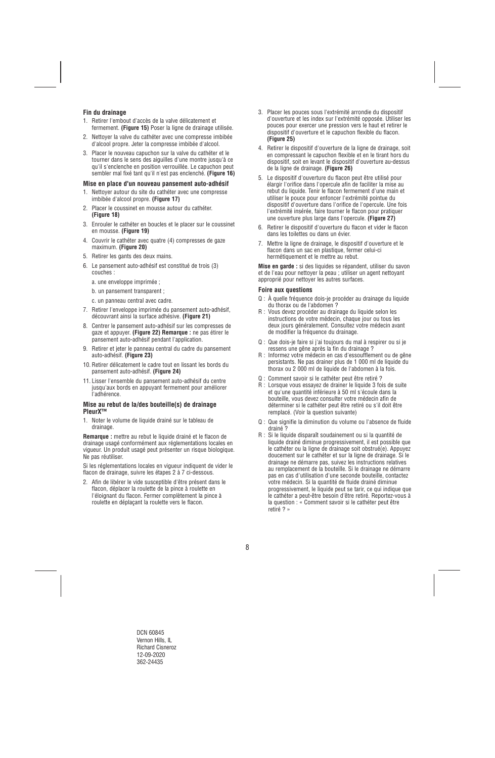## **Fin du drainage**

- 1. Retirer l'embout d'accès de la valve délicatement et fermement. **(Figure 15)** Poser la ligne de drainage utilisée.
- 2. Nettoyer la valve du cathéter avec une compresse imbibée d'alcool propre. Jeter la compresse imbibée d'alcool.
- 3. Placer le nouveau capuchon sur la valve du cathéter et le tourner dans le sens des aiguilles d'une montre jusqu'à ce qu'il s'enclenche en position verrouillée. Le capuchon peut sembler mal fixé tant qu'il n'est pas enclenché. **(Figure 16)**

#### **Mise en place d'un nouveau pansement auto-adhésif**

- 1. Nettoyer autour du site du cathéter avec une compresse imbibée d'alcool propre. **(Figure 17)**
- 2. Placer le coussinet en mousse autour du cathéter. **(Figure 18)**
- 3. Enrouler le cathéter en boucles et le placer sur le coussinet en mousse. **(Figure 19)**
- 4. Couvrir le cathéter avec quatre (4) compresses de gaze maximum. **(Figure 20)**
- 5. Retirer les gants des deux mains.
- 6. Le pansement auto-adhésif est constitué de trois (3) couches :
	- a. une enveloppe imprimée ;
	- b. un pansement transparent ;
	- c. un panneau central avec cadre.
- 7. Retirer l'enveloppe imprimée du pansement auto-adhésif, découvrant ainsi la surface adhésive. **(Figure 21)**
- 8. Centrer le pansement auto-adhésif sur les compresses de gaze et appuyer. **(Figure 22) Remarque :** ne pas étirer le pansement auto-adhésif pendant l'application.
- 9. Retirer et jeter le panneau central du cadre du pansement auto-adhésif. **(Figure 23)**
- 10. Retirer délicatement le cadre tout en lissant les bords du pansement auto-adhésif. **(Figure 24)**
- 11. Lisser l'ensemble du pansement auto-adhésif du centre jusqu'aux bords en appuyant fermement pour améliorer l'adhérence.

#### **Mise au rebut de la/des bouteille(s) de drainage PleurX™**

1. Noter le volume de liquide drainé sur le tableau de drainage.

**Remarque :** mettre au rebut le liquide drainé et le flacon de drainage usagé conformément aux réglementations locales en vigueur. Un produit usagé peut présenter un risque biologique. Ne pas réutiliser.

Si les réglementations locales en vigueur indiquent de vider le flacon de drainage, suivre les étapes 2 à 7 ci-dessous.

2. Afin de libérer le vide susceptible d'être présent dans le flacon, déplacer la roulette de la pince à roulette en l'éloignant du flacon. Fermer complètement la pince à roulette en déplaçant la roulette vers le flacon.

- 3. Placer les pouces sous l'extrémité arrondie du dispositif d'ouverture et les index sur l'extrémité opposée. Utiliser les pouces pour exercer une pression vers le haut et retirer le dispositif d'ouverture et le capuchon flexible du flacon. **(Figure 25)**
- 4. Retirer le dispositif d'ouverture de la ligne de drainage, soit en compressant le capuchon flexible et en le tirant hors du dispositif, soit en levant le dispositif d'ouverture au-dessus de la ligne de drainage. **(Figure 26)**
- 5. Le dispositif d'ouverture du flacon peut être utilisé pour élargir l'orifice dans l'opercule afin de faciliter la mise au rebut du liquide. Tenir le flacon fermement d'une main et utiliser le pouce pour enfoncer l'extrémité pointue du dispositif d'ouverture dans l'orifice de l'opercule. Une fois l'extrémité insérée, faire tourner le flacon pour pratiquer une ouverture plus large dans l'opercule. **(Figure 27)**
- 6. Retirer le dispositif d'ouverture du flacon et vider le flacon dans les toilettes ou dans un évier.
- 7. Mettre la ligne de drainage, le dispositif d'ouverture et le flacon dans un sac en plastique, fermer celui-ci hermétiquement et le mettre au rebut.

**Mise en garde :** si des liquides se répandent, utiliser du savon et de l'eau pour nettoyer la peau ; utiliser un agent nettoyant approprié pour nettoyer les autres surfaces.

#### **Foire aux questions**

- Q : À quelle fréquence dois-je procéder au drainage du liquide du thorax ou de l'abdomen ?
- R : Vous devez procéder au drainage du liquide selon les instructions de votre médecin, chaque jour ou tous les deux jours généralement. Consultez votre médecin avant de modifier la fréquence du drainage.
- Q : Que dois-je faire si j'ai toujours du mal à respirer ou si je ressens une gêne après la fin du drainage ?
- R : Informez votre médecin en cas d'essoufflement ou de gêne persistants. Ne pas drainer plus de 1 000 ml de liquide du thorax ou 2 000 ml de liquide de l'abdomen à la fois.
- Q : Comment savoir si le cathéter peut être retiré ?
- R : Lorsque vous essayez de drainer le liquide 3 fois de suite et qu'une quantité inférieure à 50 ml s'écoule dans la bouteille, vous devez consulter votre médecin afin de déterminer si le cathéter peut être retiré ou s'il doit être remplacé. (Voir la question suivante)
- Q : Que signifie la diminution du volume ou l'absence de fluide drainé ?
- R : Si le liquide disparaît soudainement ou si la quantité de liquide drainé diminue progressivement, il est possible que le cathéter ou la ligne de drainage soit obstrué(e). Appuyez doucement sur le cathéter et sur la ligne de drainage. Si le drainage ne démarre pas, suivez les instructions relatives au remplacement de la bouteille. Si le drainage ne démarre pas en cas d'utilisation d'une seconde bouteille, contactez votre médecin. Si la quantité de fluide drainé diminue progressivement, le liquide peut se tarir, ce qui indique que le cathéter a peut-être besoin d'être retiré. Reportez-vous à la question : « Comment savoir si le cathéter peut être retiré ? »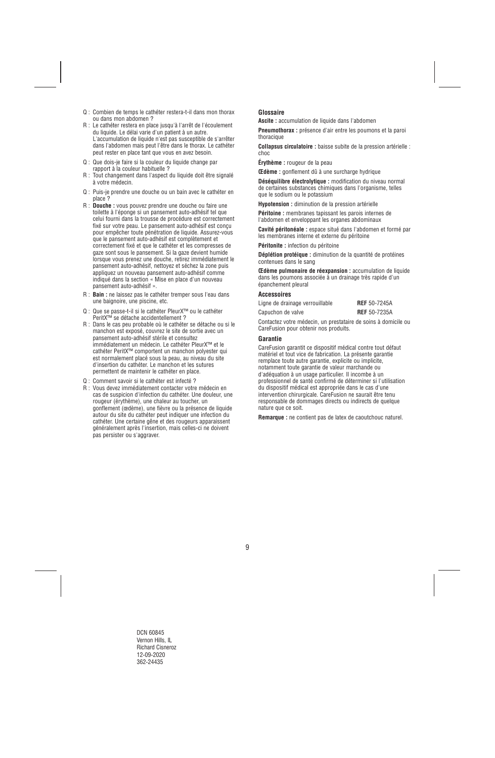- Q : Combien de temps le cathéter restera-t-il dans mon thorax ou dans mon abdomen ?
- R : Le cathéter restera en place jusqu'à l'arrêt de l'écoulement du liquide. Le délai varie d'un patient à un autre. L'accumulation de liquide n'est pas susceptible de s'arrêter dans l'abdomen mais peut l'être dans le thorax. Le cathéter peut rester en place tant que vous en avez besoin.
- Q : Que dois-je faire si la couleur du liquide change par rapport à la couleur habituelle ?
- R : Tout changement dans l'aspect du liquide doit être signalé à votre médecin.
- Q : Puis-je prendre une douche ou un bain avec le cathéter en place ?
- R : **Douche :** vous pouvez prendre une douche ou faire une toilette à l'éponge si un pansement auto-adhésif tel que celui fourni dans la trousse de procédure est correctement fixé sur votre peau. Le pansement auto-adhésif est conçu pour empêcher toute pénétration de liquide. Assurez-vous que le pansement auto-adhésif est complètement et correctement fixé et que le cathéter et les compresses de gaze sont sous le pansement. Si la gaze devient humide lorsque vous prenez une douche, retirez immédiatement le pansement auto-adhésif, nettoyez et séchez la zone puis appliquez un nouveau pansement auto-adhésif comme indiqué dans la section « Mise en place d'un nouveau pansement auto-adhésif ».
- R : **Bain :** ne laissez pas le cathéter tremper sous l'eau dans une baignoire, une piscine, etc.
- Q : Que se passe-t-il si le cathéter PleurX™ ou le cathéter PeritX™ se détache accidentellement ?
- R : Dans le cas peu probable où le cathéter se détache ou si le manchon est exposé, couvrez le site de sortie avec un pansement auto-adhésif stérile et consultez immédiatement un médecin. Le cathéter PleurX™ et le cathéter PeritX™ comportent un manchon polyester qui est normalement placé sous la peau, au niveau du site d'insertion du cathéter. Le manchon et les sutures permettent de maintenir le cathéter en place.
- Q : Comment savoir si le cathéter est infecté ?
- R : Vous devez immédiatement contacter votre médecin en cas de suspicion d'infection du cathéter. Une douleur, une rougeur (érythème), une chaleur au toucher, un gonflement (œdème), une fièvre ou la présence de liquide autour du site du cathéter peut indiquer une infection du cathéter. Une certaine gêne et des rougeurs apparaissent généralement après l'insertion, mais celles-ci ne doivent pas persister ou s'aggraver.

## **Glossaire**

**Ascite :** accumulation de liquide dans l'abdomen

**Pneumothorax :** présence d'air entre les poumons et la paroi thoracique

**Collapsus circulatoire :** baisse subite de la pression artérielle : choc

**Érythème :** rougeur de la peau

**Œdème :** gonflement dû à une surcharge hydrique

**Déséquilibre électrolytique :** modification du niveau normal de certaines substances chimiques dans l'organisme, telles que le sodium ou le potassium

**Hypotension :** diminution de la pression artérielle

**Péritoine :** membranes tapissant les parois internes de l'abdomen et enveloppant les organes abdominaux

**Cavité péritonéale :** espace situé dans l'abdomen et formé par les membranes interne et externe du péritoine

**Péritonite :** infection du péritoine

**Déplétion protéique :** diminution de la quantité de protéines contenues dans le sang

**Œdème pulmonaire de réexpansion :** accumulation de liquide dans les poumons associée à un drainage très rapide d'un épanchement pleural

#### **Accessoires**

| Ligne de drainage verrouillable | <b>REF</b> 50-7245A |  |
|---------------------------------|---------------------|--|
| Capuchon de valve               | <b>REF</b> 50-7235A |  |

Contactez votre médecin, un prestataire de soins à domicile ou CareFusion pour obtenir nos produits.

#### **Garantie**

CareFusion garantit ce dispositif médical contre tout défaut matériel et tout vice de fabrication. La présente garantie remplace toute autre garantie, explicite ou implicite, notamment toute garantie de valeur marchande ou d'adéquation à un usage particulier. Il incombe à un professionnel de santé confirmé de déterminer si l'utilisation du dispositif médical est appropriée dans le cas d'une intervention chirurgicale. CareFusion ne saurait être tenu responsable de dommages directs ou indirects de quelque nature que ce soit.

**Remarque :** ne contient pas de latex de caoutchouc naturel.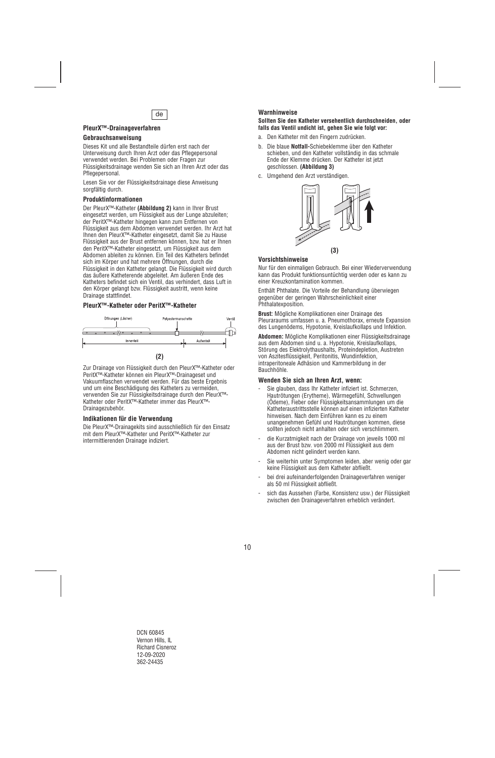

## **PleurX™-Drainageverfahren**

#### **Gebrauchsanweisung**

Dieses Kit und alle Bestandteile dürfen erst nach der Unterweisung durch Ihren Arzt oder das Pflegepersonal verwendet werden. Bei Problemen oder Fragen zur Flüssigkeitsdrainage wenden Sie sich an Ihren Arzt oder das Pflegepersonal.

Lesen Sie vor der Flüssigkeitsdrainage diese Anweisung sorgfältig durch.

#### **Produktinformationen**

Der PleurX™-Katheter **(Abbildung 2)** kann in Ihrer Brust eingesetzt werden, um Flüssigkeit aus der Lunge abzuleiten; der PeritX™-Katheter hingegen kann zum Entfernen von Flüssigkeit aus dem Abdomen verwendet werden. Ihr Arzt hat Ihnen den PleurX™-Katheter eingesetzt, damit Sie zu Hause Flüssigkeit aus der Brust entfernen können, bzw. hat er Ihnen den PeritX™-Katheter eingesetzt, um Flüssigkeit aus dem Abdomen ableiten zu können. Ein Teil des Katheters befindet sich im Körper und hat mehrere Öffnungen, durch die Flüssigkeit in den Katheter gelangt. Die Flüssigkeit wird durch das äußere Katheterende abgeleitet. Am äußeren Ende des Katheters befindet sich ein Ventil, das verhindert, dass Luft in den Körper gelangt bzw. Flüssigkeit austritt, wenn keine Drainage stattfindet.

#### **PleurX™-Katheter oder PeritX™-Katheter**



Zur Drainage von Flüssigkeit durch den PleurX™-Katheter oder PeritX™-Katheter können ein PleurX™-Drainageset und Vakuumflaschen verwendet werden. Für das beste Ergebnis und um eine Beschädigung des Katheters zu vermeiden, verwenden Sie zur Flüssigkeitsdrainage durch den PleurX™- Katheter oder PeritX™-Katheter immer das PleurX™- Drainagezubehör.

#### **Indikationen für die Verwendung**

Die PleurX™-Drainagekits sind ausschließlich für den Einsatz mit dem PleurX™-Katheter und PeritX™-Katheter zur intermittierenden Drainage indiziert.

## **Warnhinweise**

#### **Sollten Sie den Katheter versehentlich durchschneiden, oder falls das Ventil undicht ist, gehen Sie wie folgt vor:**

- a. Den Katheter mit den Fingern zudrücken.
- b. Die blaue **Notfall-**Schiebeklemme über den Katheter schieben, und den Katheter vollständig in das schmale Ende der Klemme drücken. Der Katheter ist jetzt geschlossen. **(Abbildung 3)**
- c. Umgehend den Arzt verständigen.



#### **Vorsichtshinweise**

Nur für den einmaligen Gebrauch. Bei einer Wiederverwendung kann das Produkt funktionsuntüchtig werden oder es kann zu einer Kreuzkontamination kommen.

Enthält Phthalate. Die Vorteile der Behandlung überwiegen gegenüber der geringen Wahrscheinlichkeit einer Phthalatexposition.

**Brust:** Mögliche Komplikationen einer Drainage des Pleuraraums umfassen u. a. Pneumothorax, erneute Expansion des Lungenödems, Hypotonie, Kreislaufkollaps und Infektion.

**Abdomen:** Mögliche Komplikationen einer Flüssigkeitsdrainage aus dem Abdomen sind u. a. Hypotonie, Kreislaufkollaps, Störung des Elektrolythaushalts, Proteindepletion, Austreten von Aszitesflüssigkeit, Peritonitis, Wundinfektion, intraperitoneale Adhäsion und Kammerbildung in der Bauchhöhle.

#### **Wenden Sie sich an Ihren Arzt, wenn:**

- Sie glauben, dass Ihr Katheter infiziert ist. Schmerzen, Hautrötungen (Erytheme), Wärmegefühl, Schwellungen (Ödeme), Fieber oder Flüssigkeitsansammlungen um die Katheteraustrittsstelle können auf einen infizierten Katheter hinweisen. Nach dem Einführen kann es zu einem unangenehmen Gefühl und Hautrötungen kommen, diese sollten jedoch nicht anhalten oder sich verschlimmern.
- die Kurzatmigkeit nach der Drainage von jeweils 1000 ml aus der Brust bzw. von 2000 ml Flüssigkeit aus dem Abdomen nicht gelindert werden kann.
- Sie weiterhin unter Symptomen leiden, aber wenig oder gar keine Flüssigkeit aus dem Katheter abfließt.
- bei drei aufeinanderfolgenden Drainageverfahren weniger als 50 ml Flüssigkeit abfließt.
- sich das Aussehen (Farbe, Konsistenz usw.) der Flüssigkeit zwischen den Drainageverfahren erheblich verändert.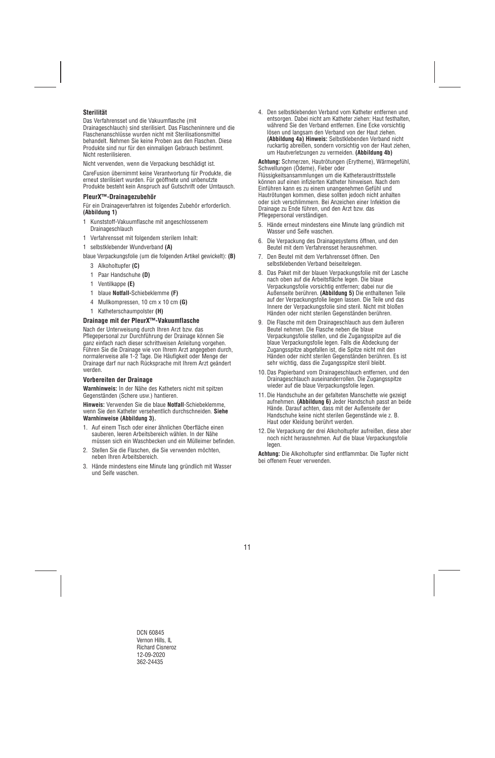## **Sterilität**

Das Verfahrensset und die Vakuumflasche (mit Drainageschlauch) sind sterilisiert. Das Flascheninnere und die Flaschenanschlüsse wurden nicht mit Sterilisationsmittel behandelt. Nehmen Sie keine Proben aus den Flaschen. Diese Produkte sind nur für den einmaligen Gebrauch bestimmt. Nicht resterilisieren.

Nicht verwenden, wenn die Verpackung beschädigt ist.

CareFusion übernimmt keine Verantwortung für Produkte, die erneut sterilisiert wurden. Für geöffnete und unbenutzte Produkte besteht kein Anspruch auf Gutschrift oder Umtausch.

## **PleurX™-Drainagezubehör**

Für ein Drainageverfahren ist folgendes Zubehör erforderlich. **(Abbildung 1)**

- 1 Kunststoff-Vakuumflasche mit angeschlossenem Drainageschlauch
- 1 Verfahrensset mit folgendem sterilem Inhalt:
- 1 selbstklebender Wundverband **(A)**
- blaue Verpackungsfolie (um die folgenden Artikel gewickelt): **(B)**
	- 3 Alkoholtupfer **(C)**
	- 1 Paar Handschuhe **(D)**
	- 1 Ventilkappe **(E)**
	- 1 blaue **Notfall-**Schiebeklemme **(F)**
	- 4 Mullkompressen, 10 cm x 10 cm **(G)**
	- 1 Katheterschaumpolster **(H)**

## **Drainage mit der PleurX™-Vakuumflasche**

Nach der Unterweisung durch Ihren Arzt bzw. das Pflegepersonal zur Durchführung der Drainage können Sie ganz einfach nach dieser schrittweisen Anleitung vorgehen. Führen Sie die Drainage wie von Ihrem Arzt angegeben durch, normalerweise alle 1-2 Tage. Die Häufigkeit oder Menge der Drainage darf nur nach Rücksprache mit Ihrem Arzt geändert werden.

#### **Vorbereiten der Drainage**

**Warnhinweis:** In der Nähe des Katheters nicht mit spitzen Gegenständen (Schere usw.) hantieren.

**Hinweis:** Verwenden Sie die blaue **Notfall**-Schiebeklemme, wenn Sie den Katheter versehentlich durchschneiden. **Siehe Warnhinweise (Abbildung 3).**

- 1. Auf einem Tisch oder einer ähnlichen Oberfläche einen sauberen, leeren Arbeitsbereich wählen. In der Nähe müssen sich ein Waschbecken und ein Mülleimer befinden.
- 2. Stellen Sie die Flaschen, die Sie verwenden möchten, neben Ihren Arbeitsbereich.
- 3. Hände mindestens eine Minute lang gründlich mit Wasser und Seife waschen.

4. Den selbstklebenden Verband vom Katheter entfernen und entsorgen. Dabei nicht am Katheter ziehen: Haut festhalten, während Sie den Verband entfernen. Eine Ecke vorsichtig lösen und langsam den Verband von der Haut ziehen. **(Abbildung 4a) Hinweis:** Selbstklebenden Verband nicht ruckartig abreißen, sondern vorsichtig von der Haut ziehen, um Hautverletzungen zu vermeiden. **(Abbildung 4b)** 

**Achtung:** Schmerzen, Hautrötungen (Erytheme), Wärmegefühl, Schwellungen (Ödeme), Fieber oder

Flüssigkeitsansammlungen um die Katheteraustrittsstelle können auf einen infizierten Katheter hinweisen. Nach dem Einführen kann es zu einem unangenehmen Gefühl und Hautrötungen kommen, diese sollten jedoch nicht anhalten oder sich verschlimmern. Bei Anzeichen einer Infektion die Drainage zu Ende führen, und den Arzt bzw. das Pflegepersonal verständigen.

- 5. Hände erneut mindestens eine Minute lang gründlich mit Wasser und Seife waschen.
- 6. Die Verpackung des Drainagesystems öffnen, und den Beutel mit dem Verfahrensset herausnehmen.
- 7. Den Beutel mit dem Verfahrensset öffnen. Den selbstklebenden Verband beiseitelegen.
- 8. Das Paket mit der blauen Verpackungsfolie mit der Lasche nach oben auf die Arbeitsfläche legen. Die blaue Verpackungsfolie vorsichtig entfernen; dabei nur die Außenseite berühren. **(Abbildung 5)** Die enthaltenen Teile auf der Verpackungsfolie liegen lassen. Die Teile und das Innere der Verpackungsfolie sind steril. Nicht mit bloßen Händen oder nicht sterilen Gegenständen berühren.
- 9. Die Flasche mit dem Drainageschlauch aus dem äußeren Beutel nehmen. Die Flasche neben die blaue Verpackungsfolie stellen, und die Zugangsspitze auf die blaue Verpackungsfolie legen. Falls die Abdeckung der Zugangsspitze abgefallen ist, die Spitze nicht mit den Händen oder nicht sterilen Gegenständen berühren. Es ist sehr wichtig, dass die Zugangsspitze steril bleibt.
- 10. Das Papierband vom Drainageschlauch entfernen, und den Drainageschlauch auseinanderrollen. Die Zugangsspitze wieder auf die blaue Verpackungsfolie legen.
- 11. Die Handschuhe an der gefalteten Manschette wie gezeigt aufnehmen. **(Abbildung 6)** Jeder Handschuh passt an beide Hände. Darauf achten, dass mit der Außenseite der Handschuhe keine nicht sterilen Gegenstände wie z. B. Haut oder Kleidung berührt werden.
- 12. Die Verpackung der drei Alkoholtupfer aufreißen, diese aber noch nicht herausnehmen. Auf die blaue Verpackungsfolie legen.

**Achtung:** Die Alkoholtupfer sind entflammbar. Die Tupfer nicht bei offenem Feuer verwenden.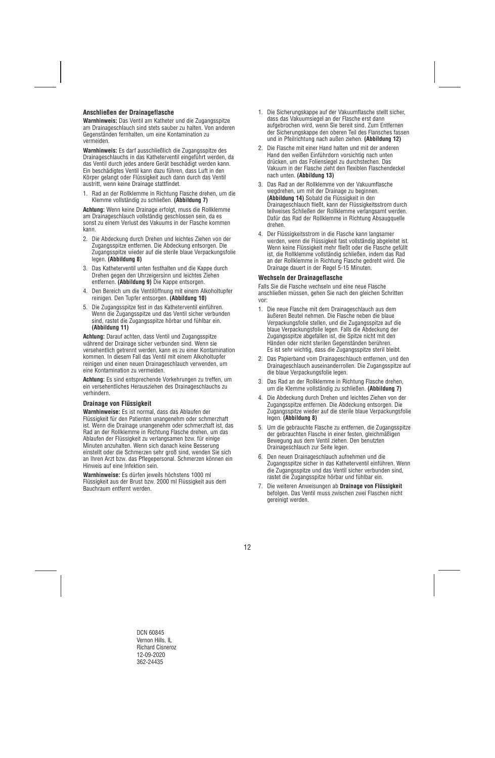## **Anschließen der Drainageflasche**

**Warnhinweis:** Das Ventil am Katheter und die Zugangsspitze am Drainageschlauch sind stets sauber zu halten. Von anderen Gegenständen fernhalten, um eine Kontamination zu vermeiden.

**Warnhinweis:** Es darf ausschließlich die Zugangsspitze des Drainageschlauchs in das Katheterventil eingeführt werden, da das Ventil durch jedes andere Gerät beschädigt werden kann. Ein beschädigtes Ventil kann dazu führen, dass Luft in den Körper gelangt oder Flüssigkeit auch dann durch das Ventil austritt, wenn keine Drainage stattfindet.

1. Rad an der Rollklemme in Richtung Flasche drehen, um die Klemme vollständig zu schließen. **(Abbildung 7)** 

**Achtung:** Wenn keine Drainage erfolgt, muss die Rollklemme am Drainageschlauch vollständig geschlossen sein, da es sonst zu einem Verlust des Vakuums in der Flasche kommen kann.

- 2. Die Abdeckung durch Drehen und leichtes Ziehen von der Zugangsspitze entfernen. Die Abdeckung entsorgen. Die Zugangsspitze wieder auf die sterile blaue Verpackungsfolie legen. **(Abbildung 8)**
- 3. Das Katheterventil unten festhalten und die Kappe durch Drehen gegen den Uhrzeigersinn und leichtes Ziehen entfernen. **(Abbildung 9)** Die Kappe entsorgen.
- 4. Den Bereich um die Ventilöffnung mit einem Alkoholtupfer reinigen. Den Tupfer entsorgen. **(Abbildung 10)**
- 5. Die Zugangsspitze fest in das Katheterventil einführen. Wenn die Zugangsspitze und das Ventil sicher verbunden sind, rastet die Zugangsspitze hörbar und fühlbar ein. **(Abbildung 11)**

**Achtung:** Darauf achten, dass Ventil und Zugangsspitze während der Drainage sicher verbunden sind. Wenn sie versehentlich getrennt werden, kann es zu einer Kontamination kommen. In diesem Fall das Ventil mit einem Alkoholtupfer reinigen und einen neuen Drainageschlauch verwenden, um eine Kontamination zu vermeiden.

**Achtung:** Es sind entsprechende Vorkehrungen zu treffen, um ein versehentliches Herausziehen des Drainageschlauchs zu verhindern.

#### **Drainage von Flüssigkeit**

**Warnhinweise:** Es ist normal, dass das Ablaufen der Flüssigkeit für den Patienten unangenehm oder schmerzhaft ist. Wenn die Drainage unangenehm oder schmerzhaft ist, das Rad an der Rollklemme in Richtung Flasche drehen, um das Ablaufen der Flüssigkeit zu verlangsamen bzw. für einige Minuten anzuhalten. Wenn sich danach keine Besserung einstellt oder die Schmerzen sehr groß sind, wenden Sie sich an Ihren Arzt bzw. das Pflegepersonal. Schmerzen können ein Hinweis auf eine Infektion sein.

**Warnhinweise:** Es dürfen jeweils höchstens 1000 ml Flüssigkeit aus der Brust bzw. 2000 ml Flüssigkeit aus dem Bauchraum entfernt werden.

- 1. Die Sicherungskappe auf der Vakuumflasche stellt sicher, dass das Vakuumsiegel an der Flasche erst dann aufgebrochen wird, wenn Sie bereit sind. Zum Entfernen der Sicherungskappe den oberen Teil des Flansches fassen und in Pfeilrichtung nach außen ziehen. **(Abbildung 12)**
- 2. Die Flasche mit einer Hand halten und mit der anderen Hand den weißen Einführdorn vorsichtig nach unten drücken, um das Foliensiegel zu durchstechen. Das Vakuum in der Flasche zieht den flexiblen Flaschendeckel nach unten. **(Abbildung 13)**
- 3. Das Rad an der Rollklemme von der Vakuumflasche wegdrehen, um mit der Drainage zu beginnen. **(Abbildung 14)** Sobald die Flüssigkeit in den Drainageschlauch fließt, kann der Flüssigkeitsstrom durch teilweises Schließen der Rollklemme verlangsamt werden. Dafür das Rad der Rollklemme in Richtung Absaugquelle drehen.
- 4. Der Flüssigkeitsstrom in die Flasche kann langsamer werden, wenn die Flüssigkeit fast vollständig abgeleitet ist. Wenn keine Flüssigkeit mehr fließt oder die Flasche gefüllt ist, die Rollklemme vollständig schließen, indem das Rad an der Rollklemme in Richtung Flasche gedreht wird. Die Drainage dauert in der Regel 5-15 Minuten.

## **Wechseln der Drainageflasche**

Falls Sie die Flasche wechseln und eine neue Flasche anschließen müssen, gehen Sie nach den gleichen Schritten vor:

- 1. Die neue Flasche mit dem Drainageschlauch aus dem äußeren Beutel nehmen. Die Flasche neben die blaue Verpackungsfolie stellen, und die Zugangsspitze auf die blaue Verpackungsfolie legen. Falls die Abdeckung der Zugangsspitze abgefallen ist, die Spitze nicht mit den Händen oder nicht sterilen Gegenständen berühren. Es ist sehr wichtig, dass die Zugangsspitze steril bleibt.
- 2. Das Papierband vom Drainageschlauch entfernen, und den Drainageschlauch auseinanderrollen. Die Zugangsspitze auf die blaue Verpackungsfolie legen.
- 3. Das Rad an der Rollklemme in Richtung Flasche drehen, um die Klemme vollständig zu schließen. **(Abbildung 7)**
- 4. Die Abdeckung durch Drehen und leichtes Ziehen von der Zugangsspitze entfernen. Die Abdeckung entsorgen. Die Zugangsspitze wieder auf die sterile blaue Verpackungsfolie legen. **(Abbildung 8)**
- 5. Um die gebrauchte Flasche zu entfernen, die Zugangsspitze der gebrauchten Flasche in einer festen, gleichmäßigen Bewegung aus dem Ventil ziehen. Den benutzten Drainageschlauch zur Seite legen.
- 6. Den neuen Drainageschlauch aufnehmen und die Zugangsspitze sicher in das Katheterventil einführen. Wenn die Zugangsspitze und das Ventil sicher verbunden sind, rastet die Zugangsspitze hörbar und fühlbar ein.
- 7. Die weiteren Anweisungen ab **Drainage von Flüssigkeit**  befolgen. Das Ventil muss zwischen zwei Flaschen nicht gereinigt werden.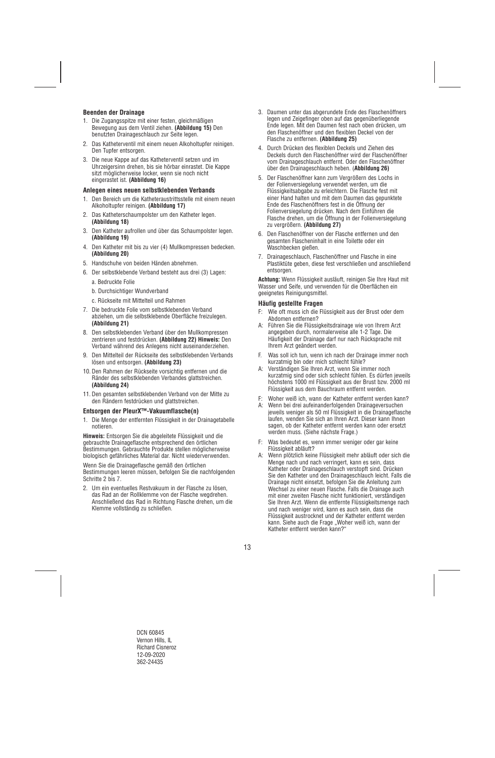## **Beenden der Drainage**

- 1. Die Zugangsspitze mit einer festen, gleichmäßigen Bewegung aus dem Ventil ziehen. **(Abbildung 15)** Den benutzten Drainageschlauch zur Seite legen.
- 2. Das Katheterventil mit einem neuen Alkoholtupfer reinigen. Den Tupfer entsorgen.
- 3. Die neue Kappe auf das Katheterventil setzen und im Uhrzeigersinn drehen, bis sie hörbar einrastet. Die Kappe sitzt möglicherweise locker, wenn sie noch nicht eingerastet ist. **(Abbildung 16)**

### **Anlegen eines neuen selbstklebenden Verbands**

- 1. Den Bereich um die Katheteraustrittsstelle mit einem neuen Alkoholtupfer reinigen. **(Abbildung 17)**
- 2. Das Katheterschaumpolster um den Katheter legen. **(Abbildung 18)**
- 3. Den Katheter aufrollen und über das Schaumpolster legen. **(Abbildung 19)**
- 4. Den Katheter mit bis zu vier (4) Mullkompressen bedecken. **(Abbildung 20)**
- 5. Handschuhe von beiden Händen abnehmen.
- 6. Der selbstklebende Verband besteht aus drei (3) Lagen:
	- a. Bedruckte Folie
	- b. Durchsichtiger Wundverband
	- c. Rückseite mit Mittelteil und Rahmen
- 7. Die bedruckte Folie vom selbstklebenden Verband abziehen, um die selbstklebende Oberfläche freizulegen. **(Abbildung 21)**
- 8. Den selbstklebenden Verband über den Mullkompressen zentrieren und festdrücken. **(Abbildung 22) Hinweis:** Den Verband während des Anlegens nicht auseinanderziehen.
- 9. Den Mittelteil der Rückseite des selbstklebenden Verbands lösen und entsorgen. **(Abbildung 23)**
- 10. Den Rahmen der Rückseite vorsichtig entfernen und die Ränder des selbstklebenden Verbandes glattstreichen. **(Abbildung 24)**
- 11. Den gesamten selbstklebenden Verband von der Mitte zu den Rändern festdrücken und glattstreichen.

#### **Entsorgen der PleurX™-Vakuumflasche(n)**

1. Die Menge der entfernten Flüssigkeit in der Drainagetabelle notieren.

**Hinweis:** Entsorgen Sie die abgeleitete Flüssigkeit und die gebrauchte Drainageflasche entsprechend den örtlichen Bestimmungen. Gebrauchte Produkte stellen möglicherweise biologisch gefährliches Material dar. Nicht wiederverwenden.

Wenn Sie die Drainageflasche gemäß den örtlichen Bestimmungen leeren müssen, befolgen Sie die nachfolgenden Schritte 2 bis 7.

2. Um ein eventuelles Restvakuum in der Flasche zu lösen, das Rad an der Rollklemme von der Flasche wegdrehen. Anschließend das Rad in Richtung Flasche drehen, um die Klemme vollständig zu schließen.

- 3. Daumen unter das abgerundete Ende des Flaschenöffners legen und Zeigefinger oben auf das gegenüberliegende Ende legen. Mit den Daumen fest nach oben drücken, um den Flaschenöffner und den flexiblen Deckel von der Flasche zu entfernen. **(Abbildung 25)**
- 4. Durch Drücken des flexiblen Deckels und Ziehen des Deckels durch den Flaschenöffner wird der Flaschenöffner vom Drainageschlauch entfernt. Oder den Flaschenöffner über den Drainageschlauch heben. (**Abbildung 26)**
- 5. Der Flaschenöffner kann zum Vergrößern des Lochs in der Folienversiegelung verwendet werden, um die Flüssigkeitsabgabe zu erleichtern. Die Flasche fest mit einer Hand halten und mit dem Daumen das gepunktete Ende des Flaschenöffners fest in die Öffnung der Folienversiegelung drücken. Nach dem Einführen die Flasche drehen, um die Öffnung in der Folienversiegelung zu vergrößern. **(Abbildung 27)**
- 6. Den Flaschenöffner von der Flasche entfernen und den gesamten Flascheninhalt in eine Toilette oder ein Waschbecken gießen.
- 7. Drainageschlauch, Flaschenöffner und Flasche in eine Plastiktüte geben, diese fest verschließen und anschließend entsorgen.

**Achtung:** Wenn Flüssigkeit ausläuft, reinigen Sie Ihre Haut mit Wasser und Seife, und verwenden für die Oberflächen ein geeignetes Reinigungsmittel.

### **Häufig gestellte Fragen**

- F: Wie oft muss ich die Flüssigkeit aus der Brust oder dem Abdomen entfernen?
- A: Führen Sie die Flüssigkeitsdrainage wie von Ihrem Arzt angegeben durch, normalerweise alle 1-2 Tage. Die Häufigkeit der Drainage darf nur nach Rücksprache mit Ihrem Arzt geändert werden.
- F. Was soll ich tun, wenn ich nach der Drainage immer noch kurzatmig bin oder mich schlecht fühle?
- A: Verständigen Sie Ihren Arzt, wenn Sie immer noch kurzatmig sind oder sich schlecht fühlen. Es dürfen jeweils höchstens 1000 ml Flüssigkeit aus der Brust bzw. 2000 ml Flüssigkeit aus dem Bauchraum entfernt werden.
- F: Woher weiß ich, wann der Katheter entfernt werden kann?
- A: Wenn bei drei aufeinanderfolgenden Drainageversuchen jeweils weniger als 50 ml Flüssigkeit in die Drainageflasche laufen, wenden Sie sich an Ihren Arzt. Dieser kann Ihnen sagen, ob der Katheter entfernt werden kann oder ersetzt werden muss. (Siehe nächste Frage.)
- F: Was bedeutet es, wenn immer weniger oder gar keine Flüssigkeit abläuft?
- A: Wenn plötzlich keine Flüssigkeit mehr abläuft oder sich die Menge nach und nach verringert, kann es sein, dass Katheter oder Drainageschlauch verstopft sind. Drücken Sie den Katheter und den Drainageschlauch leicht. Falls die Drainage nicht einsetzt, befolgen Sie die Anleitung zum Wechsel zu einer neuen Flasche. Falls die Drainage auch mit einer zweiten Flasche nicht funktioniert, verständigen Sie Ihren Arzt. Wenn die entfernte Flüssigkeitsmenge nach und nach weniger wird, kann es auch sein, dass die Flüssigkeit austrocknet und der Katheter entfernt werden kann. Siehe auch die Frage "Woher weiß ich, wann der Katheter entfernt werden kann?"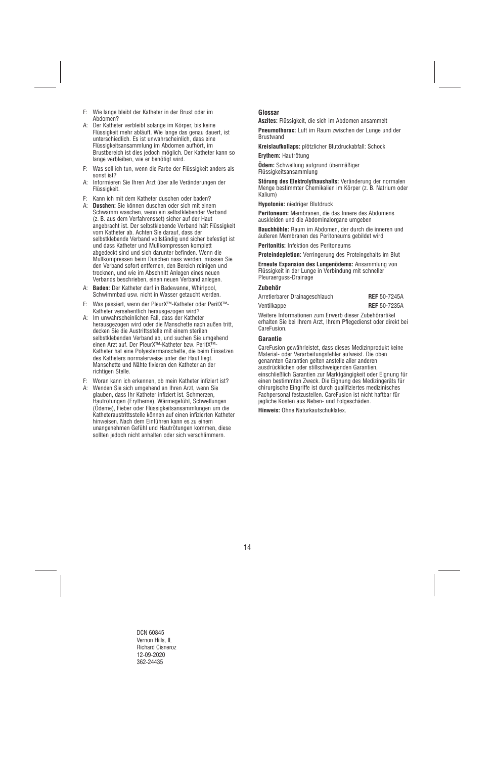- F: Wie lange bleibt der Katheter in der Brust oder im Abdomen?
- A: Der Katheter verbleibt solange im Körper, bis keine Flüssigkeit mehr abläuft. Wie lange das genau dauert, ist unterschiedlich. Es ist unwahrscheinlich, dass eine Flüssigkeitsansammlung im Abdomen aufhört, im Brustbereich ist dies jedoch möglich. Der Katheter kann so lange verbleiben, wie er benötigt wird.
- F: Was soll ich tun, wenn die Farbe der Flüssigkeit anders als sonst ist?
- A: Informieren Sie Ihren Arzt über alle Veränderungen der Flüssigkeit.
- F: Kann ich mit dem Katheter duschen oder baden?<br>A: **Duschen:** Sie können duschen oder sich mit eine
- **Duschen:** Sie können duschen oder sich mit einem Schwamm waschen, wenn ein selbstklebender Verband (z. B. aus dem Verfahrensset) sicher auf der Haut angebracht ist. Der selbstklebende Verband hält Flüssigkeit vom Katheter ab. Achten Sie darauf, dass der selbstklebende Verband vollständig und sicher befestigt ist und dass Katheter und Mullkompressen komplett abgedeckt sind und sich darunter befinden. Wenn die Mullkompressen beim Duschen nass werden, müssen Sie den Verband sofort entfernen, den Bereich reinigen und trocknen, und wie im Abschnitt Anlegen eines neuen Verbands beschrieben, einen neuen Verband anlegen.
- A: **Baden:** Der Katheter darf in Badewanne, Whirlpool, Schwimmbad usw. nicht in Wasser getaucht werden.
- F: Was passiert, wenn der PleurX™-Katheter oder PeritX™- Katheter versehentlich herausgezogen wird?
- A: Im unwahrscheinlichen Fall, dass der Katheter herausgezogen wird oder die Manschette nach außen tritt, decken Sie die Austrittsstelle mit einem sterilen selbstklebenden Verband ab, und suchen Sie umgehend einen Arzt auf. Der PleurX™-Katheter bzw. PeritX™- Katheter hat eine Polyestermanschette, die beim Einsetzen des Katheters normalerweise unter der Haut liegt. Manschette und Nähte fixieren den Katheter an der richtigen Stelle.
- F: Woran kann ich erkennen, ob mein Katheter infiziert ist?
- A: Wenden Sie sich umgehend an Ihren Arzt, wenn Sie glauben, dass Ihr Katheter infiziert ist. Schmerzen, Hautrötungen (Erytheme), Wärmegefühl, Schwellungen (Ödeme), Fieber oder Flüssigkeitsansammlungen um die Katheteraustrittsstelle können auf einen infizierten Katheter hinweisen. Nach dem Einführen kann es zu einem unangenehmen Gefühl und Hautrötungen kommen, diese sollten jedoch nicht anhalten oder sich verschlimmern.

## **Glossar**

**Aszites:** Flüssigkeit, die sich im Abdomen ansammelt

**Pneumothorax:** Luft im Raum zwischen der Lunge und der Brustwand

**Kreislaufkollaps:** plötzlicher Blutdruckabfall: Schock

**Erythem:** Hautrötung

**Ödem:** Schwellung aufgrund übermäßiger Flüssigkeitsansammlung

**Störung des Elektrolythaushalts:** Veränderung der normalen Menge bestimmter Chemikalien im Körper (z. B. Natrium oder Kalium)

**Hypotonie:** niedriger Blutdruck

**Peritoneum:** Membranen, die das Innere des Abdomens auskleiden und die Abdominalorgane umgeben

**Bauchhöhle:** Raum im Abdomen, der durch die inneren und äußeren Membranen des Peritoneums gebildet wird

**Peritonitis:** Infektion des Peritoneums

**Proteindepletion:** Verringerung des Proteingehalts im Blut

**Erneute Expansion des Lungenödems:** Ansammlung von Flüssigkeit in der Lunge in Verbindung mit schneller Pleuraerguss-Drainage

#### **Zubehör**

| Arretierbarer Drainageschlauch | <b>REF</b> 50-7245A |
|--------------------------------|---------------------|
| Ventilkappe                    | <b>REF</b> 50-7235A |

Weitere Informationen zum Erwerb dieser Zubehörartikel erhalten Sie bei Ihrem Arzt, Ihrem Pflegedienst oder direkt bei CareFusion.

## **Garantie**

CareFusion gewährleistet, dass dieses Medizinprodukt keine Material- oder Verarbeitungsfehler aufweist. Die oben genannten Garantien gelten anstelle aller anderen ausdrücklichen oder stillschweigenden Garantien, einschließlich Garantien zur Marktgängigkeit oder Eignung für einen bestimmten Zweck. Die Eignung des Medizingeräts für chirurgische Eingriffe ist durch qualifiziertes medizinisches Fachpersonal festzustellen. CareFusion ist nicht haftbar für jegliche Kosten aus Neben- und Folgeschäden.

**Hinweis:** Ohne Naturkautschuklatex.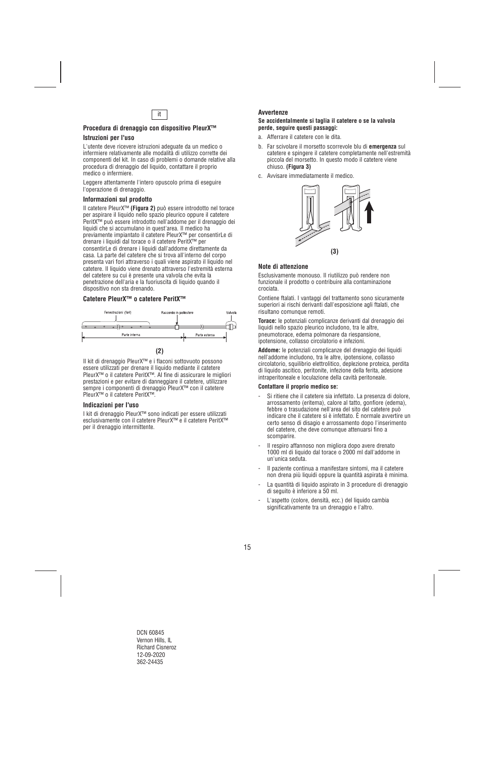

## **Procedura di drenaggio con dispositivo PleurX™**

## **Istruzioni per l'uso**

L'utente deve ricevere istruzioni adeguate da un medico o infermiere relativamente alle modalità di utilizzo corrette dei componenti del kit. In caso di problemi o domande relative alla procedura di drenaggio del liquido, contattare il proprio medico o infermiere.

Leggere attentamente l'intero opuscolo prima di eseguire l'operazione di drenaggio.

## **Informazioni sul prodotto**

Il catetere PleurX™ **(Figura 2)** può essere introdotto nel torace per aspirare il liquido nello spazio pleurico oppure il catetere PeritX™ può essere introdotto nell'addome per il drenaggio dei liquidi che si accumulano in quest'area. Il medico ha previamente impiantato il catetere PleurX™ per consentirLe di drenare i liquidi dal torace o il catetere PeritX™ per consentirLe di drenare i liquidi dall'addome direttamente da casa. La parte del catetere che si trova all'interno del corpo presenta vari fori attraverso i quali viene aspirato il liquido nel catetere. Il liquido viene drenato attraverso l'estremità esterna del catetere su cui è presente una valvola che evita la penetrazione dell'aria e la fuoriuscita di liquido quando il dispositivo non sta drenando.

## **Catetere PleurX™ o catetere PeritX™**



Il kit di drenaggio PleurX™ e i flaconi sottovuoto possono essere utilizzati per drenare il liquido mediante il catetere PleurX™ o il catetere PeritX™. Al fine di assicurare le migliori prestazioni e per evitare di danneggiare il catetere, utilizzare sempre i componenti di drenaggio PleurX™ con il catetere PleurX™ o il catetere PeritX™.

## **Indicazioni per l'uso**

I kit di drenaggio PleurX™ sono indicati per essere utilizzati esclusivamente con il catetere PleurX™ e il catetere PeritX™ per il drenaggio intermittente.

## **Avvertenze**

#### **Se accidentalmente si taglia il catetere o se la valvola perde, seguire questi passaggi:**

- a. Afferrare il catetere con le dita.
- b. Far scivolare il morsetto scorrevole blu di **emergenza** sul catetere e spingere il catetere completamente nell'estremità piccola del morsetto. In questo modo il catetere viene chiuso. **(Figura 3)**
- c. Avvisare immediatamente il medico.



## **Note di attenzione**

Esclusivamente monouso. Il riutilizzo può rendere non funzionale il prodotto o contribuire alla contaminazione crociata.

Contiene ftalati. I vantaggi del trattamento sono sicuramente superiori ai rischi derivanti dall'esposizione agli ftalati, che risultano comunque remoti.

**Torace:** le potenziali complicanze derivanti dal drenaggio dei liquidi nello spazio pleurico includono, tra le altre, pneumotorace, edema polmonare da riespansione, ipotensione, collasso circolatorio e infezioni.

**Addome:** le potenziali complicanze del drenaggio dei liquidi nell'addome includono, tra le altre, ipotensione, collasso circolatorio, squilibrio elettrolitico, deplezione proteica, perdita di liquido ascitico, peritonite, infezione della ferita, adesione intraperitoneale e loculazione della cavità peritoneale.

#### **Contattare il proprio medico se:**

- Si ritiene che il catetere sia infettato. La presenza di dolore, arrossamento (eritema), calore al tatto, gonfiore (edema), febbre o trasudazione nell'area del sito del catetere può indicare che il catetere si è infettato. È normale avvertire un certo senso di disagio e arrossamento dopo l'inserimento del catetere, che deve comunque attenuarsi fino a scomparire.
- Il respiro affannoso non migliora dopo avere drenato 1000 ml di liquido dal torace o 2000 ml dall'addome in un'unica seduta.
- Il paziente continua a manifestare sintomi, ma il catetere non drena più liquidi oppure la quantità aspirata è minima.
- La quantità di liquido aspirato in 3 procedure di drenaggio di seguito è inferiore a 50 ml.
- L'aspetto (colore, densità, ecc.) del liquido cambia significativamente tra un drenaggio e l'altro.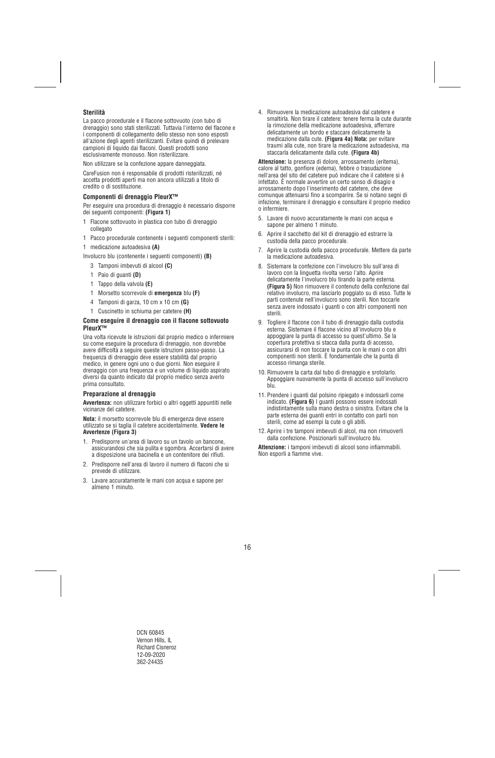## **Sterilità**

La pacco procedurale e il flacone sottovuoto (con tubo di drenaggio) sono stati sterilizzati. Tuttavia l'interno del flacone e i componenti di collegamento dello stesso non sono esposti all'azione degli agenti sterilizzanti. Evitare quindi di prelevare campioni di liquido dai flaconi. Questi prodotti sono esclusivamente monouso. Non risterilizzare.

Non utilizzare se la confezione appare danneggiata.

CareFusion non è responsabile di prodotti risterilizzati, né accetta prodotti aperti ma non ancora utilizzati a titolo di credito o di sostituzione.

## **Componenti di drenaggio PleurX™**

Per eseguire una procedura di drenaggio è necessario disporre dei seguenti componenti: **(Figura 1)** 

- 1 Flacone sottovuoto in plastica con tubo di drenaggio collegato
- 1 Pacco procedurale contenente i seguenti componenti sterili:
- 1 medicazione autoadesiva **(A)**
- Involucro blu (contenente i seguenti componenti) **(B)** 
	- 3 Tamponi imbevuti di alcool **(C)**
	- 1 Paio di guanti **(D)**
	- 1 Tappo della valvola **(E)**
	- 1 Morsetto scorrevole di **emergenza** blu **(F)**
	- 4 Tamponi di garza, 10 cm x 10 cm **(G)**
	- 1 Cuscinetto in schiuma per catetere **(H)**

#### **Come eseguire il drenaggio con il flacone sottovuoto PleurX™**

Una volta ricevute le istruzioni dal proprio medico o infermiere su come eseguire la procedura di drenaggio, non dovrebbe avere difficoltà a seguire queste istruzioni passo-passo. La frequenza di drenaggio deve essere stabilità dal proprio medico, in genere ogni uno o due giorni. Non eseguire il drenaggio con una frequenza e un volume di liquido aspirato diversi da quanto indicato dal proprio medico senza averlo prima consultato.

## **Preparazione al drenaggio**

**Avvertenza:** non utilizzare forbici o altri oggetti appuntiti nelle vicinanze del catetere.

**Nota:** il morsetto scorrevole blu di emergenza deve essere utilizzato se si taglia il catetere accidentalmente. **Vedere le Avvertenze (Figura 3)** 

- 1. Predisporre un'area di lavoro su un tavolo un bancone, assicurandosi che sia pulita e sgombra. Accertarsi di avere a disposizione una bacinella e un contenitore dei rifiuti.
- 2. Predisporre nell'area di lavoro il numero di flaconi che si prevede di utilizzare.
- 3. Lavare accuratamente le mani con acqua e sapone per almeno 1 minuto.

4. Rimuovere la medicazione autoadesiva dal catetere e smaltirla. Non tirare il catetere: tenere ferma la cute durante la rimozione della medicazione autoadesiva, afferrare delicatamente un bordo e staccare delicatamente la medicazione dalla cute. **(Figura 4a) Nota:** per evitare traumi alla cute, non tirare la medicazione autoadesiva, ma staccarla delicatamente dalla cute. **(Figura 4b)**

**Attenzione:** la presenza di dolore, arrossamento (eritema), calore al tatto, gonfiore (edema), febbre o trasudazione nell'area del sito del catetere può indicare che il catetere si è infettato. È normale avvertire un certo senso di disagio e arrossamento dopo l'inserimento del catetere, che deve comunque attenuarsi fino a scomparire. Se si notano segni di infezione, terminare il drenaggio e consultare il proprio medico o infermiere.

- 5. Lavare di nuovo accuratamente le mani con acqua e sapone per almeno 1 minuto.
- 6. Aprire il sacchetto del kit di drenaggio ed estrarre la custodia della pacco procedurale.
- 7. Aprire la custodia della pacco procedurale. Mettere da parte la medicazione autoadesiva.
- 8. Sistemare la confezione con l'involucro blu sull'area di lavoro con la linguetta rivolta verso l'alto. Aprire delicatamente l'involucro blu tirando la parte esterna. **(Figura 5)** Non rimuovere il contenuto della confezione dal relativo involucro, ma lasciarlo poggiato su di esso. Tutte le parti contenute nell'involucro sono sterili. Non toccarle senza avere indossato i guanti o con altri componenti non sterili.
- 9. Togliere il flacone con il tubo di drenaggio dalla custodia esterna. Sistemare il flacone vicino all'involucro blu e appoggiare la punta di accesso su quest'ultimo. Se la copertura protettiva si stacca dalla punta di accesso, assicurarsi di non toccare la punta con le mani o con altri componenti non sterili. È fondamentale che la punta di accesso rimanga sterile.
- 10. Rimuovere la carta dal tubo di drenaggio e srotolarlo. Appoggiare nuovamente la punta di accesso sull'involucro blu.
- 11. Prendere i guanti dal polsino ripiegato e indossarli come indicato. **(Figura 6)** I guanti possono essere indossati indistintamente sulla mano destra o sinistra. Evitare che la parte esterna dei guanti entri in contatto con parti non sterili, come ad esempi la cute o gli abiti.
- 12. Aprire i tre tamponi imbevuti di alcol, ma non rimuoverli dalla confezione. Posizionarli sull'involucro blu.

**Attenzione:** i tamponi imbevuti di alcool sono infiammabili. Non esporli a fiamme vive.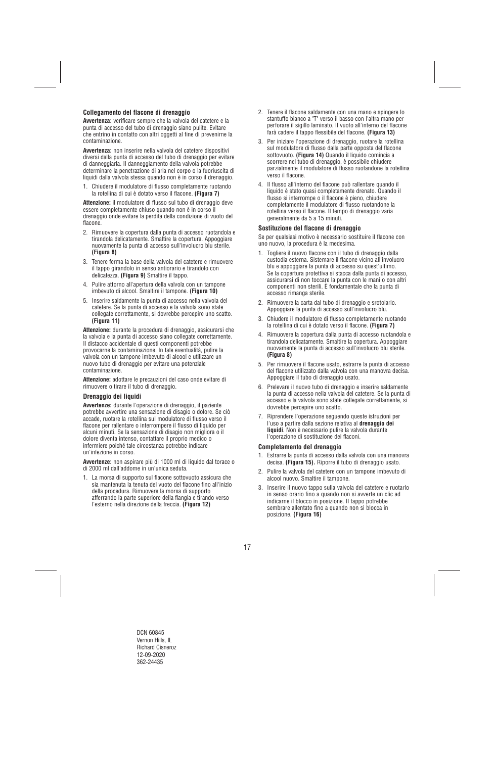## **Collegamento del flacone di drenaggio**

**Avvertenza:** verificare sempre che la valvola del catetere e la punta di accesso del tubo di drenaggio siano pulite. Evitare che entrino in contatto con altri oggetti al fine di prevenirne la contaminazione.

**Avvertenza:** non inserire nella valvola del catetere dispositivi diversi dalla punta di accesso del tubo di drenaggio per evitare di danneggiarla. Il danneggiamento della valvola potrebbe determinare la penetrazione di aria nel corpo o la fuoriuscita di liquidi dalla valvola stessa quando non è in corso il drenaggio.

1. Chiudere il modulatore di flusso completamente ruotando la rotellina di cui è dotato verso il flacone. **(Figura 7)** 

**Attenzione:** il modulatore di flusso sul tubo di drenaggio deve essere completamente chiuso quando non è in corso il drenaggio onde evitare la perdita della condizione di vuoto del flacone.

- 2. Rimuovere la copertura dalla punta di accesso ruotandola e tirandola delicatamente. Smaltire la copertura. Appoggiare nuovamente la punta di accesso sull'involucro blu sterile. **(Figura 8)**
- 3. Tenere ferma la base della valvola del catetere e rimuovere il tappo girandolo in senso antiorario e tirandolo con delicatezza. **(Figura 9)** Smaltire il tappo.
- 4. Pulire attorno all'apertura della valvola con un tampone imbevuto di alcool. Smaltire il tampone. **(Figura 10)**
- 5. Inserire saldamente la punta di accesso nella valvola del catetere. Se la punta di accesso e la valvola sono state collegate correttamente, si dovrebbe percepire uno scatto. **(Figura 11)**

**Attenzione:** durante la procedura di drenaggio, assicurarsi che la valvola e la punta di accesso siano collegate correttamente. Il distacco accidentale di questi componenti potrebbe provocarne la contaminazione. In tale eventualità, pulire la valvola con un tampone imbevuto di alcool e utilizzare un nuovo tubo di drenaggio per evitare una potenziale contaminazione.

**Attenzione:** adottare le precauzioni del caso onde evitare di rimuovere o tirare il tubo di drenaggio.

## **Drenaggio dei liquidi**

**Avvertenze:** durante l'operazione di drenaggio, il paziente potrebbe avvertire una sensazione di disagio o dolore. Se ciò accade, ruotare la rotellina sul modulatore di flusso verso il flacone per rallentare o interrompere il flusso di liquido per alcuni minuti. Se la sensazione di disagio non migliora o il dolore diventa intenso, contattare il proprio medico o infermiere poiché tale circostanza potrebbe indicare un'infezione in corso.

**Avvertenze:** non aspirare più di 1000 ml di liquido dal torace o di 2000 ml dall'addome in un'unica seduta.

1. La morsa di supporto sul flacone sottovuoto assicura che sia mantenuta la tenuta del vuoto del flacone fino all'inizio della procedura. Rimuovere la morsa di supporto afferrando la parte superiore della flangia e tirando verso l'esterno nella direzione della freccia. **(Figura 12)** 

- 2. Tenere il flacone saldamente con una mano e spingere lo stantuffo bianco a "T" verso il basso con l'altra mano per perforare il sigillo laminato. Il vuoto all'interno del flacone farà cadere il tappo flessibile del flacone. **(Figura 13)**
- 3. Per iniziare l'operazione di drenaggio, ruotare la rotellina sul modulatore di flusso dalla parte opposta del flacone sottovuoto. **(Figura 14)** Quando il liquido comincia a scorrere nel tubo di drenaggio, è possibile chiudere parzialmente il modulatore di flusso ruotandone la rotellina verso il flacone.
- 4. Il flusso all'interno del flacone può rallentare quando il liquido è stato quasi completamente drenato. Quando il flusso si interrompe o il flacone è pieno, chiudere completamente il modulatore di flusso ruotandone la rotellina verso il flacone. Il tempo di drenaggio varia generalmente da 5 a 15 minuti.

## **Sostituzione del flacone di drenaggio**

Se per qualsiasi motivo è necessario sostituire il flacone con uno nuovo, la procedura è la medesima.

- 1. Togliere il nuovo flacone con il tubo di drenaggio dalla custodia esterna. Sistemare il flacone vicino all'involucro blu e appoggiare la punta di accesso su quest'ultimo. Se la copertura protettiva si stacca dalla punta di accesso, assicurarsi di non toccare la punta con le mani o con altri componenti non sterili. È fondamentale che la punta di accesso rimanga sterile.
- 2. Rimuovere la carta dal tubo di drenaggio e srotolarlo. Appoggiare la punta di accesso sull'involucro blu.
- 3. Chiudere il modulatore di flusso completamente ruotando la rotellina di cui è dotato verso il flacone. **(Figura 7)**
- 4. Rimuovere la copertura dalla punta di accesso ruotandola e tirandola delicatamente. Smaltire la copertura. Appoggiare nuovamente la punta di accesso sull'involucro blu sterile. **(Figura 8)**
- 5. Per rimuovere il flacone usato, estrarre la punta di accesso del flacone utilizzato dalla valvola con una manovra decisa. Appoggiare il tubo di drenaggio usato.
- 6. Prelevare il nuovo tubo di drenaggio e inserire saldamente la punta di accesso nella valvola del catetere. Se la punta di accesso e la valvola sono state collegate correttamente, si dovrebbe percepire uno scatto.
- 7. Riprendere l'operazione seguendo queste istruzioni per l'uso a partire dalla sezione relativa al **drenaggio dei liquidi**. Non è necessario pulire la valvola durante l'operazione di sostituzione dei flaconi.

#### **Completamento del drenaggio**

- 1. Estrarre la punta di accesso dalla valvola con una manovra decisa. **(Figura 15).** Riporre il tubo di drenaggio usato.
- 2. Pulire la valvola del catetere con un tampone imbevuto di alcool nuovo. Smaltire il tampone.
- 3. Inserire il nuovo tappo sulla valvola del catetere e ruotarlo in senso orario fino a quando non si avverte un clic ad indicarne il blocco in posizione. Il tappo potrebbe sembrare allentato fino a quando non si blocca in posizione. **(Figura 16)**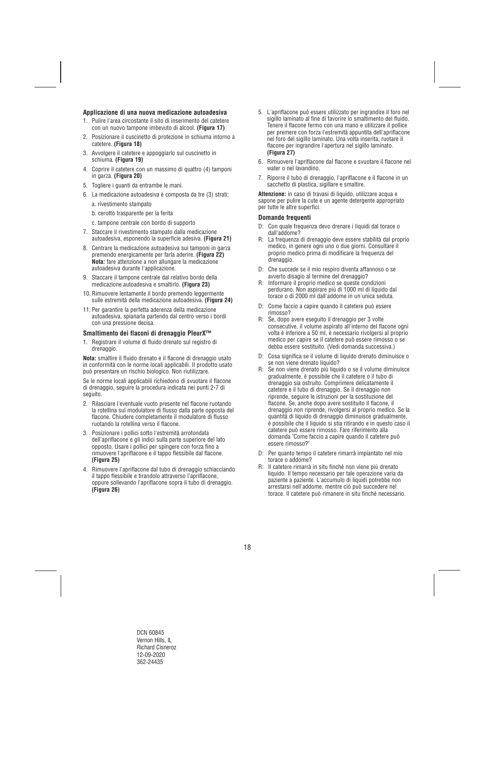## **Applicazione di una nuova medicazione autoadesiva**

- 1. Pulire l'area circostante il sito di inserimento del catetere con un nuovo tampone imbevuto di alcool. **(Figura 17)**
- 2. Posizionare il cuscinetto di protezione in schiuma intorno a catetere. **(Figura 18)**
- 3. Avvolgere il catetere e appoggiarlo sul cuscinetto in schiuma. **(Figura 19)**
- 4. Coprire il catetere con un massimo di quattro (4) tamponi in garza. **(Figura 20)**
- 5. Togliere i guanti da entrambe le mani.
- 6. La medicazione autoadesiva è composta da tre (3) strati:
	- a. rivestimento stampato
	- b. cerotto trasparente per la ferita
	- c. tampone centrale con bordo di supporto
- 7. Staccare il rivestimento stampato dalla medicazione autoadesiva, esponendo la superficie adesiva. **(Figura 21)**
- 8. Centrare la medicazione autoadesiva sui tamponi in garza premendo energicamente per farla aderire. **(Figura 22) Nota:** fare attenzione a non allungare la medicazione autoadesiva durante l'applicazione.
- 9. Staccare il tampone centrale dal relativo bordo della medicazione autoadesiva e smaltirlo. **(Figura 23)**
- 10. Rimuovere lentamente il bordo premendo leggermente sulle estremità della medicazione autoadesiva. **(Figura 24)**
- 11. Per garantire la perfetta aderenza della medicazione autoadesiva, spianarla partendo dal centro verso i bordi con una pressione decisa.

#### **Smaltimento dei flaconi di drenaggio PleurX™**

1. Registrare il volume di fluido drenato sul registro di drenaggio.

**Nota:** smaltire il fluido drenato e il flacone di drenaggio usato in conformità con le norme locali applicabili. Il prodotto usato può presentare un rischio biologico. Non riutilizzare.

Se le norme locali applicabili richiedono di svuotare il flacone di drenaggio, seguire la procedura indicata nei punti 2-7 di seguito.

- 2. Rilasciare l'eventuale vuoto presente nel flacone ruotando la rotellina sul modulatore di flusso dalla parte opposta del flacone. Chiudere completamente il modulatore di flusso ruotando la rotellina verso il flacone.
- 3. Posizionare i pollici sotto l'estremità arrotondata dell'apriflacone e gli indici sulla parte superiore del lato opposto. Usare i pollici per spingere con forza fino a rimuovere l'apriflacone e il tappo flessibile dal flacone. **(Figura 25)**
- 4. Rimuovere l'apriflacone dal tubo di drenaggio schiacciando il tappo flessibile e tirandolo attraverso l'apriflacone, oppure sollevando l'apriflacone sopra il tubo di drenaggio. **(Figura 26)**
- 5. L'apriflacone può essere utilizzato per ingrandire il foro nel sigillo laminato al fine di favorire lo smaltimento del fluido. Tenere il flacone fermo con una mano e utilizzare il pollice per premere con forza l'estremità appuntita dell'apriflacone nel foro del sigillo laminato. Una volta inserita, ruotare il flacone per ingrandire l'apertura nel sigillo laminato. **(Figura 27)**
- 6. Rimuovere l'apriflacone dal flacone e svuotare il flacone nel water o nel lavandino.
- 7. Riporre il tubo di drenaggio, l'apriflacone e il flacone in un sacchetto di plastica, sigillare e smaltire.

**Attenzione:** in caso di travasi di liquido, utilizzare acqua e sapone per pulire la cute e un agente detergente appropriato per tutte le altre superfici.

#### **Domande frequenti**

- D: Con quale frequenza devo drenare i liquidi dal torace o dall'addome?
- R: La frequenza di drenaggio deve essere stabilità dal proprio medico, in genere ogni uno o due giorni. Consultare il proprio medico prima di modificare la frequenza del drenaggio.
- D: Che succede se il mio respiro diventa affannoso o se avverto disagio al termine del drenaggio?
- R: Informare il proprio medico se queste condizioni perdurano. Non aspirare più di 1000 ml di liquido dal torace o di 2000 ml dall'addome in un'unica seduta.
- D: Come faccio a capire quando il catetere può essere rimosso?
- R: Se, dopo avere eseguito il drenaggio per 3 volte consecutive, il volume aspirato all'interno del flacone ogni volta è inferiore a 50 ml, è necessario rivolgersi al proprio medico per capire se il catetere può essere rimosso o se debba essere sostituito. (Vedi domanda successiva.)
- D: Cosa significa se il volume di liquido drenato diminuisce o se non viene drenato liquido?
- R: Se non viene drenato più liquido o se il volume diminuisce gradualmente, è possibile che il catetere o il tubo di drenaggio sia ostruito. Comprimere delicatamente il catetere e il tubo di drenaggio. Se il drenaggio non riprende, seguire le istruzioni per la sostituzione del flacone. Se, anche dopo avere sostituito il flacone, il drenaggio non riprende, rivolgersi al proprio medico. Se la quantità di liquido di drenaggio diminuisce gradualmente, è possibile che il liquido si stia ritirando e in questo caso il catetere può essere rimosso. Fare riferimento alla domanda "Come faccio a capire quando il catetere può essere rimosso?"
- D: Per quanto tempo il catetere rimarrà impiantato nel mio torace o addome?
- R: Il catetere rimarrà in situ finché non viene più drenato liquido. Il tempo necessario per tale operazione varia da paziente a paziente. L'accumulo di liquidi potrebbe non arrestarsi nell'addome, mentre ciò può succedere nel torace. Il catetere può rimanere in situ finché necessario.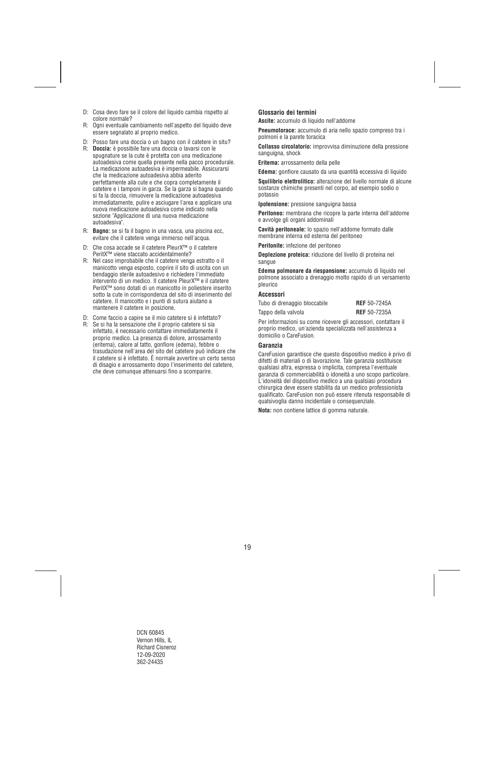- D: Cosa devo fare se il colore del liquido cambia rispetto al colore normale?
- R: Ogni eventuale cambiamento nell'aspetto del liquido deve essere segnalato al proprio medico.
- D: Posso fare una doccia o un bagno con il catetere in situ?
- R: **Doccia:** è possibile fare una doccia o lavarsi con le spugnature se la cute è protetta con una medicazione autoadesiva come quella presente nella pacco procedurale. La medicazione autoadesiva è impermeabile. Assicurarsi che la medicazione autoadesiva abbia aderito perfettamente alla cute e che copra completamente il catetere e i tamponi in garza. Se la garza si bagna quando si fa la doccia, rimuovere la medicazione autoadesiva immediatamente, pulire e asciugare l'area e applicare una nuova medicazione autoadesiva come indicato nella sezione "Applicazione di una nuova medicazione autoadesiva".
- R: **Bagno:** se si fa il bagno in una vasca, una piscina ecc, evitare che il catetere venga immerso nell'acqua.
- D: Che cosa accade se il catetere PleurX™ o il catetere PeritX™ viene staccato accidentalmente?
- R: Nel caso improbabile che il catetere venga estratto o il manicotto venga esposto, coprire il sito di uscita con un bendaggio sterile autoadesivo e richiedere l'immediato intervento di un medico. Il catetere PleurX™ e il catetere PeritX™ sono dotati di un manicotto in poliestere inserito sotto la cute in corrispondenza del sito di inserimento del catetere. Il manicotto e i punti di sutura aiutano a mantenere il catetere in posizione.
- D: Come faccio a capire se il mio catetere si è infettato?
- R: Se si ha la sensazione che il proprio catetere si sia infettato, è necessario contattare immediatamente il proprio medico. La presenza di dolore, arrossamento (eritema), calore al tatto, gonfiore (edema), febbre o trasudazione nell'area del sito del catetere può indicare che il catetere si è infettato. È normale avvertire un certo senso di disagio e arrossamento dopo l'inserimento del catetere, che deve comunque attenuarsi fino a scomparire.

## **Glossario dei termini**

**Ascite:** accumulo di liquido nell'addome

**Pneumotorace:** accumulo di aria nello spazio compreso tra i polmoni e la parete toracica

**Collasso circolatorio:** improvvisa diminuzione della pressione sanguigna, shock

**Eritema:** arrossamento della pelle

**Edema:** gonfiore causato da una quantità eccessiva di liquido

**Squilibrio elettrolitico:** alterazione del livello normale di alcune sostanze chimiche presenti nel corpo, ad esempio sodio o potassio

**Ipotensione:** pressione sanguigna bassa

**Peritoneo:** membrana che ricopre la parte interna dell'addome e avvolge gli organi addominali

**Cavità peritoneale:** lo spazio nell'addome formato dalle membrane interna ed esterna del peritoneo

**Peritonite:** infezione del peritoneo

**Deplezione proteica:** riduzione del livello di proteina nel sangue

**Edema polmonare da riespansione:** accumulo di liquido nel polmone associato a drenaggio molto rapido di un versamento pleurico

#### **Accessori**

| Tubo di drenaggio bloccabile | <b>REF</b> 50-7245A |
|------------------------------|---------------------|
| Tappo della valvola          | <b>REF</b> 50-7235A |

Per informazioni su come ricevere gli accessori, contattare il proprio medico, un'azienda specializzata nell'assistenza a domicilio o CareFusion.

#### **Garanzia**

CareFusion garantisce che questo dispositivo medico è privo di difetti di materiali o di lavorazione. Tale garanzia sostituisce qualsiasi altra, espressa o implicita, compresa l'eventuale garanzia di commerciabilità o idoneità a uno scopo particolare. L'idoneità del dispositivo medico a una qualsiasi procedura chirurgica deve essere stabilita da un medico professionista qualificato. CareFusion non può essere ritenuta responsabile di qualsivoglia danno incidentale o consequenziale.

**Nota:** non contiene lattice di gomma naturale.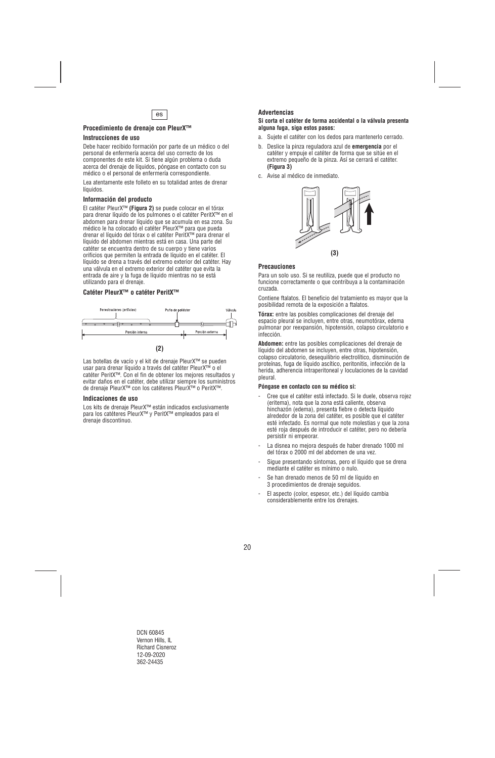

## **Procedimiento de drenaje con PleurX™**

#### **Instrucciones de uso**

Debe hacer recibido formación por parte de un médico o del personal de enfermería acerca del uso correcto de los componentes de este kit. Si tiene algún problema o duda acerca del drenaje de líquidos, póngase en contacto con su médico o el personal de enfermería correspondiente.

Lea atentamente este folleto en su totalidad antes de drenar líquidos.

#### **Información del producto**

El catéter PleurX™ **(Figura 2)** se puede colocar en el tórax para drenar líquido de los pulmones o el catéter PeritX™ en el abdomen para drenar líquido que se acumula en esa zona. Su médico le ha colocado el catéter PleurX™ para que pueda drenar el líquido del tórax o el catéter PeritX™ para drenar el líquido del abdomen mientras está en casa. Una parte del catéter se encuentra dentro de su cuerpo y tiene varios orificios que permiten la entrada de líquido en el catéter. El líquido se drena a través del extremo exterior del catéter. Hay una válvula en el extremo exterior del catéter que evita la entrada de aire y la fuga de líquido mientras no se está utilizando para el drenaje.

## **Catéter PleurX™ o catéter PeritX™**



Las botellas de vacío y el kit de drenaje PleurX™ se pueden usar para drenar líquido a través del catéter PleurX™ o el catéter PeritX™. Con el fin de obtener los mejores resultados y evitar daños en el catéter, debe utilizar siempre los suministros de drenaje PleurX™ con los catéteres PleurX™ o PeritX™.

#### **Indicaciones de uso**

Los kits de drenaje PleurX™ están indicados exclusivamente para los catéteres PleurX™ y PeritX™ empleados para el drenaje discontinuo.

### **Advertencias**

#### **Si corta el catéter de forma accidental o la válvula presenta alguna fuga, siga estos pasos:**

- a. Sujete el catéter con los dedos para mantenerlo cerrado.
- b. Deslice la pinza reguladora azul de **emergencia** por el catéter y empuje el catéter de forma que se sitúe en el extremo pequeño de la pinza. Así se cerrará el catéter. **(Figura 3)**
- c. Avise al médico de inmediato.



#### **Precauciones**

Para un solo uso. Si se reutiliza, puede que el producto no funcione correctamente o que contribuya a la contaminación cruzada.

Contiene ftalatos. El beneficio del tratamiento es mayor que la posibilidad remota de la exposición a ftalatos.

**Tórax:** entre las posibles complicaciones del drenaje del espacio pleural se incluyen, entre otras, neumotórax, edema pulmonar por reexpansión, hipotensión, colapso circulatorio e infección.

**Abdomen:** entre las posibles complicaciones del drenaje de líquido del abdomen se incluyen, entre otras, hipotensión, colapso circulatorio, desequilibrio electrolítico, disminución de proteínas, fuga de líquido ascítico, peritonitis, infección de la herida, adherencia intraperitoneal y loculaciones de la cavidad pleural.

#### **Póngase en contacto con su médico si:**

- Cree que el catéter está infectado. Si le duele, observa rojez (eritema), nota que la zona está caliente, observa hinchazón (edema), presenta fiebre o detecta líquido alrededor de la zona del catéter, es posible que el catéter esté infectado. Es normal que note molestias y que la zona esté roja después de introducir el catéter, pero no debería persistir ni empeorar.
- La disnea no mejora después de haber drenado 1000 ml del tórax o 2000 ml del abdomen de una vez.
- Sigue presentando síntomas, pero el líquido que se drena mediante el catéter es mínimo o nulo.
- Se han drenado menos de 50 ml de líquido en 3 procedimientos de drenaje seguidos.
- El aspecto (color, espesor, etc.) del líquido cambia considerablemente entre los drenajes.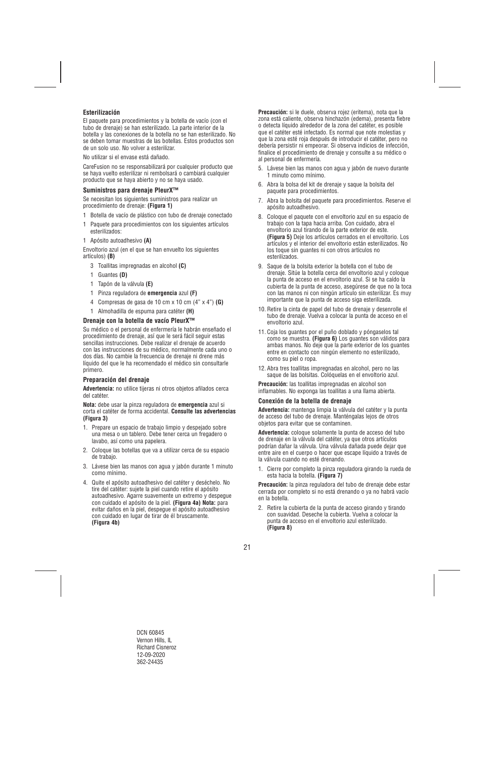## **Esterilización**

El paquete para procedimientos y la botella de vacío (con el tubo de drenaje) se han esterilizado. La parte interior de la botella y las conexiones de la botella no se han esterilizado. No se deben tomar muestras de las botellas. Estos productos son de un solo uso. No volver a esterilizar.

No utilizar si el envase está dañado.

CareFusion no se responsabilizará por cualquier producto que se haya vuelto esterilizar ni rembolsará o cambiará cualquier producto que se haya abierto y no se haya usado.

## **Suministros para drenaje PleurX™**

Se necesitan los siguientes suministros para realizar un procedimiento de drenaje: **(Figura 1)**

- 1 Botella de vacío de plástico con tubo de drenaje conectado
- 1 Paquete para procedimientos con los siguientes artículos esterilizados:
- 1 Apósito autoadhesivo **(A)**

Envoltorio azul (en el que se han envuelto los siguientes artículos) **(B)**

- 3 Toallitas impregnadas en alcohol **(C)**
- 1 Guantes **(D)**
- 1 Tapón de la válvula **(E)**
- 1 Pinza reguladora de **emergencia** azul **(F)**
- 4 Compresas de gasa de 10 cm x 10 cm (4" x 4") **(G)**
- 1 Almohadilla de espuma para catéter **(H)**

## **Drenaje con la botella de vacío PleurX™**

Su médico o el personal de enfermería le habrán enseñado el procedimiento de drenaje, así que le será fácil seguir estas sencillas instrucciones. Debe realizar el drenaje de acuerdo con las instrucciones de su médico, normalmente cada uno o dos días. No cambie la frecuencia de drenaje ni drene más líquido del que le ha recomendado el médico sin consultarle primero.

#### **Preparación del drenaje**

**Advertencia:** no utilice tijeras ni otros objetos afilados cerca del catéter.

**Nota:** debe usar la pinza reguladora de **emergencia** azul si corta el catéter de forma accidental. **Consulte las advertencias (Figura 3)** 

- 1. Prepare un espacio de trabajo limpio y despejado sobre una mesa o un tablero. Debe tener cerca un fregadero o lavabo, así como una papelera.
- 2. Coloque las botellas que va a utilizar cerca de su espacio de trabajo.
- 3. Lávese bien las manos con agua y jabón durante 1 minuto como mínimo.
- 4. Quite el apósito autoadhesivo del catéter y deséchelo. No tire del catéter: sujete la piel cuando retire el apósito autoadhesivo. Agarre suavemente un extremo y despegue con cuidado el apósito de la piel. **(Figura 4a) Nota:** para evitar daños en la piel, despegue el apósito autoadhesivo con cuidado en lugar de tirar de él bruscamente. **(Figura 4b)**

**Precaución:** si le duele, observa rojez (eritema), nota que la zona está caliente, observa hinchazón (edema), presenta fiebre o detecta líquido alrededor de la zona del catéter, es posible que el catéter esté infectado. Es normal que note molestias y que la zona esté roja después de introducir el catéter, pero no debería persistir ni empeorar. Si observa indicios de infección, finalice el procedimiento de drenaje y consulte a su médico o al personal de enfermería.

- 5. Lávese bien las manos con agua y jabón de nuevo durante 1 minuto como mínimo.
- 6. Abra la bolsa del kit de drenaje y saque la bolsita del paquete para procedimientos.
- 7. Abra la bolsita del paquete para procedimientos. Reserve el apósito autoadhesivo.
- 8. Coloque el paquete con el envoltorio azul en su espacio de trabajo con la tapa hacia arriba. Con cuidado, abra el envoltorio azul tirando de la parte exterior de este. **(Figura 5)** Deje los artículos cerrados en el envoltorio. Los artículos y el interior del envoltorio están esterilizados. No los toque sin guantes ni con otros artículos no esterilizados.
- 9. Saque de la bolsita exterior la botella con el tubo de drenaje. Sitúe la botella cerca del envoltorio azul y coloque la punta de acceso en el envoltorio azul. Si se ha caído la cubierta de la punta de acceso, asegúrese de que no la toca con las manos ni con ningún artículo sin esterilizar. Es muy importante que la punta de acceso siga esterilizada.
- 10. Retire la cinta de papel del tubo de drenaje y desenrolle el tubo de drenaje. Vuelva a colocar la punta de acceso en el envoltorio azul.
- 11. Coja los guantes por el puño doblado y póngaselos tal como se muestra. **(Figura 6)** Los guantes son válidos para ambas manos. No deje que la parte exterior de los guantes entre en contacto con ningún elemento no esterilizado, como su piel o ropa.
- 12. Abra tres toallitas impregnadas en alcohol, pero no las saque de las bolsitas. Colóquelas en el envoltorio azul.

**Precaución:** las toallitas impregnadas en alcohol son inflamables. No exponga las toallitas a una llama abierta.

#### **Conexión de la botella de drenaje**

**Advertencia:** mantenga limpia la válvula del catéter y la punta de acceso del tubo de drenaje. Manténgalas lejos de otros objetos para evitar que se contaminen.

**Advertencia:** coloque solamente la punta de acceso del tubo de drenaje en la válvula del catéter, ya que otros artículos podrían dañar la válvula. Una válvula dañada puede dejar que entre aire en el cuerpo o hacer que escape líquido a través de la válvula cuando no esté drenando.

1. Cierre por completo la pinza reguladora girando la rueda de esta hacia la botella. **(Figura 7)** 

**Precaución:** la pinza reguladora del tubo de drenaje debe estar cerrada por completo si no está drenando o ya no habrá vacío en la botella.

2. Retire la cubierta de la punta de acceso girando y tirando con suavidad. Deseche la cubierta. Vuelva a colocar la punta de acceso en el envoltorio azul esterilizado. **(Figura 8)**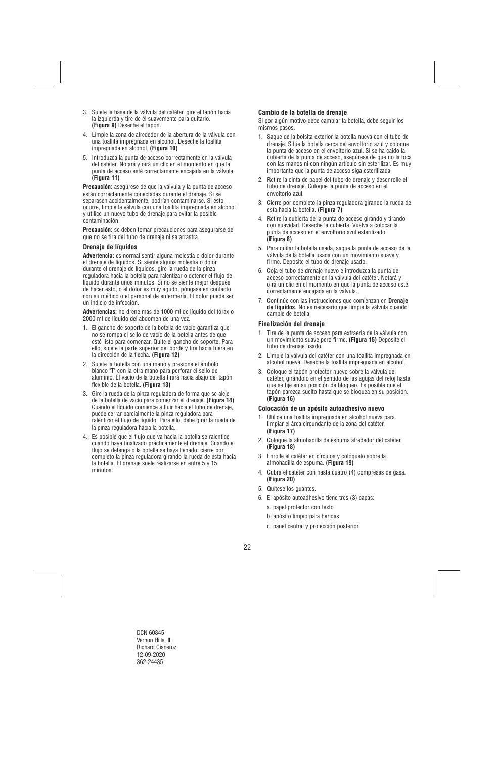- 3. Sujete la base de la válvula del catéter, gire el tapón hacia la izquierda y tire de él suavemente para quitarlo. **(Figura 9)** Deseche el tapón.
- 4. Limpie la zona de alrededor de la abertura de la válvula con una toallita impregnada en alcohol. Deseche la toallita impregnada en alcohol. **(Figura 10)**
- 5. Introduzca la punta de acceso correctamente en la válvula del catéter. Notará y oirá un clic en el momento en que la punta de acceso esté correctamente encajada en la válvula. **(Figura 11)**

**Precaución:** asegúrese de que la válvula y la punta de acceso están correctamente conectadas durante el drenaje. Si se separasen accidentalmente, podrían contaminarse. Si esto ocurre, limpie la válvula con una toallita impregnada en alcohol y utilice un nuevo tubo de drenaje para evitar la posible contaminación.

**Precaución:** se deben tomar precauciones para asegurarse de que no se tira del tubo de drenaje ni se arrastra.

## **Drenaje de líquidos**

**Advertencia:** es normal sentir alguna molestia o dolor durante el drenaje de líquidos. Si siente alguna molestia o dolor durante el drenaje de líquidos, gire la rueda de la pinza reguladora hacia la botella para ralentizar o detener el flujo de líquido durante unos minutos. Si no se siente mejor después de hacer esto, o el dolor es muy agudo, póngase en contacto con su médico o el personal de enfermería. El dolor puede ser un indicio de infección.

**Advertencias:** no drene más de 1000 ml de líquido del tórax o 2000 ml de líquido del abdomen de una vez.

- 1. El gancho de soporte de la botella de vacío garantiza que no se rompa el sello de vacío de la botella antes de que esté listo para comenzar. Quite el gancho de soporte. Para ello, sujete la parte superior del borde y tire hacia fuera en la dirección de la flecha. **(Figura 12)**
- 2. Sujete la botella con una mano y presione el émbolo blanco "T" con la otra mano para perforar el sello de aluminio. El vacío de la botella tirará hacia abajo del tapón flexible de la botella. **(Figura 13)**
- 3. Gire la rueda de la pinza reguladora de forma que se aleje de la botella de vacío para comenzar el drenaje. **(Figura 14)**  Cuando el líquido comience a fluir hacia el tubo de drenaje, puede cerrar parcialmente la pinza reguladora para ralentizar el flujo de líquido. Para ello, debe girar la rueda de la pinza reguladora hacia la botella.
- 4. Es posible que el flujo que va hacia la botella se ralentice cuando haya finalizado prácticamente el drenaje. Cuando el flujo se detenga o la botella se haya llenado, cierre por completo la pinza reguladora girando la rueda de esta hacia la botella. El drenaje suele realizarse en entre 5 y 15 minutos.

## **Cambio de la botella de drenaje**

Si por algún motivo debe cambiar la botella, debe seguir los mismos pasos.

- 1. Saque de la bolsita exterior la botella nueva con el tubo de drenaje. Sitúe la botella cerca del envoltorio azul y coloque la punta de acceso en el envoltorio azul. Si se ha caído la cubierta de la punta de acceso, asegúrese de que no la toca con las manos ni con ningún artículo sin esterilizar. Es muy importante que la punta de acceso siga esterilizada.
- 2. Retire la cinta de papel del tubo de drenaje y desenrolle el tubo de drenaje. Coloque la punta de acceso en el envoltorio azul.
- 3. Cierre por completo la pinza reguladora girando la rueda de esta hacia la botella. **(Figura 7)**
- 4. Retire la cubierta de la punta de acceso girando y tirando con suavidad. Deseche la cubierta. Vuelva a colocar la punta de acceso en el envoltorio azul esterilizado. **(Figura 8)**
- 5. Para quitar la botella usada, saque la punta de acceso de la válvula de la botella usada con un movimiento suave y firme. Deposite el tubo de drenaje usado.
- 6. Coja el tubo de drenaje nuevo e introduzca la punta de acceso correctamente en la válvula del catéter. Notará y oirá un clic en el momento en que la punta de acceso esté correctamente encajada en la válvula.
- 7. Continúe con las instrucciones que comienzan en **Drenaje de líquidos.** No es necesario que limpie la válvula cuando cambie de botella.

## **Finalización del drenaje**

- 1. Tire de la punta de acceso para extraerla de la válvula con un movimiento suave pero firme. **(Figura 15)** Deposite el tubo de drenaje usado.
- 2. Limpie la válvula del catéter con una toallita impregnada en alcohol nueva. Deseche la toallita impregnada en alcohol.
- 3. Coloque el tapón protector nuevo sobre la válvula del catéter, girándolo en el sentido de las agujas del reloj hasta que se fije en su posición de bloqueo. Es posible que el tapón parezca suelto hasta que se bloquea en su posición. **(Figura 16)**

#### **Colocación de un apósito autoadhesivo nuevo**

- 1. Utilice una toallita impregnada en alcohol nueva para limpiar el área circundante de la zona del catéter. **(Figura 17)**
- 2. Coloque la almohadilla de espuma alrededor del catéter. **(Figura 18)**
- 3. Enrolle el catéter en círculos y colóquelo sobre la almohadilla de espuma. **(Figura 19)**
- 4. Cubra el catéter con hasta cuatro (4) compresas de gasa. **(Figura 20)**
- 5. Quítese los guantes.
- 6. El apósito autoadhesivo tiene tres (3) capas:
	- a. papel protector con texto
	- b. apósito limpio para heridas
	- c. panel central y protección posterior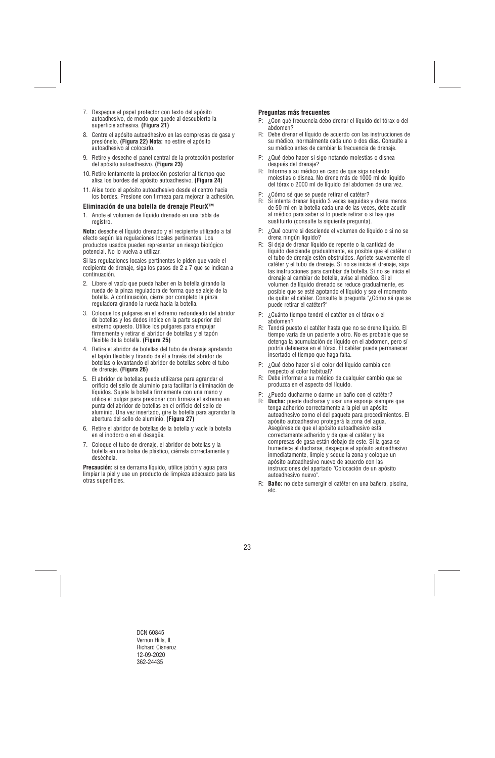- 7. Despegue el papel protector con texto del apósito autoadhesivo, de modo que quede al descubierto la superficie adhesiva. **(Figura 21)**
- 8. Centre el apósito autoadhesivo en las compresas de gasa y presiónelo. **(Figura 22) Nota:** no estire el apósito autoadhesivo al colocarlo.
- 9. Retire y deseche el panel central de la protección posterior del apósito autoadhesivo. **(Figura 23)**
- 10. Retire lentamente la protección posterior al tiempo que alisa los bordes del apósito autoadhesivo. **(Figura 24)**
- 11. Alise todo el apósito autoadhesivo desde el centro hacia los bordes. Presione con firmeza para mejorar la adhesión.

#### **Eliminación de una botella de drenaje PleurX™**

1. Anote el volumen de líquido drenado en una tabla de registro.

**Nota:** deseche el líquido drenado y el recipiente utilizado a tal efecto según las regulaciones locales pertinentes. Los productos usados pueden representar un riesgo biológico potencial. No lo vuelva a utilizar.

Si las regulaciones locales pertinentes le piden que vacíe el recipiente de drenaje, siga los pasos de 2 a 7 que se indican a continuación.

- 2. Libere el vacío que pueda haber en la botella girando la rueda de la pinza reguladora de forma que se aleje de la botella. A continuación, cierre por completo la pinza reguladora girando la rueda hacia la botella.
- 3. Coloque los pulgares en el extremo redondeado del abridor de botellas y los dedos índice en la parte superior del extremo opuesto. Utilice los pulgares para empujar firmemente y retirar el abridor de botellas y el tapón flexible de la botella. **(Figura 25)**
- 4. Retire el abridor de botellas del tubo de drenaje apretando el tapón flexible y tirando de él a través del abridor de botellas o levantando el abridor de botellas sobre el tubo de drenaje. **(Figura 26)**
- 5. El abridor de botellas puede utilizarse para agrandar el orificio del sello de aluminio para facilitar la eliminación de líquidos. Sujete la botella firmemente con una mano y utilice el pulgar para presionar con firmeza el extremo en punta del abridor de botellas en el orificio del sello de aluminio. Una vez insertado, gire la botella para agrandar la abertura del sello de aluminio. **(Figura 27)**
- 6. Retire el abridor de botellas de la botella y vacíe la botella en el inodoro o en el desagüe.
- 7. Coloque el tubo de drenaje, el abridor de botellas y la botella en una bolsa de plástico, ciérrela correctamente y deséchela.

**Precaución:** si se derrama líquido, utilice jabón y agua para limpiar la piel y use un producto de limpieza adecuado para las otras superficies.

## **Preguntas más frecuentes**

- P: ¿Con qué frecuencia debo drenar el líquido del tórax o del abdomen?
- R: Debe drenar el líquido de acuerdo con las instrucciones de su médico, normalmente cada uno o dos días. Consulte a su médico antes de cambiar la frecuencia de drenaje.
- P: ¿Qué debo hacer si sigo notando molestias o disnea después del drenaje?
- R: Informe a su médico en caso de que siga notando molestias o disnea. No drene más de 1000 ml de líquido del tórax o 2000 ml de líquido del abdomen de una vez.
- P: ¿Cómo sé que se puede retirar el catéter?<br>R: Si intenta drenar líquido 3 veces sequidas
- Si intenta drenar líquido 3 veces seguidas y drena menos de 50 ml en la botella cada una de las veces, debe acudir al médico para saber si lo puede retirar o si hay que sustituirlo (consulte la siguiente pregunta).
- P: ¿Qué ocurre si desciende el volumen de líquido o si no se drena ningún líquido?
- R: Si deja de drenar líquido de repente o la cantidad de líquido desciende gradualmente, es posible que el catéter o el tubo de drenaje estén obstruidos. Apriete suavemente el catéter y el tubo de drenaje. Si no se inicia el drenaje, siga las instrucciones para cambiar de botella. Si no se inicia el drenaje al cambiar de botella, avise al médico. Si el volumen de líquido drenado se reduce gradualmente, es posible que se esté agotando el líquido y sea el momento de quitar el catéter. Consulte la pregunta "¿Cómo sé que se puede retirar el catéter?"
- P: ¿Cuánto tiempo tendré el catéter en el tórax o el abdomen?
- R: Tendrá puesto el catéter hasta que no se drene líquido. El tiempo varía de un paciente a otro. No es probable que se detenga la acumulación de líquido en el abdomen, pero sí podría detenerse en el tórax. El catéter puede permanecer insertado el tiempo que haga falta.
- P: ¿Qué debo hacer si el color del líquido cambia con respecto al color habitual?
- R: Debe informar a su médico de cualquier cambio que se produzca en el aspecto del líquido.
- P: ¿Puedo ducharme o darme un baño con el catéter?
- R: **Ducha:** puede ducharse y usar una esponja siempre que tenga adherido correctamente a la piel un apósito autoadhesivo como el del paquete para procedimientos. El apósito autoadhesivo protegerá la zona del agua. Asegúrese de que el apósito autoadhesivo está correctamente adherido y de que el catéter y las compresas de gasa están debajo de este. Si la gasa se humedece al ducharse, despegue el apósito autoadhesivo inmediatamente, limpie y seque la zona y coloque un apósito autoadhesivo nuevo de acuerdo con las instrucciones del apartado "Colocación de un apósito autoadhesivo nuevo".
- R: **Baño:** no debe sumergir el catéter en una bañera, piscina, etc.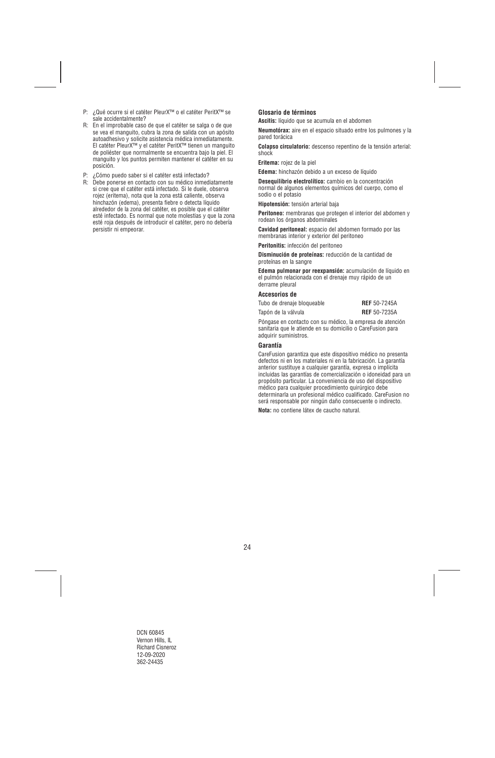- P: ¿Qué ocurre si el catéter PleurX™ o el catéter PeritX™ se sale accidentalmente?
- R: En el improbable caso de que el catéter se salga o de que se vea el manguito, cubra la zona de salida con un apósito autoadhesivo y solicite asistencia médica inmediatamente. El catéter PleurX™ y el catéter PeritX™ tienen un manguito de poliéster que normalmente se encuentra bajo la piel. El manguito y los puntos permiten mantener el catéter en su posición.
- P: ¿Cómo puedo saber si el catéter está infectado?
- R: Debe ponerse en contacto con su médico inmediatamente si cree que el catéter está infectado. Si le duele, observa rojez (eritema), nota que la zona está caliente, observa hinchazón (edema), presenta fiebre o detecta líquido alrededor de la zona del catéter, es posible que el catéter esté infectado. Es normal que note molestias y que la zona esté roja después de introducir el catéter, pero no debería persistir ni empeorar.

## **Glosario de términos**

**Ascitis:** líquido que se acumula en el abdomen

**Neumotórax:** aire en el espacio situado entre los pulmones y la pared torácica

**Colapso circulatorio:** descenso repentino de la tensión arterial: shock

**Eritema:** rojez de la piel

**Edema:** hinchazón debido a un exceso de líquido

**Desequilibrio electrolítico:** cambio en la concentración normal de algunos elementos químicos del cuerpo, como el sodio o el potasio

**Hipotensión:** tensión arterial baja

**Peritoneo:** membranas que protegen el interior del abdomen y rodean los órganos abdominales

**Cavidad peritoneal:** espacio del abdomen formado por las membranas interior y exterior del peritoneo

**Peritonitis:** infección del peritoneo

**Disminución de proteínas:** reducción de la cantidad de proteínas en la sangre

**Edema pulmonar por reexpansión:** acumulación de líquido en el pulmón relacionada con el drenaje muy rápido de un derrame pleural

#### **Accesorios de**

| Tubo de drenaje bloqueable |  | <b>REF</b> 50-7245A |
|----------------------------|--|---------------------|
| Tapón de la válvula        |  | <b>REF</b> 50-7235A |
|                            |  |                     |

Póngase en contacto con su médico, la empresa de atención sanitaria que le atiende en su domicilio o CareFusion para adquirir suministros.

#### **Garantía**

CareFusion garantiza que este dispositivo médico no presenta defectos ni en los materiales ni en la fabricación. La garantía anterior sustituye a cualquier garantía, expresa o implícita incluidas las garantías de comercialización o idoneidad para un propósito particular. La conveniencia de uso del dispositivo médico para cualquier procedimiento quirúrgico debe determinarla un profesional médico cualificado. CareFusion no será responsable por ningún daño consecuente o indirecto.

**Nota:** no contiene látex de caucho natural.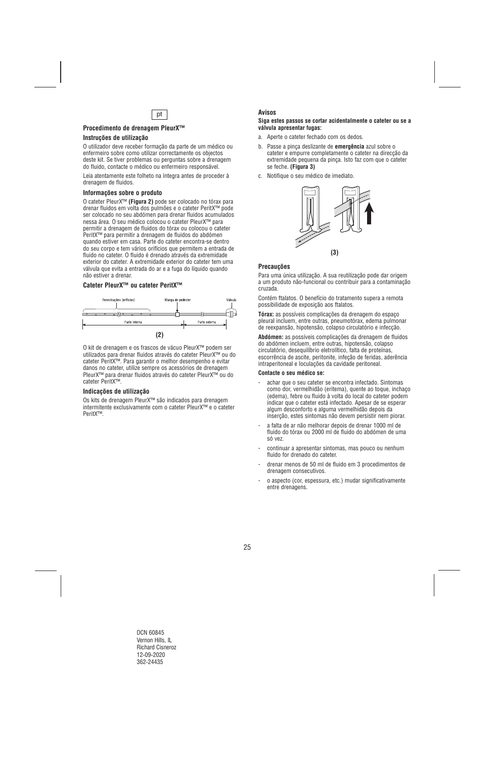

## **Procedimento de drenagem PleurX™**

### **Instruções de utilização**

O utilizador deve receber formação da parte de um médico ou enfermeiro sobre como utilizar correctamente os objectos deste kit. Se tiver problemas ou perguntas sobre a drenagem do fluido, contacte o médico ou enfermeiro responsável.

Leia atentamente este folheto na íntegra antes de proceder à drenagem de fluidos.

#### **Informações sobre o produto**

O cateter PleurX™ **(Figura 2)** pode ser colocado no tórax para drenar fluidos em volta dos pulmões e o cateter PeritX™ pode ser colocado no seu abdómen para drenar fluidos acumulados nessa área. O seu médico colocou o cateter PleurX™ para permitir a drenagem de fluidos do tórax ou colocou o cateter PeritX™ para permitir a drenagem de fluidos do abdómen quando estiver em casa. Parte do cateter encontra-se dentro do seu corpo e tem vários orifícios que permitem a entrada de fluido no cateter. O fluido é drenado através da extremidade exterior do cateter. A extremidade exterior do cateter tem uma válvula que evita a entrada do ar e a fuga do líquido quando não estiver a drenar.

## **Cateter PleurX™ ou cateter PeritX™**



O kit de drenagem e os frascos de vácuo PleurX™ podem ser utilizados para drenar fluidos através do cateter PleurX™ ou do cateter PeritX™. Para garantir o melhor desempenho e evitar danos no cateter, utilize sempre os acessórios de drenagem PleurX™ para drenar fluidos através do cateter PleurX™ ou do cateter PeritX™.

#### **Indicações de utilização**

Os kits de drenagem PleurX™ são indicados para drenagem intermitente exclusivamente com o cateter PleurX™ e o cateter PeritX™.

#### **Avisos**

#### **Siga estes passos se cortar acidentalmente o cateter ou se a válvula apresentar fugas:**

- a. Aperte o cateter fechado com os dedos.
- b. Passe a pinça deslizante de **emergência** azul sobre o cateter e empurre completamente o cateter na direcção da extremidade pequena da pinça. Isto faz com que o cateter se feche. **(Figura 3)**
- c. Notifique o seu médico de imediato.



#### **Precauções**

Para uma única utilização. A sua reutilização pode dar origem a um produto não-funcional ou contribuir para a contaminação cruzada.

Contém ftalatos. O benefício do tratamento supera a remota possibilidade de exposição aos ftalatos.

**Tórax:** as possíveis complicações da drenagem do espaço pleural incluem, entre outras, pneumotórax, edema pulmonar de reexpansão, hipotensão, colapso circulatório e infecção.

**Abdómen:** as possíveis complicações da drenagem de fluidos do abdómen incluem, entre outras, hipotensão, colapso circulatório, desequilíbrio eletrolítico, falta de proteínas, escorrência de ascite, peritonite, infeção de feridas, aderência intraperitoneal e loculações da cavidade peritoneal.

#### **Contacte o seu médico se:**

- achar que o seu cateter se encontra infectado. Sintomas como dor, vermelhidão (eritema), quente ao toque, inchaço (edema), febre ou fluido à volta do local do cateter podem indicar que o cateter está infectado. Apesar de se esperar algum desconforto e alguma vermelhidão depois da inserção, estes sintomas não devem persistir nem piorar.
- a falta de ar não melhorar depois de drenar 1000 ml de fluido do tórax ou 2000 ml de fluido do abdómen de uma só vez.
- continuar a apresentar sintomas, mas pouco ou nenhum fluido for drenado do cateter.
- drenar menos de 50 ml de fluido em 3 procedimentos de drenagem consecutivos.
- o aspecto (cor, espessura, etc.) mudar significativamente entre drenagens.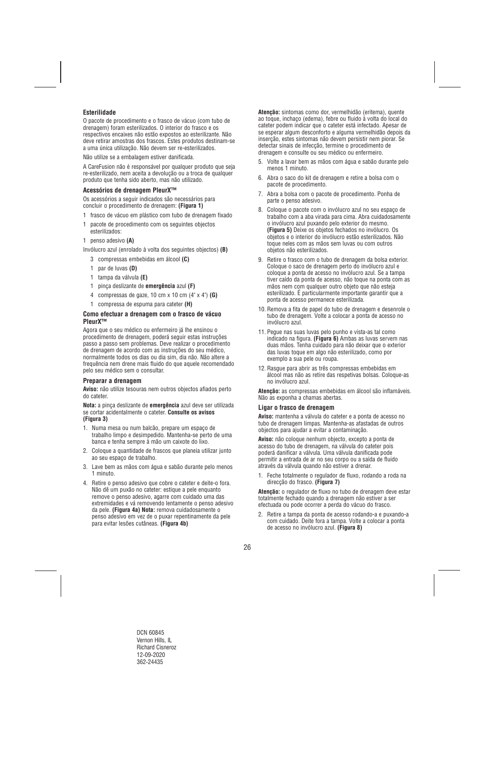## **Esterilidade**

O pacote de procedimento e o frasco de vácuo (com tubo de drenagem) foram esterilizados. O interior do frasco e os respectivos encaixes não estão expostos ao esterilizante. Não deve retirar amostras dos frascos. Estes produtos destinam-se a uma única utilização. Não devem ser re-esterilizados.

Não utilize se a embalagem estiver danificada.

A CareFusion não é responsável por qualquer produto que seja re-esterilizado, nem aceita a devolução ou a troca de qualquer produto que tenha sido aberto, mas não utilizado.

## **Acessórios de drenagem PleurX™**

Os acessórios a seguir indicados são necessários para concluir o procedimento de drenagem: **(Figura 1)**

- 1 frasco de vácuo em plástico com tubo de drenagem fixado
- 1 pacote de procedimento com os seguintes objectos esterilizados:
- 1 penso adesivo **(A)**

Invólucro azul (enrolado à volta dos seguintes objectos) **(B)** 

- 3 compressas embebidas em álcool **(C)**
- 1 par de luvas **(D)**
- 1 tampa da válvula **(E)**
- 1 pinça deslizante de **emergência** azul **(F)**
- 4 compressas de gaze, 10 cm x 10 cm (4" x 4") **(G)**
- 1 compressa de espuma para cateter **(H)**

#### **Como efectuar a drenagem com o frasco de vácuo PleurX™**

Agora que o seu médico ou enfermeiro já lhe ensinou o procedimento de drenagem, poderá seguir estas instruções passo a passo sem problemas. Deve realizar o procedimento de drenagem de acordo com as instruções do seu médico, normalmente todos os dias ou dia sim, dia não. Não altere a frequência nem drene mais fluido do que aquele recomendado pelo seu médico sem o consultar.

## **Preparar a drenagem**

**Aviso:** não utilize tesouras nem outros objectos afiados perto do cateter.

**Nota:** a pinça deslizante de **emergência** azul deve ser utilizada se cortar acidentalmente o cateter. **Consulte os avisos (Figura 3)** 

- 1. Numa mesa ou num balcão, prepare um espaço de trabalho limpo e desimpedido. Mantenha-se perto de uma banca e tenha sempre à mão um caixote do lixo.
- 2. Coloque a quantidade de frascos que planeia utilizar junto ao seu espaço de trabalho.
- 3. Lave bem as mãos com água e sabão durante pelo menos 1 minuto.
- 4. Retire o penso adesivo que cobre o cateter e deite-o fora. Não dê um puxão no cateter: estique a pele enquanto remove o penso adesivo, agarre com cuidado uma das extremidades e vá removendo lentamente o penso adesivo da pele. **(Figura 4a) Nota:** remova cuidadosamente o penso adesivo em vez de o puxar repentinamente da pele para evitar lesões cutâneas. **(Figura 4b)**

**Atenção:** sintomas como dor, vermelhidão (eritema), quente ao toque, inchaço (edema), febre ou fluido à volta do local do cateter podem indicar que o cateter está infectado. Apesar de se esperar algum desconforto e alguma vermelhidão depois da inserção, estes sintomas não devem persistir nem piorar. Se detectar sinais de infecção, termine o procedimento de drenagem e consulte ou seu médico ou enfermeiro.

- 5. Volte a lavar bem as mãos com água e sabão durante pelo menos 1 minuto.
- 6. Abra o saco do kit de drenagem e retire a bolsa com o pacote de procedimento.
- 7. Abra a bolsa com o pacote de procedimento. Ponha de parte o penso adesivo.
- 8. Coloque o pacote com o invólucro azul no seu espaço de trabalho com a aba virada para cima. Abra cuidadosamente o invólucro azul puxando pelo exterior do mesmo. **(Figura 5)** Deixe os objetos fechados no invólucro. Os objetos e o interior do invólucro estão esterilizados. Não toque neles com as mãos sem luvas ou com outros objetos não esterilizados.
- 9. Retire o frasco com o tubo de drenagem da bolsa exterior. Coloque o saco de drenagem perto do invólucro azul e coloque a ponta de acesso no invólucro azul. Se a tampa tiver caído da ponta de acesso, não toque na ponta com as mãos nem com qualquer outro objeto que não esteja esterilizado. É particularmente importante garantir que a ponta de acesso permanece esterilizada.
- 10. Remova a fita de papel do tubo de drenagem e desenrole o tubo de drenagem. Volte a colocar a ponta de acesso no invólucro azul.
- 11. Pegue nas suas luvas pelo punho e vista-as tal como indicado na figura. **(Figura 6)** Ambas as luvas servem nas duas mãos. Tenha cuidado para não deixar que o exterior das luvas toque em algo não esterilizado, como por exemplo a sua pele ou roupa.
- 12. Rasgue para abrir as três compressas embebidas em álcool mas não as retire das respetivas bolsas. Coloque-as no invólucro azul.

**Atenção:** as compressas embebidas em álcool são inflamáveis. Não as exponha a chamas abertas.

#### **Ligar o frasco de drenagem**

**Aviso:** mantenha a válvula do cateter e a ponta de acesso no tubo de drenagem limpas. Mantenha-as afastadas de outros objectos para ajudar a evitar a contaminação.

**Aviso:** não coloque nenhum objecto, excepto a ponta de acesso do tubo de drenagem, na válvula do cateter pois poderá danificar a válvula. Uma válvula danificada pode permitir a entrada de ar no seu corpo ou a saída de fluido através da válvula quando não estiver a drenar.

1. Feche totalmente o regulador de fluxo, rodando a roda na direcção do frasco. **(Figura 7)** 

**Atenção:** o regulador de fluxo no tubo de drenagem deve estar totalmente fechado quando a drenagem não estiver a ser efectuada ou pode ocorrer a perda do vácuo do frasco.

2. Retire a tampa da ponta de acesso rodando-a e puxando-a com cuidado. Deite fora a tampa. Volte a colocar a ponta de acesso no invólucro azul. **(Figura 8)**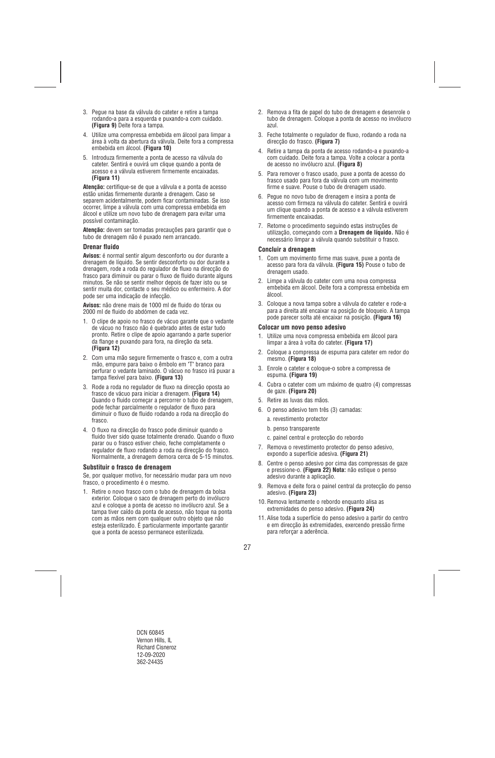- 3. Pegue na base da válvula do cateter e retire a tampa rodando-a para a esquerda e puxando-a com cuidado. **(Figura 9)** Deite fora a tampa.
- 4. Utilize uma compressa embebida em álcool para limpar a área à volta da abertura da válvula. Deite fora a compressa embebida em álcool. **(Figura 10)**
- 5. Introduza firmemente a ponta de acesso na válvula do cateter. Sentirá e ouvirá um clique quando a ponta de acesso e a válvula estiverem firmemente encaixadas. **(Figura 11)**

**Atenção:** certifique-se de que a válvula e a ponta de acesso estão unidas firmemente durante a drenagem. Caso se separem acidentalmente, podem ficar contaminadas. Se isso ocorrer, limpe a válvula com uma compressa embebida em álcool e utilize um novo tubo de drenagem para evitar uma possível contaminação.

**Atenção:** devem ser tomadas precauções para garantir que o tubo de drenagem não é puxado nem arrancado.

#### **Drenar fluido**

**Avisos:** é normal sentir algum desconforto ou dor durante a drenagem de líquido. Se sentir desconforto ou dor durante a drenagem, rode a roda do regulador de fluxo na direcção do frasco para diminuir ou parar o fluxo de fluido durante alguns minutos. Se não se sentir melhor depois de fazer isto ou se sentir muita dor, contacte o seu médico ou enfermeiro. A dor pode ser uma indicação de infecção.

**Avisos:** não drene mais de 1000 ml de fluido do tórax ou 2000 ml de fluido do abdómen de cada vez.

- 1. O clipe de apoio no frasco de vácuo garante que o vedante de vácuo no frasco não é quebrado antes de estar tudo pronto. Retire o clipe de apoio agarrando a parte superior da flange e puxando para fora, na direção da seta. **(Figura 12)**
- 2. Com uma mão segure firmemente o frasco e, com a outra mão, empurre para baixo o êmbolo em "T" branco para perfurar o vedante laminado. O vácuo no frasco irá puxar a tampa flexível para baixo. **(Figura 13)**
- 3. Rode a roda no regulador de fluxo na direcção oposta ao frasco de vácuo para iniciar a drenagem. **(Figura 14)**  Quando o fluido começar a percorrer o tubo de drenagem, pode fechar parcialmente o regulador de fluxo para diminuir o fluxo de fluido rodando a roda na direcção do frasco.
- 4. O fluxo na direcção do frasco pode diminuir quando o fluido tiver sido quase totalmente drenado. Quando o fluxo parar ou o frasco estiver cheio, feche completamente o regulador de fluxo rodando a roda na direcção do frasco. Normalmente, a drenagem demora cerca de 5-15 minutos.

#### **Substituir o frasco de drenagem**

Se, por qualquer motivo, for necessário mudar para um novo frasco, o procedimento é o mesmo.

1. Retire o novo frasco com o tubo de drenagem da bolsa exterior. Coloque o saco de drenagem perto do invólucro azul e coloque a ponta de acesso no invólucro azul. Se a tampa tiver caído da ponta de acesso, não toque na ponta com as mãos nem com qualquer outro objeto que não esteja esterilizado. É particularmente importante garantir que a ponta de acesso permanece esterilizada.

- 2. Remova a fita de papel do tubo de drenagem e desenrole o tubo de drenagem. Coloque a ponta de acesso no invólucro azul.
- 3. Feche totalmente o regulador de fluxo, rodando a roda na direcção do frasco. **(Figura 7)**
- 4. Retire a tampa da ponta de acesso rodando-a e puxando-a com cuidado. Deite fora a tampa. Volte a colocar a ponta de acesso no invólucro azul. **(Figura 8)**
- 5. Para remover o frasco usado, puxe a ponta de acesso do frasco usado para fora da válvula com um movimento firme e suave. Pouse o tubo de drenagem usado.
- 6. Pegue no novo tubo de drenagem e insira a ponta de acesso com firmeza na válvula do cateter. Sentirá e ouvirá um clique quando a ponta de acesso e a válvula estiverem firmemente encaixadas.
- 7. Retome o procedimento seguindo estas instruções de utilização, começando com a **Drenagem de líquido.** Não é necessário limpar a válvula quando substituir o frasco.

#### **Concluir a drenagem**

- 1. Com um movimento firme mas suave, puxe a ponta de acesso para fora da válvula. **(Figura 15)** Pouse o tubo de drenagem usado.
- 2. Limpe a válvula do cateter com uma nova compressa embebida em álcool. Deite fora a compressa embebida em álcool.
- 3. Coloque a nova tampa sobre a válvula do cateter e rode-a para a direita até encaixar na posição de bloqueio. A tampa pode parecer solta até encaixar na posição. **(Figura 16)**

#### **Colocar um novo penso adesivo**

- 1. Utilize uma nova compressa embebida em álcool para limpar a área à volta do cateter. **(Figura 17)**
- 2. Coloque a compressa de espuma para cateter em redor do mesmo. **(Figura 18)**
- 3. Enrole o cateter e coloque-o sobre a compressa de espuma. **(Figura 19)**
- 4. Cubra o cateter com um máximo de quatro (4) compressas de gaze. **(Figura 20)**
- 5. Retire as luvas das mãos.
- 6. O penso adesivo tem três (3) camadas:
	- a. revestimento protector
	- b. penso transparente
	- c. painel central e protecção do rebordo
- 7. Remova o revestimento protector do penso adesivo, expondo a superfície adesiva. **(Figura 21)**
- 8. Centre o penso adesivo por cima das compressas de gaze e pressione-o. **(Figura 22) Nota:** não estique o penso adesivo durante a aplicação.
- 9. Remova e deite fora o painel central da protecção do penso adesivo. **(Figura 23)**
- 10. Remova lentamente o rebordo enquanto alisa as extremidades do penso adesivo. **(Figura 24)**
- 11. Alise toda a superfície do penso adesivo a partir do centro e em direcção às extremidades, exercendo pressão firme para reforçar a aderência.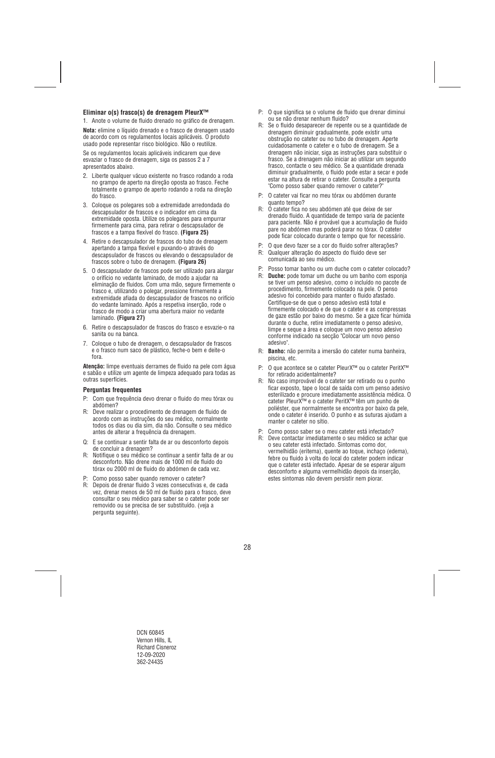## **Eliminar o(s) frasco(s) de drenagem PleurX™**

1. Anote o volume de fluido drenado no gráfico de drenagem.

**Nota:** elimine o líquido drenado e o frasco de drenagem usado de acordo com os regulamentos locais aplicáveis. O produto usado pode representar risco biológico. Não o reutilize.

Se os regulamentos locais aplicáveis indicarem que deve esvaziar o frasco de drenagem, siga os passos 2 a 7 apresentados abaixo.

- 2. Liberte qualquer vácuo existente no frasco rodando a roda no grampo de aperto na direção oposta ao frasco. Feche totalmente o grampo de aperto rodando a roda na direção do frasco.
- 3. Coloque os polegares sob a extremidade arredondada do descapsulador de frascos e o indicador em cima da extremidade oposta. Utilize os polegares para empurrar firmemente para cima, para retirar o descapsulador de frascos e a tampa flexível do frasco. **(Figura 25)**
- 4. Retire o descapsulador de frascos do tubo de drenagem apertando a tampa flexível e puxando-o através do descapsulador de frascos ou elevando o descapsulador de frascos sobre o tubo de drenagem. **(Figura 26)**
- 5. O descapsulador de frascos pode ser utilizado para alargar o orifício no vedante laminado, de modo a ajudar na eliminação de fluidos. Com uma mão, segure firmemente o frasco e, utilizando o polegar, pressione firmemente a extremidade afiada do descapsulador de frascos no orifício do vedante laminado. Após a respetiva inserção, rode o frasco de modo a criar uma abertura maior no vedante laminado. **(Figura 27)**
- 6. Retire o descapsulador de frascos do frasco e esvazie-o na sanita ou na banca.
- 7. Coloque o tubo de drenagem, o descapsulador de frascos e o frasco num saco de plástico, feche-o bem e deite-o fora.

**Atenção:** limpe eventuais derrames de fluido na pele com água e sabão e utilize um agente de limpeza adequado para todas as outras superfícies.

#### **Perguntas frequentes**

- P: Com que frequência devo drenar o fluido do meu tórax ou abdómen?
- R: Deve realizar o procedimento de drenagem de fluido de acordo com as instruções do seu médico, normalmente todos os dias ou dia sim, dia não. Consulte o seu médico antes de alterar a frequência da drenagem.
- Q: E se continuar a sentir falta de ar ou desconforto depois de concluir a drenagem?
- R: Notifique o seu médico se continuar a sentir falta de ar ou desconforto. Não drene mais de 1000 ml de fluido do tórax ou 2000 ml de fluido do abdómen de cada vez.
- P: Como posso saber quando remover o cateter?
- R: Depois de drenar fluido 3 vezes consecutivas e, de cada vez, drenar menos de 50 ml de fluido para o frasco, deve consultar o seu médico para saber se o cateter pode ser removido ou se precisa de ser substituído. (veja a pergunta seguinte).
- P: O que significa se o volume de fluido que drenar diminui ou se não drenar nenhum fluido?
- R: Se o fluido desaparecer de repente ou se a quantidade de drenagem diminuir gradualmente, pode existir uma obstrução no cateter ou no tubo de drenagem. Aperte cuidadosamente o cateter e o tubo de drenagem. Se a drenagem não iniciar, siga as instruções para substituir o frasco. Se a drenagem não iniciar ao utilizar um segundo frasco, contacte o seu médico. Se a quantidade drenada diminuir gradualmente, o fluido pode estar a secar e pode estar na altura de retirar o cateter. Consulte a pergunta "Como posso saber quando remover o cateter?"
- P: O cateter vai ficar no meu tórax ou abdómen durante quanto tempo?
- R: O cateter fica no seu abdómen até que deixe de ser drenado fluido. A quantidade de tempo varia de paciente para paciente. Não é provável que a acumulação de fluido pare no abdómen mas poderá parar no tórax. O cateter pode ficar colocado durante o tempo que for necessário.
- P: O que devo fazer se a cor do fluido sofrer alterações?
- R: Qualquer alteração do aspecto do fluido deve ser comunicada ao seu médico.
- P: Posso tomar banho ou um duche com o cateter colocado?
- R: **Duche:** pode tomar um duche ou um banho com esponja se tiver um penso adesivo, como o incluído no pacote de procedimento, firmemente colocado na pele. O penso adesivo foi concebido para manter o fluido afastado. Certifique-se de que o penso adesivo está total e firmemente colocado e de que o cateter e as compressas de gaze estão por baixo do mesmo. Se a gaze ficar húmida durante o duche, retire imediatamente o penso adesivo, limpe e seque a área e coloque um novo penso adesivo conforme indicado na secção "Colocar um novo penso adesivo".
- R: **Banho:** não permita a imersão do cateter numa banheira, piscina, etc.
- P: O que acontece se o cateter PleurX™ ou o cateter PeritX™ for retirado acidentalmente?
- R: No caso improvável de o cateter ser retirado ou o punho ficar exposto, tape o local de saída com um penso adesivo esterilizado e procure imediatamente assistência médica. O cateter PleurX™ e o cateter PeritX™ têm um punho de poliéster, que normalmente se encontra por baixo da pele, onde o cateter é inserido. O punho e as suturas ajudam a manter o cateter no sítio.
- Como posso saber se o meu cateter está infectado?
- R: Deve contactar imediatamente o seu médico se achar que o seu cateter está infectado. Sintomas como dor, vermelhidão (eritema), quente ao toque, inchaço (edema), febre ou fluido à volta do local do cateter podem indicar que o cateter está infectado. Apesar de se esperar algum desconforto e alguma vermelhidão depois da inserção, estes sintomas não devem persistir nem piorar.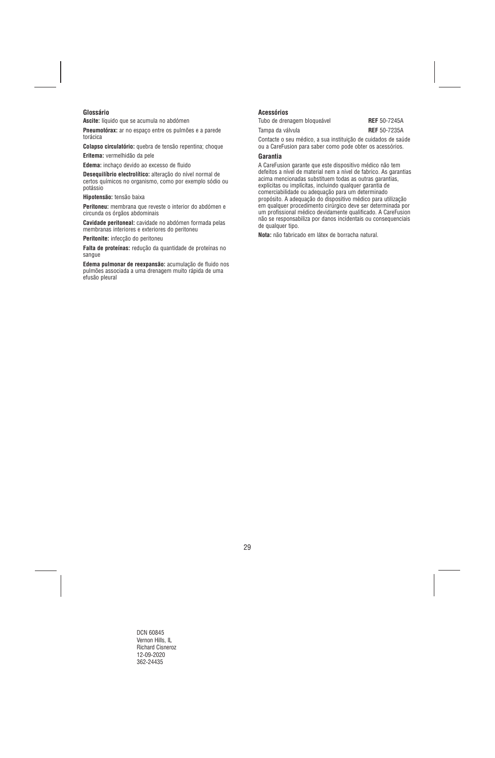## **Glossário**

**Ascite:** líquido que se acumula no abdómen

**Pneumotórax:** ar no espaço entre os pulmões e a parede torácica

**Colapso circulatório:** quebra de tensão repentina; choque

**Eritema:** vermelhidão da pele

**Edema:** inchaço devido ao excesso de fluido

**Desequilíbrio electrolítico:** alteração do nível normal de certos químicos no organismo, como por exemplo sódio ou potássio

**Hipotensão:** tensão baixa

**Peritoneu:** membrana que reveste o interior do abdómen e circunda os órgãos abdominais

**Cavidade peritoneal:** cavidade no abdómen formada pelas membranas interiores e exteriores do peritoneu

**Peritonite:** infecção do peritoneu

**Falta de proteínas:** redução da quantidade de proteínas no sangue

**Edema pulmonar de reexpansão:** acumulação de fluido nos pulmões associada a uma drenagem muito rápida de uma efusão pleural

## **Acessórios**

Tubo de drenagem bloqueável **REF** 50-7245A

Tampa da válvula **REF** 50-7235A

Contacte o seu médico, a sua instituição de cuidados de saúde ou a CareFusion para saber como pode obter os acessórios.

#### **Garantia**

A CareFusion garante que este dispositivo médico não tem defeitos a nível de material nem a nível de fabrico. As garantias acima mencionadas substituem todas as outras garantias, explícitas ou implícitas, incluindo qualquer garantia de comerciabilidade ou adequação para um determinado propósito. A adequação do dispositivo médico para utilização em qualquer procedimento cirúrgico deve ser determinada por um profissional médico devidamente qualificado. A CareFusion não se responsabiliza por danos incidentais ou consequenciais de qualquer tipo.

**Nota:** não fabricado em látex de borracha natural.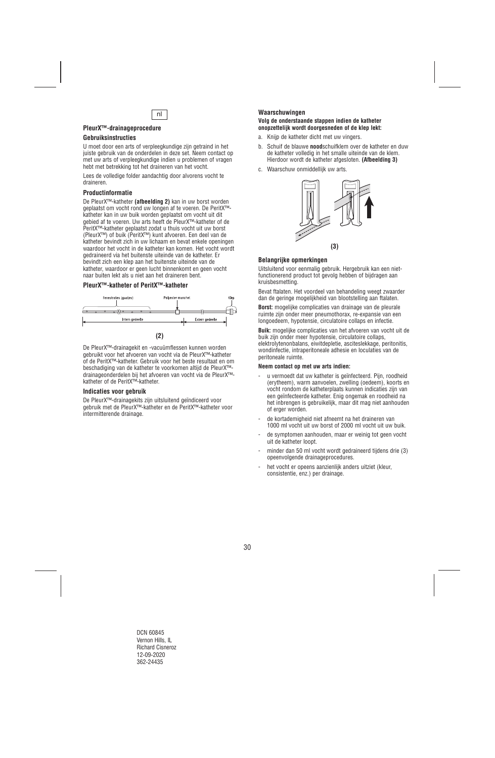

## **PleurX™-drainageprocedure**

## **Gebruiksinstructies**

U moet door een arts of verpleegkundige zijn getraind in het juiste gebruik van de onderdelen in deze set. Neem contact op met uw arts of verpleegkundige indien u problemen of vragen hebt met betrekking tot het draineren van het vocht.

Lees de volledige folder aandachtig door alvorens vocht te draineren.

## **Productinformatie**

De PleurX™-katheter **(afbeelding 2)** kan in uw borst worden geplaatst om vocht rond uw longen af te voeren. De PeritX™ katheter kan in uw buik worden geplaatst om vocht uit dit gebied af te voeren. Uw arts heeft de PleurX™-katheter of de PeritX™-katheter geplaatst zodat u thuis vocht uit uw borst (PleurX™) of buik (PeritX™) kunt afvoeren. Een deel van de katheter bevindt zich in uw lichaam en bevat enkele openingen waardoor het vocht in de katheter kan komen. Het vocht wordt gedraineerd via het buitenste uiteinde van de katheter. Er bevindt zich een klep aan het buitenste uiteinde van de katheter, waardoor er geen lucht binnenkomt en geen vocht naar buiten lekt als u niet aan het draineren bent.

## **PleurX™-katheter of PeritX™-katheter**



De PleurX™-drainagekit en -vacuümflessen kunnen worden gebruikt voor het afvoeren van vocht via de PleurX™-katheter of de PeritX™-katheter. Gebruik voor het beste resultaat en om beschadiging van de katheter te voorkomen altijd de PleurX™ drainageonderdelen bij het afvoeren van vocht via de PleurX™ katheter of de PeritX™-katheter.

#### **Indicaties voor gebruik**

De PleurX™-drainagekits zijn uitsluitend geïndiceerd voor gebruik met de PleurX™-katheter en de PeritX™-katheter voor intermitterende drainage.

#### **Waarschuwingen**

#### **Volg de onderstaande stappen indien de katheter onopzettelijk wordt doorgesneden of de klep lekt:**

- a. Knijp de katheter dicht met uw vingers.
- b. Schuif de blauwe **nood**schuifklem over de katheter en duw de katheter volledig in het smalle uiteinde van de klem. Hierdoor wordt de katheter afgesloten. **(Afbeelding 3)**
- c. Waarschuw onmiddellijk uw arts.



## **Belangrijke opmerkingen**

Uitsluitend voor eenmalig gebruik. Hergebruik kan een nietfunctionerend product tot gevolg hebben of bijdragen aan kruisbesmetting.

Bevat ftalaten. Het voordeel van behandeling weegt zwaarder dan de geringe mogelijkheid van blootstelling aan ftalaten.

**Borst:** mogelijke complicaties van drainage van de pleurale ruimte zijn onder meer pneumothorax, re-expansie van een longoedeem, hypotensie, circulatoire collaps en infectie.

**Buik:** mogelijke complicaties van het afvoeren van vocht uit de buik zijn onder meer hypotensie, circulatoire collaps, elektrolytenonbalans, eiwitdepletie, asciteslekkage, peritonitis, wondinfectie, intraperitoneale adhesie en loculaties van de peritoneale ruimte.

#### **Neem contact op met uw arts indien:**

- u vermoedt dat uw katheter is geïnfecteerd. Pijn, roodheid (erytheem), warm aanvoelen, zwelling (oedeem), koorts en vocht rondom de katheterplaats kunnen indicaties zijn van een geïnfecteerde katheter. Enig ongemak en roodheid na het inbrengen is gebruikelijk, maar dit mag niet aanhouden of erger worden.
- de kortademigheid niet afneemt na het draineren van 1000 ml vocht uit uw borst of 2000 ml vocht uit uw buik.
- de symptomen aanhouden, maar er weinig tot geen vocht uit de katheter loopt.
- minder dan 50 ml vocht wordt gedraineerd tijdens drie (3) opeenvolgende drainageprocedures.
- het vocht er opeens aanzienlijk anders uitziet (kleur, consistentie, enz.) per drainage.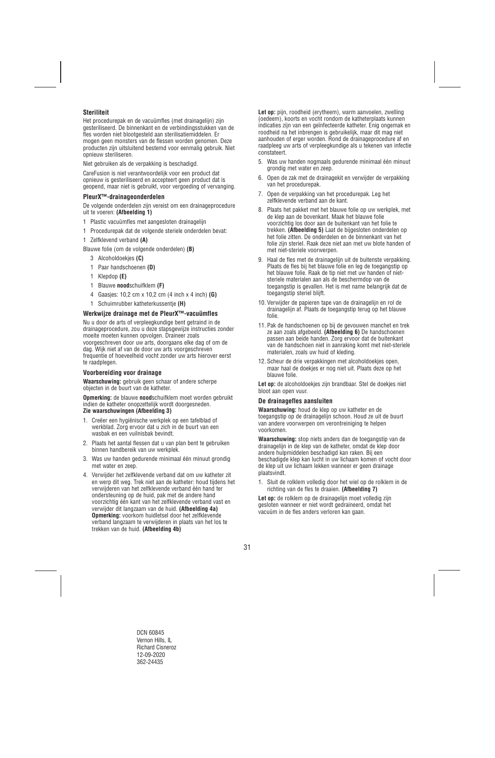## **Steriliteit**

Het procedurepak en de vacuümfles (met drainagelijn) zijn gesteriliseerd. De binnenkant en de verbindingsstukken van de fles worden niet blootgesteld aan sterilisatiemiddelen. Er mogen geen monsters van de flessen worden genomen. Deze producten zijn uitsluitend bestemd voor eenmalig gebruik. Niet opnieuw steriliseren.

Niet gebruiken als de verpakking is beschadigd.

CareFusion is niet verantwoordelijk voor een product dat opnieuw is gesteriliseerd en accepteert geen product dat is geopend, maar niet is gebruikt, voor vergoeding of vervanging.

## **PleurX™-drainageonderdelen**

De volgende onderdelen zijn vereist om een drainageprocedure uit te voeren: **(Afbeelding 1)**

- 1 Plastic vacuümfles met aangesloten drainagelijn
- 1 Procedurepak dat de volgende steriele onderdelen bevat:
- 1 Zelfklevend verband **(A)**

Blauwe folie (om de volgende onderdelen) **(B)** 

- 3 Alcoholdoekjes **(C)**
- 1 Paar handschoenen **(D)**
- 1 Klepdop **(E)**
- 1 Blauwe **nood**schuifklem **(F)**
- 4 Gaasjes: 10,2 cm x 10,2 cm (4 inch x 4 inch) **(G)**
- 1 Schuimrubber katheterkussentje **(H)**

#### **Werkwijze drainage met de PleurX™-vacuümfles**

Nu u door de arts of verpleegkundige bent getraind in de drainageprocedure, zou u deze stapsgewijze instructies zonder moeite moeten kunnen opvolgen. Draineer zoals voorgeschreven door uw arts, doorgaans elke dag of om de dag. Wijk niet af van de door uw arts voorgeschreven frequentie of hoeveelheid vocht zonder uw arts hierover eerst te raadplegen.

#### **Voorbereiding voor drainage**

**Waarschuwing:** gebruik geen schaar of andere scherpe objecten in de buurt van de katheter.

**Opmerking:** de blauwe **nood**schuifklem moet worden gebruikt indien de katheter onopzettelijk wordt doorgesneden. **Zie waarschuwingen (Afbeelding 3)** 

- 1. Creëer een hygiënische werkplek op een tafelblad of werkblad. Zorg ervoor dat u zich in de buurt van een wasbak en een vuilnisbak bevindt.
- 2. Plaats het aantal flessen dat u van plan bent te gebruiken binnen handbereik van uw werkplek.
- 3. Was uw handen gedurende minimaal één minuut grondig met water en zeep.
- 4. Verwijder het zelfklevende verband dat om uw katheter zit en werp dit weg. Trek niet aan de katheter: houd tijdens het verwijderen van het zelfklevende verband één hand ter ondersteuning op de huid, pak met de andere hand voorzichtig één kant van het zelfklevende verband vast en verwijder dit langzaam van de huid. **(Afbeelding 4a) Opmerking:** voorkom huidletsel door het zelfklevende verband langzaam te verwijderen in plaats van het los te trekken van de huid. **(Afbeelding 4b)**

**Let op:** pijn, roodheid (erytheem), warm aanvoelen, zwelling (oedeem), koorts en vocht rondom de katheterplaats kunnen indicaties zijn van een geïnfecteerde katheter. Enig ongemak en roodheid na het inbrengen is gebruikelijk, maar dit mag niet aanhouden of erger worden. Rond de drainageprocedure af en raadpleeg uw arts of verpleegkundige als u tekenen van infectie constateert.

- 5. Was uw handen nogmaals gedurende minimaal één minuut grondig met water en zeep.
- 6. Open de zak met de drainagekit en verwijder de verpakking van het procedurepak.
- 7. Open de verpakking van het procedurepak. Leg het zelfklevende verband aan de kant.
- 8. Plaats het pakket met het blauwe folie op uw werkplek, met de klep aan de bovenkant. Maak het blauwe folie voorzichtig los door aan de buitenkant van het folie te trekken. **(Afbeelding 5)** Laat de bijgesloten onderdelen op het folie zitten. De onderdelen en de binnenkant van het folie zijn steriel. Raak deze niet aan met uw blote handen of met niet-steriele voorwerpen.
- 9. Haal de fles met de drainagelijn uit de buitenste verpakking. Plaats de fles bij het blauwe folie en leg de toegangstip op het blauwe folie. Raak de tip niet met uw handen of nietsteriele materialen aan als de beschermdop van de toegangstip is gevallen. Het is met name belangrijk dat de toegangstip steriel blijft.
- 10. Verwijder de papieren tape van de drainagelijn en rol de drainagelijn af. Plaats de toegangstip terug op het blauwe folie.
- 11. Pak de handschoenen op bij de gevouwen manchet en trek ze aan zoals afgebeeld. **(Afbeelding 6)** De handschoenen passen aan beide handen. Zorg ervoor dat de buitenkant van de handschoen niet in aanraking komt met niet-steriele materialen, zoals uw huid of kleding.
- 12. Scheur de drie verpakkingen met alcoholdoekjes open, maar haal de doekjes er nog niet uit. Plaats deze op het blauwe folie.

**Let op:** de alcoholdoekjes zijn brandbaar. Stel de doekjes niet bloot aan open vuur.

#### **De drainagefles aansluiten**

**Waarschuwing:** houd de klep op uw katheter en de toegangstip op de drainagelijn schoon. Houd ze uit de buurt van andere voorwerpen om verontreiniging te helpen voorkomen.

**Waarschuwing:** stop niets anders dan de toegangstip van de drainagelijn in de klep van de katheter, omdat de klep door andere hulpmiddelen beschadigd kan raken. Bij een beschadigde klep kan lucht in uw lichaam komen of vocht door de klep uit uw lichaam lekken wanneer er geen drainage plaatsvindt.

1. Sluit de rolklem volledig door het wiel op de rolklem in de richting van de fles te draaien. **(Afbeelding 7)** 

**Let op:** de rolklem op de drainagelijn moet volledig zijn gesloten wanneer er niet wordt gedraineerd, omdat het vacuüm in de fles anders verloren kan gaan.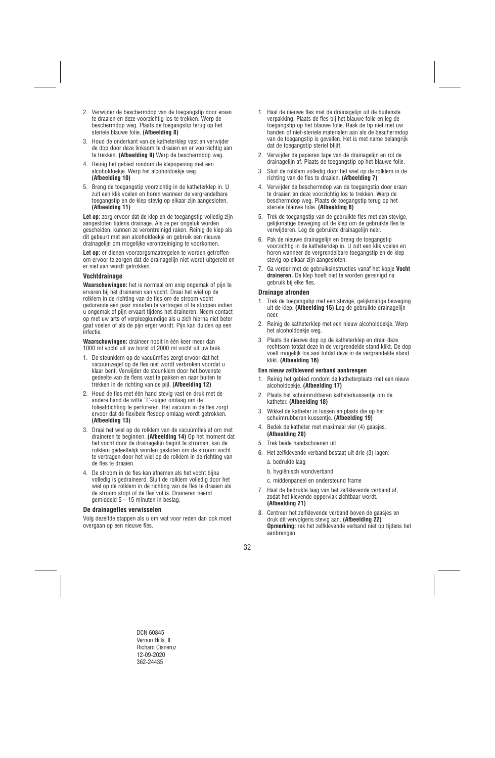- 2. Verwijder de beschermdop van de toegangstip door eraan te draaien en deze voorzichtig los te trekken. Werp de beschermdop weg. Plaats de toegangstip terug op het steriele blauwe folie. **(Afbeelding 8)**
- 3. Houd de onderkant van de katheterklep vast en verwijder de dop door deze linksom te draaien en er voorzichtig aan te trekken. **(Afbeelding 9)** Werp de beschermdop weg.
- 4. Reinig het gebied rondom de klepopening met een alcoholdoekje. Werp het alcoholdoekje weg. **(Afbeelding 10)**
- 5. Breng de toegangstip voorzichtig in de katheterklep in. U zult een klik voelen en horen wanneer de vergrendelbare toegangstip en de klep stevig op elkaar zijn aangesloten. **(Afbeelding 11)**

Let op: zorg ervoor dat de klep en de toegangstip volledig zijn aangesloten tijdens drainage. Als ze per ongeluk worden gescheiden, kunnen ze verontreinigd raken. Reinig de klep als dit gebeurt met een alcoholdoekje en gebruik een nieuwe drainagelijn om mogelijke verontreiniging te voorkomen.

**Let op:** er dienen voorzorgsmaatregelen te worden getroffen om ervoor te zorgen dat de drainagelijn niet wordt uitgerekt en er niet aan wordt getrokken.

## **Vochtdrainage**

**Waarschuwingen:** het is normaal om enig ongemak of pijn te ervaren bij het draineren van vocht. Draai het wiel op de rolklem in de richting van de fles om de stroom vocht gedurende een paar minuten te vertragen of te stoppen indien u ongemak of pijn ervaart tijdens het draineren. Neem contact op met uw arts of verpleegkundige als u zich hierna niet beter gaat voelen of als de pijn erger wordt. Pijn kan duiden op een infectie.

**Waarschuwingen:** draineer nooit in één keer meer dan 1000 ml vocht uit uw borst of 2000 ml vocht uit uw buik.

- 1. De steunklem op de vacuümfles zorgt ervoor dat het vacuümzegel op de fles niet wordt verbroken voordat u klaar bent. Verwijder de steunklem door het bovenste gedeelte van de flens vast te pakken en naar buiten te trekken in de richting van de pijl. **(Afbeelding 12)**
- 2. Houd de fles met één hand stevig vast en druk met de andere hand de witte 'T'-zuiger omlaag om de folieafdichting te perforeren. Het vacuüm in de fles zorgt ervoor dat de flexibele flesdop omlaag wordt getrokken. **(Afbeelding 13)**
- 3. Draai het wiel op de rolklem van de vacuümfles af om met draineren te beginnen. **(Afbeelding 14)** Op het moment dat het vocht door de drainagelijn begint te stromen, kan de rolklem gedeeltelijk worden gesloten om de stroom vocht te vertragen door het wiel op de rolklem in de richting van de fles te draaien.
- 4. De stroom in de fles kan afnemen als het vocht bijna volledig is gedraineerd. Sluit de rolklem volledig door het wiel op de rolklem in de richting van de fles te draaien als de stroom stopt of de fles vol is. Draineren neemt gemiddeld  $5 - 15$  minuten in beslag.

#### **De drainagefles verwisselen**

Volg dezelfde stappen als u om wat voor reden dan ook moet overgaan op een nieuwe fles.

- 1. Haal de nieuwe fles met de drainagelijn uit de buitenste verpakking. Plaats de fles bij het blauwe folie en leg de toegangstip op het blauwe folie. Raak de tip niet met uw handen of niet-steriele materialen aan als de beschermdop van de toegangstip is gevallen. Het is met name belangrijk dat de toegangstip steriel blijft.
- 2. Verwijder de papieren tape van de drainagelijn en rol de drainagelijn af. Plaats de toegangstip op het blauwe folie.
- 3. Sluit de rolklem volledig door het wiel op de rolklem in de richting van de fles te draaien. **(Afbeelding 7)**
- 4. Verwijder de beschermdop van de toegangstip door eraan te draaien en deze voorzichtig los te trekken. Werp de beschermdop weg. Plaats de toegangstip terug op het steriele blauwe folie. **(Afbeelding 8)**
- 5. Trek de toegangstip van de gebruikte fles met een stevige, gelijkmatige beweging uit de klep om de gebruikte fles te verwijderen. Leg de gebruikte drainagelijn neer.
- 6. Pak de nieuwe drainagelijn en breng de toegangstip voorzichtig in de katheterklep in. U zult een klik voelen en horen wanneer de vergrendelbare toegangstip en de klep stevig op elkaar zijn aangesloten.
- 7. Ga verder met de gebruiksinstructies vanaf het kopje **Vocht draineren.** De klep hoeft niet te worden gereinigd na gebruik bij elke fles.

#### **Drainage afronden**

- 1. Trek de toegangstip met een stevige, gelijkmatige beweging uit de klep. **(Afbeelding 15)** Leg de gebruikte drainagelijn neer.
- 2. Reinig de katheterklep met een nieuw alcoholdoekje. Werp het alcoholdoekje weg.
- 3. Plaats de nieuwe dop op de katheterklep en draai deze rechtsom totdat deze in de vergrendelde stand klikt. De dop voelt mogelijk los aan totdat deze in de vergrendelde stand klikt. **(Afbeelding 16)**

#### **Een nieuw zelfklevend verband aanbrengen**

- 1. Reinig het gebied rondom de katheterplaats met een nieuw alcoholdoekje. **(Afbeelding 17)**
- 2. Plaats het schuimrubberen katheterkussentje om de katheter. **(Afbeelding 18)**
- 3. Wikkel de katheter in lussen en plaats die op het schuimrubberen kussentje. **(Afbeelding 19)**
- 4. Bedek de katheter met maximaal vier (4) gaasjes. **(Afbeelding 20)**
- 5. Trek beide handschoenen uit.
- 6. Het zelfklevende verband bestaat uit drie (3) lagen:
	- a. bedrukte laag
	- b. hygiënisch wondverband
	- c. middenpaneel en ondersteund frame
- 7. Haal de bedrukte laag van het zelfklevende verband af, zodat het klevende oppervlak zichtbaar wordt. **(Afbeelding 21)**
- 8. Centreer het zelfklevende verband boven de gaasjes en druk dit vervolgens stevig aan. **(Afbeelding 22) Opmerking:** rek het zelfklevende verband niet op tijdens het aanbrengen.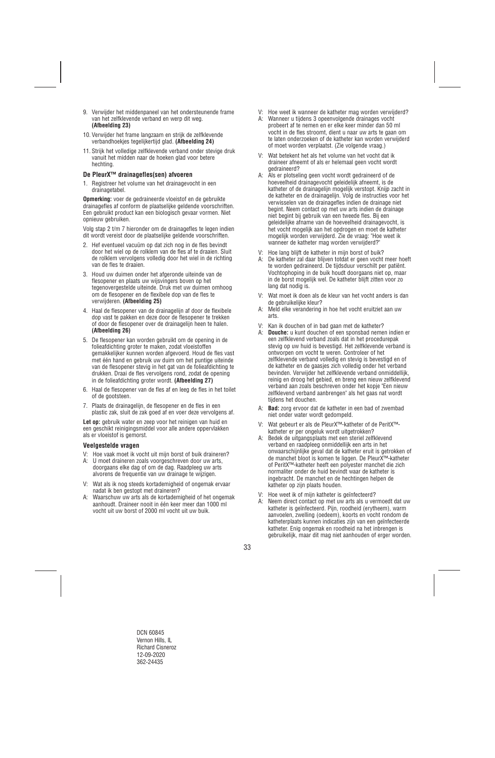- 9. Verwijder het middenpaneel van het ondersteunende frame van het zelfklevende verband en werp dit weg. **(Afbeelding 23)**
- 10. Verwijder het frame langzaam en strijk de zelfklevende verbandhoekjes tegelijkertijd glad. **(Afbeelding 24)**
- 11. Strijk het volledige zelfklevende verband onder stevige druk vanuit het midden naar de hoeken glad voor betere hechting.

#### **De PleurX™ drainagefles(sen) afvoeren**

1. Registreer het volume van het drainagevocht in een drainagetabel.

**Opmerking:** voer de gedraineerde vloeistof en de gebruikte drainagefles af conform de plaatselijke geldende voorschriften. Een gebruikt product kan een biologisch gevaar vormen. Niet opnieuw gebruiken.

Volg stap 2 t/m 7 hieronder om de drainagefles te legen indien dit wordt vereist door de plaatselijke geldende voorschriften.

- 2. Hef eventueel vacuüm op dat zich nog in de fles bevindt door het wiel op de rolklem van de fles af te draaien. Sluit de rolklem vervolgens volledig door het wiel in de richting van de fles te draaien.
- 3. Houd uw duimen onder het afgeronde uiteinde van de flesopener en plaats uw wijsvingers boven op het tegenovergestelde uiteinde. Druk met uw duimen omhoog om de flesopener en de flexibele dop van de fles te verwijderen. **(Afbeelding 25)**
- 4. Haal de flesopener van de drainagelijn af door de flexibele dop vast te pakken en deze door de flesopener te trekken of door de flesopener over de drainagelijn heen te halen. **(Afbeelding 26)**
- 5. De flesopener kan worden gebruikt om de opening in de folieafdichting groter te maken, zodat vloeistoffen gemakkelijker kunnen worden afgevoerd. Houd de fles vast met één hand en gebruik uw duim om het puntige uiteinde van de flesopener stevig in het gat van de folieafdichting te drukken. Draai de fles vervolgens rond, zodat de opening in de folieafdichting groter wordt. **(Afbeelding 27)**
- 6. Haal de flesopener van de fles af en leeg de fles in het toilet of de gootsteen.
- 7. Plaats de drainagelijn, de flesopener en de fles in een plastic zak, sluit de zak goed af en voer deze vervolgens af.

**Let op:** gebruik water en zeep voor het reinigen van huid en een geschikt reinigingsmiddel voor alle andere oppervlakken als er vloeistof is gemorst.

#### **Veelgestelde vragen**

- V: Hoe vaak moet ik vocht uit mijn borst of buik draineren?
- A: U moet draineren zoals voorgeschreven door uw arts, doorgaans elke dag of om de dag. Raadpleeg uw arts alvorens de frequentie van uw drainage te wijzigen.
- V: Wat als ik nog steeds kortademigheid of ongemak ervaar nadat ik ben gestopt met draineren?
- A: Waarschuw uw arts als de kortademigheid of het ongemak aanhoudt. Draineer nooit in één keer meer dan 1000 ml vocht uit uw borst of 2000 ml vocht uit uw buik.
- V: Hoe weet ik wanneer de katheter mag worden verwijderd?
- A: Wanneer u tijdens 3 opeenvolgende drainages vocht probeert af te nemen en er elke keer minder dan 50 ml vocht in de fles stroomt, dient u naar uw arts te gaan om te laten onderzoeken of de katheter kan worden verwijderd of moet worden verplaatst. (Zie volgende vraag.)
- V: Wat betekent het als het volume van het vocht dat ik draineer afneemt of als er helemaal geen vocht wordt gedraineerd?
- A: Als er plotseling geen vocht wordt gedraineerd of de hoeveelheid drainagevocht geleidelijk afneemt, is de katheter of de drainagelijn mogelijk verstopt. Knijp zacht in de katheter en de drainagelijn. Volg de instructies voor het verwisselen van de drainagefles indien de drainage niet begint. Neem contact op met uw arts indien de drainage niet begint bij gebruik van een tweede fles. Bij een geleidelijke afname van de hoeveelheid drainagevocht, is het vocht mogelijk aan het opdrogen en moet de katheter mogelijk worden verwijderd. Zie de vraag: "Hoe weet ik wanneer de katheter mag worden verwijderd?"
- V: Hoe lang blijft de katheter in mijn borst of buik?
- A: De katheter zal daar blijven totdat er geen vocht meer hoeft te worden gedraineerd. De tijdsduur verschilt per patiënt. Vochtophoping in de buik houdt doorgaans niet op, maar in de borst mogelijk wel. De katheter blijft zitten voor zo lang dat nodig is.
- V: Wat moet ik doen als de kleur van het vocht anders is dan de gebruikelijke kleur?
- A: Meld elke verandering in hoe het vocht eruitziet aan uw arts.
- V: Kan ik douchen of in bad gaan met de katheter?
- A: **Douche:** u kunt douchen of een sponsbad nemen indien er een zelfklevend verband zoals dat in het procedurepak stevig op uw huid is bevestigd. Het zelfklevende verband is ontworpen om vocht te weren. Controleer of het zelfklevende verband volledig en stevig is bevestigd en of de katheter en de gaasjes zich volledig onder het verband bevinden. Verwijder het zelfklevende verband onmiddellijk, reinig en droog het gebied, en breng een nieuw zelfklevend verband aan zoals beschreven onder het kopje "Een nieuw zelfklevend verband aanbrengen" als het gaas nat wordt tijdens het douchen.
- A: **Bad:** zorg ervoor dat de katheter in een bad of zwembad niet onder water wordt gedompeld.
- V: Wat gebeurt er als de PleurX™-katheter of de PeritX™ katheter er per ongeluk wordt uitgetrokken?
- A: Bedek de uitgangsplaats met een steriel zelfklevend verband en raadpleeg onmiddellijk een arts in het onwaarschijnlijke geval dat de katheter eruit is getrokken of de manchet bloot is komen te liggen. De PleurX™-katheter of PeritX™-katheter heeft een polyester manchet die zich normaliter onder de huid bevindt waar de katheter is ingebracht. De manchet en de hechtingen helpen de katheter op zijn plaats houden.
- V: Hoe weet ik of mijn katheter is geïnfecteerd?
- A: Neem direct contact op met uw arts als u vermoedt dat uw katheter is geïnfecteerd. Pijn, roodheid (erytheem), warm aanvoelen, zwelling (oedeem), koorts en vocht rondom de katheterplaats kunnen indicaties zijn van een geïnfecteerde katheter. Enig ongemak en roodheid na het inbrengen is gebruikelijk, maar dit mag niet aanhouden of erger worden.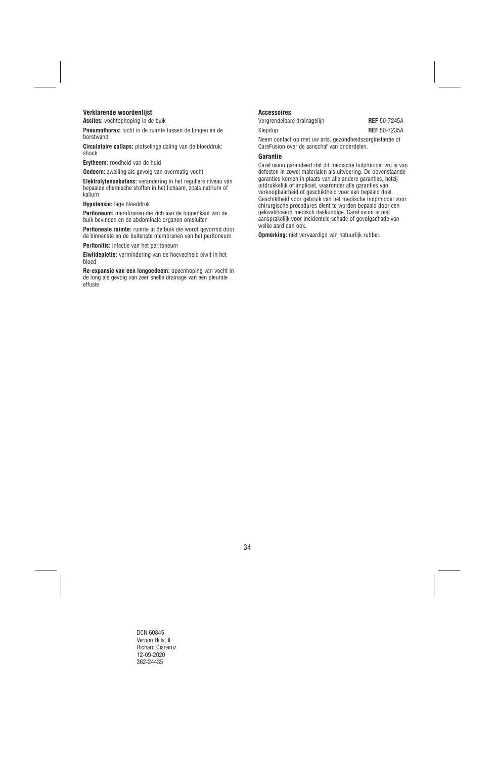## **Verklarende woordenlijst**

**Ascites:** vochtophoping in de buik

**Pneumothorax:** lucht in de ruimte tussen de longen en de borstwand

**Circulatoire collaps:** plotselinge daling van de bloeddruk: shock

**Erytheem:** roodheid van de huid

**Oedeem:** zwelling als gevolg van overmatig vocht

**Elektrolytenonbalans:** verandering in het reguliere niveau van bepaalde chemische stoffen in het lichaam, zoals natrium of kalium

**Hypotensie:** lage bloeddruk

**Peritoneum:** membranen die zich aan de binnenkant van de buik bevinden en de abdominale organen omsluiten

**Peritoneale ruimte:** ruimte in de buik die wordt gevormd door de binnenste en de buitenste membranen van het peritoneum

**Peritonitis:** infectie van het peritoneum

**Eiwitdepletie:** vermindering van de hoeveelheid eiwit in het bloed

**Re-expansie van een longoedeem:** opeenhoping van vocht in de long als gevolg van zeer snelle drainage van een pleurale effusie

### **Accessoires**

Vergrendelbare drainagelijn **REF** 50-7245A

Klepdop **REF** 50-7235A

Neem contact op met uw arts, gezondheidszorginstantie of CareFusion over de aanschaf van onderdelen.

#### **Garantie**

CareFusion garandeert dat dit medische hulpmiddel vrij is van defecten in zowel materialen als uitvoering. De bovenstaande garanties komen in plaats van alle andere garanties, hetzij uitdrukkelijk of impliciet, waaronder alle garanties van verkoopbaarheid of geschiktheid voor een bepaald doel. Geschiktheid voor gebruik van het medische hulpmiddel voor chirurgische procedures dient te worden bepaald door een gekwalificeerd medisch deskundige. CareFusion is niet aansprakelijk voor incidentele schade of gevolgschade van welke aard dan ook.

**Opmerking:** niet vervaardigd van natuurlijk rubber.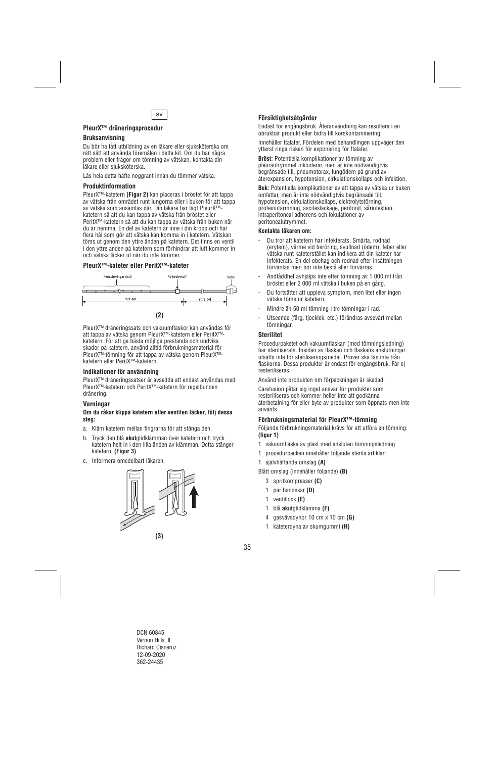

## **PleurX™ dräneringsprocedur**

### **Bruksanvisning**

Du bör ha fått utbildning av en läkare eller sjuksköterska om rätt sätt att använda föremålen i detta kit. Om du har några problem eller frågor om tömning av vätskan, kontakta din läkare eller sjuksköterska.

Läs hela detta häfte noggrant innan du tömmer vätska.

#### **Produktinformation**

PleurX™-katetern **(Figur 2)** kan placeras i bröstet för att tappa av vätska från området runt lungorna eller i buken för att tappa av vätska som ansamlas där. Din läkare har lagt PleurX™ katetern så att du kan tappa av vätska från bröstet eller PeritX™-katetern så att du kan tappa av vätska från buken när du är hemma. En del av katetern är inne i din kropp och har flera hål som gör att vätska kan komma in i katetern. Vätskan töms ut genom den yttre änden på katetern. Det finns en ventil i den yttre änden på katetern som förhindrar att luft kommer in och vätska läcker ut när du inte tömmer.

## **PleurX™-kateter eller PeritX™-kateter**



PleurX™ dräneringssats och vakuumflaskor kan användas för att tappa av vätska genom PleurX™-katetern eller PeritX™ katetern. För att ge bästa möjliga prestanda och undvika skador på katetern, använd alltid förbrukningsmaterial för PleurX™-tömning för att tappa av vätska genom PleurX™ katetern eller PeritX™-katetern.

#### **Indikationer för användning**

PleurX™ dräneringssatser är avsedda att endast användas med PleurX™-katetern och PeritX™-katetern för regelbunden dränering.

#### **Varningar**

#### **Om du råkar klippa katetern eller ventilen läcker, följ dessa steg:**

- a. Kläm katetern mellan fingrarna för att stänga den.
- b. Tryck den blå **akut**glidklämman över katetern och tryck katetern helt in i den lilla änden av klämman. Detta stänger katetern. **(Figur 3)**
- c. Informera omedelbart läkaren.



## **Försiktighetsåtgärder**

Endast för engångsbruk. Återanvändning kan resultera i en obrukbar produkt eller bidra till korskontaminering.

Innehåller ftalater. Fördelen med behandlingen uppväger den ytterst ringa risken för exponering för ftalater.

**Bröst:** Potentiella komplikationer av tömning av pleurautrymmet inkluderar, men är inte nödvändigtvis begränsade till, pneumotorax, lungödem på grund av återexpansion, hypotension, cirkulationskollaps och infektion.

**Buk:** Potentiella komplikationer av att tappa av vätska ur buken omfattar, men är inte nödvändigtvis begränsade till, hypotension, cirkulationskollaps, elektrolytstörning, proteinutarmning, ascitesläckage, peritonit, sårinfektion, intraperitoneal adherens och lokulationer av peritonealutrymmet.

#### **Kontakta läkaren om:**

- Du tror att katetern har infekterats. Smärta, rodnad (erytem), värme vid beröring, svullnad (ödem), feber eller vätska runt kateterstället kan indikera att din kateter har infekterats. En del obehag och rodnad efter insättningen förväntas men bör inte bestå eller förvärras.
- Andfåddhet avhjälps inte efter tömning av 1 000 ml från bröstet eller 2 000 ml vätska i buken på en gång.
- Du fortsätter att uppleva symptom, men litet eller ingen vätska töms ur katetern.
- Mindre än 50 ml tömning i tre tömningar i rad.
- Utseende (färg, tjocklek, etc.) förändras avsevärt mellan tömningar.

#### **Sterilitet**

Procedurpaketet och vakuumflaskan (med tömningsledning) har steriliserats. Insidan av flaskan och flaskans anslutningar utsätts inte för steriliseringsmedel. Prover ska tas inte från flaskorna. Dessa produkter är endast för engångsbruk. Får ej resteriliseras.

Använd inte produkten om förpackningen är skadad.

Carefusion påtar sig inget ansvar för produkter som resteriliseras och kommer heller inte att godkänna återbetalning för eller byte av produkter som öppnats men inte använts.

#### **Förbrukningsmaterial för PleurX™-tömning**

Följande förbrukningsmaterial krävs för att utföra en tömning: **(figur 1)**

- 1 vakuumflaska av plast med ansluten tömningsledning
- 1 procedurpacken innehåller följande sterila artiklar:
- 1 självhäftande omslag **(A)**

Blått omslag (innehåller följande) **(B)** 

- 3 spritkompresser **(C)**
- 1 par handskar **(D)**
- 1 ventillock **(E)**
- 1 blå **akut**glidklämma **(F)**
- 4 gasvävsdynor 10 cm x 10 cm **(G)**
- 1 kateterdyna av skumgummi **(H)**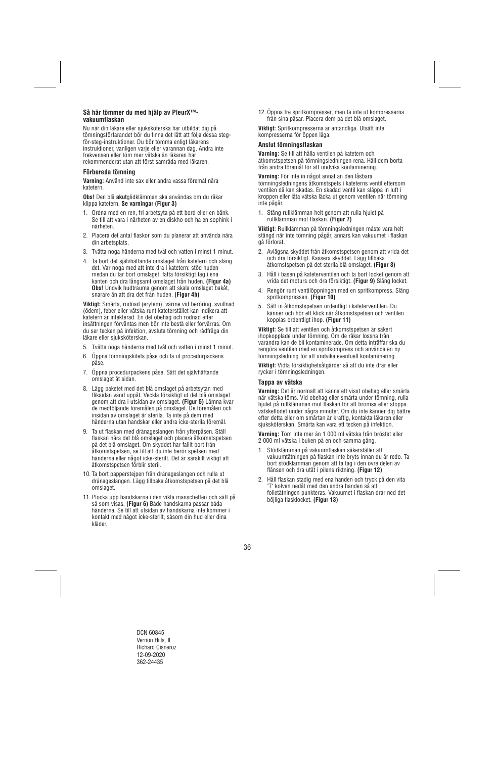## **Så här tömmer du med hjälp av PleurX™ vakuumflaskan**

Nu när din läkare eller sjuksköterska har utbildat dig på tömningsförfarandet bör du finna det lätt att följa dessa stegför-steg-instruktioner. Du bör tömma enligt läkarens instruktioner, vanligen varje eller varannan dag. Ändra inte frekvensen eller töm mer vätska än läkaren har rekommenderat utan att först samråda med läkaren.

## **Förbereda tömning**

**Varning:** Använd inte sax eller andra vassa föremål nära katetern.

**Obs!** Den blå **akut**glidklämman ska användas om du råkar klippa katetern. **Se varningar (Figur 3)** 

- 1. Ordna med en ren, fri arbetsyta på ett bord eller en bänk. Se till att vara i närheten av en diskho och ha en sophink i närheten.
- 2. Placera det antal flaskor som du planerar att använda nära din arbetsplats.
- 3. Tvätta noga händerna med tvål och vatten i minst 1 minut.
- 4. Ta bort det självhäftande omslaget från katetern och släng det. Var noga med att inte dra i katetern: stöd huden medan du tar bort omslaget, fatta försiktigt tag i ena kanten och dra långsamt omslaget från huden. **(Figur 4a) Obs!** Undvik hudtrauma genom att skala omslaget bakåt, snarare än att dra det från huden. **(Figur 4b)**

**Viktigt:** Smärta, rodnad (erytem), värme vid beröring, svullnad (ödem), feber eller vätska runt kateterstället kan indikera att katetern är infekterad. En del obehag och rodnad efter insättningen förväntas men bör inte bestå eller förvärras. Om du ser tecken på infektion, avsluta tömning och rådfråga din läkare eller siuksköterskan.

- 5. Tvätta noga händerna med tvål och vatten i minst 1 minut.
- 6. Öppna tömningskitets påse och ta ut procedurpackens påse.
- 7. Öppna procedurpackens påse. Sätt det självhäftande omslaget åt sidan.
- 8. Lägg paketet med det blå omslaget på arbetsytan med fliksidan vänd uppåt. Veckla försiktigt ut det blå omslaget genom att dra i utsidan av omslaget. **(Figur 5)** Lämna kvar de medföljande föremålen på omslaget. De föremålen och insidan av omslaget är sterila. Ta inte på dem med händerna utan handskar eller andra icke-sterila föremål.
- 9. Ta ut flaskan med dränageslangen från ytterpåsen. Ställ flaskan nära det blå omslaget och placera åtkomstspetsen på det blå omslaget. Om skyddet har fallit bort från åtkomstspetsen, se till att du inte berör spetsen med händerna eller något icke-sterilt. Det är särskilt viktigt att åtkomstspetsen förblir steril.
- 10. Ta bort papperstejpen från dränageslangen och rulla ut dränageslangen. Lägg tillbaka åtkomstspetsen på det blå omslaget.
- 11. Plocka upp handskarna i den vikta manschetten och sätt på så som visas. **(Figur 6)** Både handskarna passar båda händerna. Se till att utsidan av handskarna inte kommer i kontakt med något icke-sterilt, såsom din hud eller dina kläder.

12. Öppna tre spritkompresser, men ta inte ut kompresserna från sina påsar. Placera dem på det blå omslaget.

**Viktigt:** Spritkompresserna är antändliga. Utsätt inte kompresserna för öppen låga.

## **Anslut tömningsflaskan**

**Varning:** Se till att hålla ventilen på katetern och åtkomstspetsen på tömningsledningen rena. Håll dem borta från andra föremål för att undvika kontaminering.

**Varning:** För inte in något annat än den låsbara tömningsledningens åtkomstspets i kateterns ventil eftersom ventilen då kan skadas. En skadad ventil kan släppa in luft i kroppen eller låta vätska läcka ut genom ventilen när tömning inte pågår.

1. Stäng rullklämman helt genom att rulla hjulet på rullklämman mot flaskan. **(Figur 7)** 

**Viktigt:** Rullklämman på tömningsledningen måste vara helt stängd när inte tömning pågår, annars kan vakuumet i flaskan gå förlorat.

- 2. Avlägsna skyddet från åtkomstspetsen genom att vrida det och dra försiktigt. Kassera skyddet. Lägg tillbaka åtkomstspetsen på det sterila blå omslaget. **(Figur 8)**
- 3. Håll i basen på kateterventilen och ta bort locket genom att vrida det moturs och dra försiktigt. **(Figur 9)** Släng locket.
- 4. Rengör runt ventilöppningen med en spritkompress. Släng spritkompressen. **(Figur 10)**
- 5. Sätt in åtkomstspetsen ordentligt i kateterventilen. Du känner och hör ett klick när åtkomstspetsen och ventilen kopplas ordentligt ihop. **(Figur 11)**

**Viktigt:** Se till att ventilen och åtkomstspetsen är säkert ihopkopplade under tömning. Om de råkar lossna från varandra kan de bli kontaminerade. Om detta inträffar ska du rengöra ventilen med en spritkompress och använda en ny tömningsledning för att undvika eventuell kontaminering.

**Viktigt:** Vidta försiktighetsåtgärder så att du inte drar eller rycker i tömningsledningen.

#### **Tappa av vätska**

**Varning:** Det är normalt att känna ett visst obehag eller smärta när vätska töms. Vid obehag eller smärta under tömning, rulla hjulet på rullklämman mot flaskan för att bromsa eller stoppa vätskeflödet under några minuter. Om du inte känner dig bättre efter detta eller om smärtan är kraftig, kontakta läkaren eller sjuksköterskan. Smärta kan vara ett tecken på infektion.

**Varning:** Töm inte mer än 1 000 ml vätska från bröstet eller 2 000 ml vätska i buken på en och samma gång.

- 1. Stödklämman på vakuumflaskan säkerställer att vakuumtätningen på flaskan inte bryts innan du är redo. Ta bort stödklämman genom att ta tag i den övre delen av flänsen och dra utåt i pilens riktning. **(Figur 12)**
- 2. Håll flaskan stadig med ena handen och tryck på den vita "T" kolven nedåt med den andra handen så att folietätningen punkteras. Vakuumet i flaskan drar ned det böjliga flasklocket. **(Figur 13)**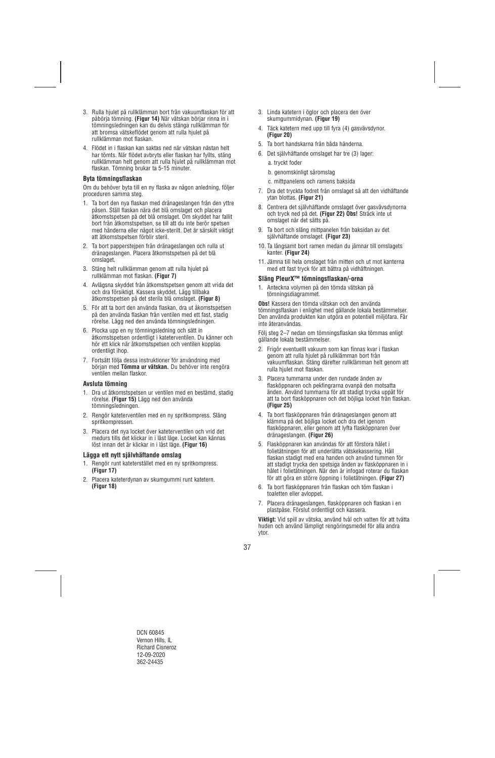- 3. Rulla hjulet på rullklämman bort från vakuumflaskan för att påbörja tömning. **(Figur 14)** När vätskan börjar rinna in i tömningsledningen kan du delvis stänga rullklämman för att bromsa vätskeflödet genom att rulla hjulet på rullklämman mot flaskan.
- 4. Flödet in i flaskan kan saktas ned när vätskan nästan helt har tömts. När flödet avbryts eller flaskan har fyllts, stäng rullklämman helt genom att rulla hjulet på rullklämman mot flaskan. Tömning brukar ta 5-15 minuter.

### **Byta tömningsflaskan**

Om du behöver byta till en ny flaska av någon anledning, följer proceduren samma steg.

- 1. Ta bort den nya flaskan med dränageslangen från den yttre påsen. Ställ flaskan nära det blå omslaget och placera åtkomstspetsen på det blå omslaget. Om skyddet har fallit bort från åtkomstspetsen, se till att du inte berör spetsen med händerna eller något icke-sterilt. Det är särskilt viktigt att åtkomstspetsen förblir steril.
- 2. Ta bort papperstejpen från dränageslangen och rulla ut dränageslangen. Placera åtkomstspetsen på det blå omslaget.
- 3. Stäng helt rullklämman genom att rulla hjulet på rullklämman mot flaskan. **(Figur 7)**
- 4. Avlägsna skyddet från åtkomstspetsen genom att vrida det och dra försiktigt. Kassera skyddet. Lägg tillbaka åtkomstspetsen på det sterila blå omslaget. **(Figur 8)**
- 5. För att ta bort den använda flaskan, dra ut åkomstspetsen på den använda flaskan från ventilen med ett fast, stadig rörelse. Lägg ned den använda tömningsledningen.
- 6. Plocka upp en ny tömningsledning och sätt in åtkomstspetsen ordentligt i kateterventilen. Du känner och hör ett klick när åtkomstspetsen och ventilen kopplas ordentligt ihop.
- 7. Fortsätt följa dessa instruktioner för användning med början med **Tömma ur vätskan.** Du behöver inte rengöra ventilen mellan flaskor.

#### **Avsluta tömning**

- 1. Dra ut åtkomstspetsen ur ventilen med en bestämd, stadig rörelse. **(Figur 15)** Lägg ned den använda tömningsledningen.
- 2. Rengör kateterventilen med en ny spritkompress. Släng spritkompressen.
- 3. Placera det nya locket över kateterventilen och vrid det medurs tills det klickar in i låst läge. Locket kan kännas löst innan det är klickar in i låst läge. **(Figur 16)**

#### **Lägga ett nytt självhäftande omslag**

- 1. Rengör runt kateterstället med en ny spritkompress. **(Figur 17)**
- 2. Placera kateterdynan av skumgummi runt katetern. **(Figur 18)**
- 3. Linda katetern i öglor och placera den över skumgummidynan. **(Figur 19)**
- 4. Täck katetern med upp till fyra (4) gasvävsdynor. **(Figur 20)**
- 5. Ta bort handskarna från båda händerna.
- 6. Det självhäftande omslaget har tre (3) lager: a. tryckt foder
	- b. genomskinligt såromslag
	- c. mittpanelens och ramens baksida
- 7. Dra det tryckta fodret från omslaget så att den vidhäftande ytan blottas. **(Figur 21)**
- 8. Centrera det självhäftande omslaget över gasvävsdynorna och tryck ned på det. **(Figur 22) Obs!** Sträck inte ut omslaget när det sätts på.
- 9. Ta bort och släng mittpanelen från baksidan av det självhäftande omslaget. **(Figur 23)**
- 10. Ta långsamt bort ramen medan du jämnar till omslagets kanter. **(Figur 24)**
- 11. Jämna till hela omslaget från mitten och ut mot kanterna med ett fast tryck för att bättra på vidhäftningen.

#### **Släng PleurX™ tömningsflaskan/-orna**

1. Anteckna volymen på den tömda vätskan på tömningsdiagrammet.

**Obs!** Kassera den tömda vätskan och den använda tömningsflaskan i enlighet med gällande lokala bestämmelser. Den använda produkten kan utgöra en potentiell miljöfara. Får inte återanvändas.

Följ steg 2–7 nedan om tömningsflaskan ska tömmas enligt gällande lokala bestämmelser.

- 2. Frigör eventuellt vakuum som kan finnas kvar i flaskan genom att rulla hjulet på rullklämman bort från vakuumflaskan. Stäng därefter rullklämman helt genom att rulla hjulet mot flaskan.
- 3. Placera tummarna under den rundade änden av flasköppnaren och pekfingrarna ovanpå den motsatta änden. Använd tummarna för att stadigt trycka uppåt för att ta bort flasköppnaren och det böjliga locket från flaskan. **(Figur 25)**
- 4. Ta bort flasköppnaren från dränageslangen genom att klämma på det böjliga locket och dra det igenom flasköppnaren, eller genom att lyfta flasköppnaren över dränageslangen. **(Figur 26)**
- 5. Flasköppnaren kan användas för att förstora hålet i folietätningen för att underlätta vätskekassering. Håll flaskan stadigt med ena handen och använd tummen för att stadigt trycka den spetsiga änden av flasköppnaren in i hålet i folietätningen. När den är infogad roterar du flaskan för att göra en större öppning i folietätningen. **(Figur 27)**
- 6. Ta bort flasköppnaren från flaskan och töm flaskan i toaletten eller avloppet.
- 7. Placera dränageslangen, flasköppnaren och flaskan i en plastpåse. Förslut ordentligt och kassera.

**Viktigt:** Vid spill av vätska, använd tvål och vatten för att tvätta huden och använd lämpligt rengöringsmedel för alla andra ytor.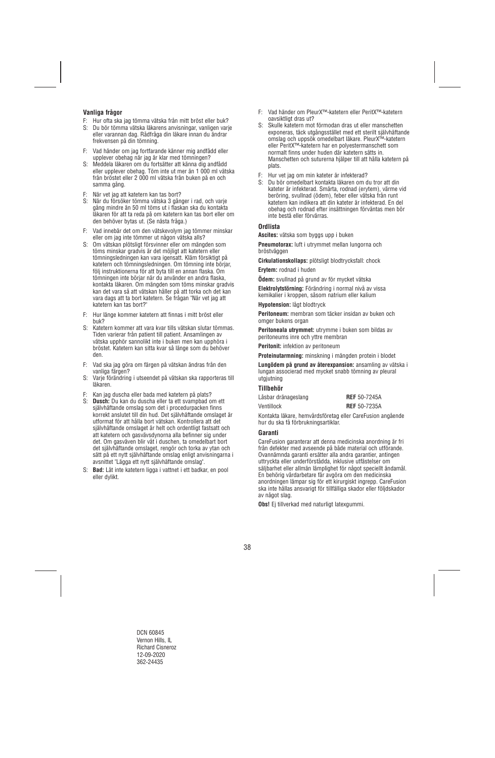## **Vanliga frågor**

- F: Hur ofta ska jag tömma vätska från mitt bröst eller buk?
- S: Du bör tömma vätska läkarens anvisningar, vanligen varje eller varannan dag. Rådfråga din läkare innan du ändrar frekvensen på din tömning.
- F: Vad händer om jag fortfarande känner mig andfådd eller upplever obehag när jag är klar med tömningen?
- S: Meddela läkaren om du fortsätter att känna dig andfådd eller upplever obehag. Töm inte ut mer än 1 000 ml vätska från bröstet eller 2 000 ml vätska från buken på en och samma gång.
- F: När vet jag att katetern kan tas bort?
- S: När du försöker tömma vätska 3 gånger i rad, och varje gång mindre än 50 ml töms ut i flaskan ska du kontakta läkaren för att ta reda på om katetern kan tas bort eller om den behöver bytas ut. (Se nästa fråga.)
- F: Vad innebär det om den vätskevolym jag tömmer minskar eller om jag inte tömmer ut någon vätska alls?
- S: Om vätskan plötsligt försvinner eller om mängden som töms minskar gradvis är det möjligt att katetern eller tömningsledningen kan vara igensatt. Kläm försiktigt på katetern och tömningsledningen. Om tömning inte börjar, följ instruktionerna för att byta till en annan flaska. Om tömningen inte börjar när du använder en andra flaska, kontakta läkaren. Om mängden som töms minskar gradvis kan det vara så att vätskan håller på att torka och det kan vara dags att ta bort katetern. Se frågan "När vet jag att katetern kan tas bort?"
- F: Hur länge kommer katetern att finnas i mitt bröst eller buk?
- S: Katetern kommer att vara kvar tills vätskan slutar tömmas. Tiden varierar från patient till patient. Ansamlingen av vätska upphör sannolikt inte i buken men kan upphöra i bröstet. Katetern kan sitta kvar så länge som du behöver den.
- F: Vad ska jag göra om färgen på vätskan ändras från den vanliga färgen?
- S: Varje förändring i utseendet på vätskan ska rapporteras till läkaren.
- F: Kan jag duscha eller bada med katetern på plats?
- S: **Dusch:** Du kan du duscha eller ta ett svampbad om ett självhäftande omslag som det i procedurpacken finns korrekt anslutet till din hud. Det självhäftande omslaget är utformat för att hålla bort vätskan. Kontrollera att det självhäftande omslaget är helt och ordentligt fastsatt och att katetern och gasvävsdynorna alla befinner sig under det. Om gasväven blir våt i duschen, ta omedelbart bort det självhäftande omslaget, rengör och torka av ytan och sätt på ett nytt självhäftande omslag enligt anvisningarna i avsnittet "Lägga ett nytt självhäftande omslag".
- S: **Bad:** Låt inte katetern ligga i vattnet i ett badkar, en pool eller dylikt.
- F: Vad händer om PleurX™-katetern eller PeritX™-katetern oavsiktligt dras ut?
- S: Skulle katetern mot förmodan dras ut eller manschetten exponeras, täck utgångsstället med ett sterilt självhäftande omslag och uppsök omedelbart läkare. PleurX™-katetern eller PeritX™-katetern har en polyestermanschett som normalt finns under huden där katetern sätts in. Manschetten och suturerna hjälper till att hålla katetern på plats.
- F: Hur vet jag om min kateter är infekterad?
- S: Du bör omedelbart kontakta läkaren om du tror att din kateter är infekterad. Smärta, rodnad (erytem), värme vid beröring, svullnad (ödem), feber eller vätska från runt katetern kan indikera att din kateter är infekterad. En del obehag och rodnad efter insättningen förväntas men bör inte bestå eller förvärras.

## **Ordlista**

**Ascites:** vätska som byggs upp i buken

**Pneumotorax:** luft i utrymmet mellan lungorna och bröstväggen

**Cirkulationskollaps:** plötsligt blodtrycksfall: chock

**Erytem:** rodnad i huden

**Ödem:** svullnad på grund av för mycket vätska

**Elektrolytstörning:** Förändring i normal nivå av vissa kemikalier i kroppen, såsom natrium eller kalium

**Hypotension:** lågt blodtryck

**Peritoneum:** membran som täcker insidan av buken och omger bukens organ

**Peritoneala utrymmet:** utrymme i buken som bildas av peritoneums inre och yttre membran

**Peritonit:** infektion av peritoneum

**Proteinutarmning:** minskning i mängden protein i blodet

**Lungödem på grund av återexpansion:** ansamling av vätska i lungan associerad med mycket snabb tömning av pleural utgjutning

## **Tillbehör**

| Låsbar dränageslang | <b>REF</b> 50-7245A |
|---------------------|---------------------|
| Ventillock          | <b>REF</b> 50-7235A |

Kontakta läkare, hemvårdsföretag eller CareFusion angående hur du ska få förbrukningsartiklar.

## **Garanti**

CareFusion garanterar att denna medicinska anordning är fri från defekter med avseende på både material och utförande. Ovannämnda garanti ersätter alla andra garantier, antingen uttryckta eller underförstådda, inklusive utfästelser om säljbarhet eller allmän lämplighet för något speciellt ändamål. En behörig vårdarbetare får avgöra om den medicinska anordningen lämpar sig för ett kirurgiskt ingrepp. CareFusion ska inte hållas ansvarigt för tillfälliga skador eller följdskador av något slag.

**Obs!** Ej tillverkad med naturligt latexgummi.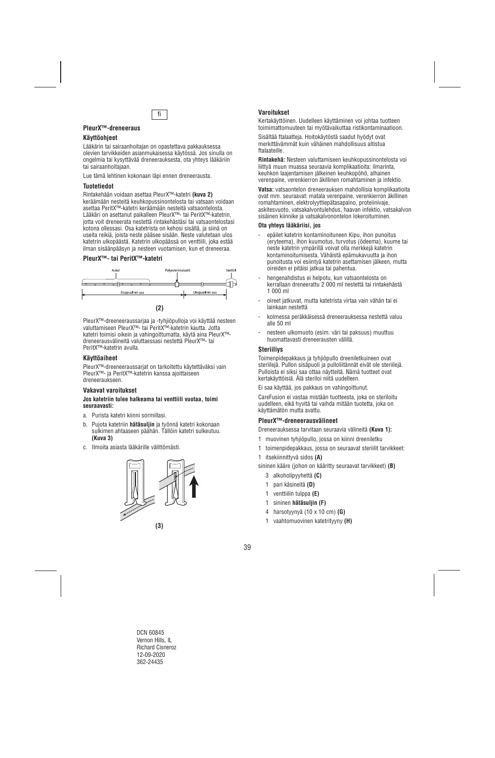

## **PleurX™-dreneeraus**

## **Käyttöohjeet**

Lääkärin tai sairaanhoitajan on opastettava pakkauksessa olevien tarvikkeiden asianmukaisessa käytössä. Jos sinulla on ongelmia tai kysyttävää dreneerauksesta, ota yhteys lääkäriin tai sairaanhoitajaan.

Lue tämä lehtinen kokonaan läpi ennen dreneerausta.

## **Tuotetiedot**

Rintakehään voidaan asettaa PleurX™-katetri **(kuva 2)** keräämään nesteitä keuhkopussinontelosta tai vatsaan voidaan asettaa PeritX™-katetri keräämään nesteitä vatsaontelosta. Lääkäri on asettanut paikalleen PleurX™- tai PeritX™-katetrin, jotta voit dreneerata nestettä rintakehästäsi tai vatsaontelostasi kotona ollessasi. Osa katetrista on kehosi sisällä, ja siinä on useita reikiä, joista neste pääsee sisään. Neste valutetaan ulos katetrin ulkopäästä. Katetrin ulkopäässä on venttiili, joka estää ilman sisäänpääsyn ja nesteen vuotamisen, kun et dreneeraa.

#### **PleurX™- tai PeritX™-katetri**



PleurX™-dreeneeraussarjaa ja -tyhjiöpulloja voi käyttää nesteen valuttamiseen PleurX™- tai PeritX™-katetrin kautta. Jotta katetri toimisi oikein ja vahingoittumatta, käytä aina PleurX™ dreneerausvälineitä valuttaessasi nestettä PleurX™- tai PeritX™-katetrin avulla.

## **Käyttöaiheet**

PleurX™-dreeneeraussarjat on tarkoitettu käytettäväksi vain PleurX™- ja PeritX™-katetrin kanssa ajoittaiseen dreneeraukseen.

#### **Vakavat varoitukset**

#### **Jos katetriin tulee halkeama tai venttiili vuotaa, toimi seuraavasti:**

- a. Purista katetri kiinni sormillasi.
- b. Pujota katetriin **hätäsuljin** ja työnnä katetri kokonaan sulkimen ahtaaseen päähän. Tällöin katetri sulkeutuu. **(Kuva 3)**
- c. Ilmoita asiasta lääkärille välittömästi.





Kertakäyttöinen. Uudelleen käyttäminen voi johtaa tuotteen toimimattomuuteen tai myötävaikuttaa ristikontaminaatioon.

Sisältää ftalaatteja. Hoitokäytöstä saadut hyödyt ovat merkittävämmät kuin vähäinen mahdollisuus altistua ftalaateille.

**Rintakehä:** Nesteen valuttamiseen keuhkopussinontelosta voi liittyä muun muassa seuraavia komplikaatioita: ilmarinta, keuhkon laajentamisen jälkeinen keuhkopöhö, alhainen verenpaine, verenkierron äkillinen romahtaminen ja infektio.

**Vatsa:** vatsaontelon dreneerauksen mahdollisia komplikaatioita ovat mm. seuraavat: matala verenpaine, verenkierron äkillinen romahtaminen, elektrolyyttiepätasapaino, proteiinivaje, askitesvuoto, vatsakalvontulehdus, haavan infektio, vatsakalvon sisäinen kiinnike ja vatsakalvonontelon lokeroituminen.

#### **Ota yhteys lääkäriisi, jos**

- epäilet katetrin kontaminoituneen Kipu, ihon punoitus (eryteema), ihon kuumotus, turvotus (ödeema), kuume tai neste katetrin ympärillä voivat olla merkkejä katetrin kontaminoitumisesta. Vähäistä epämukavuutta ja ihon punoitusta voi esiintyä katetrin asettamisen jälkeen, mutta oireiden ei pitäisi jatkua tai pahentua.
- hengenahdistus ei helpotu, kun vatsaontelosta on kerrallaan dreneerattu 2 000 ml nestettä tai rintakehästä 1 000 ml
- oireet jatkuvat, mutta katetrista virtaa vain vähän tai ei lainkaan nestettä
- kolmessa peräkkäisessä dreneerauksessa nestettä valuu alle 50 ml
- nesteen ulkomuoto (esim. väri tai paksuus) muuttuu huomattavasti dreneerausten välillä.

#### **Steriiliys**

Toimenpidepakkaus ja tyhjiöpullo dreeniletkuineen ovat steriilejä. Pullon sisäpuoli ja pulloliitännät eivät ole steriilejä. Pulloista ei siksi saa ottaa näytteitä. Nämä tuotteet ovat kertakäyttöisiä. Älä steriloi niitä uudelleen.

Ei saa käyttää, jos pakkaus on vahingoittunut.

CareFusion ei vastaa mistään tuotteesta, joka on steriloitu uudelleen, eikä hyvitä tai vaihda mitään tuotetta, joka on käyttämätön mutta avattu.

## **PleurX™-dreneerausvälineet**

Dreneerauksessa tarvitaan seuraavia välineitä **(Kuva 1):** 

- 1 muovinen tyhjiöpullo, jossa on kiinni dreeniletku
- 1 toimenpidepakkaus, jossa on seuraavat steriilit tarvikkeet:
- 1 itsekiinnittyvä sidos **(A)**

sininen kääre (johon on kääritty seuraavat tarvikkeet) **(B)** 

- 3 alkoholipyyhettä **(C)**
- 1 pari käsineitä **(D)**
- 1 venttiilin tulppa **(E)**
- 1 sininen **hätäsuljin (F)**
- 4 harsotyynyä (10 x 10 cm) **(G)**
- 1 vaahtomuovinen katetrityyny **(H)**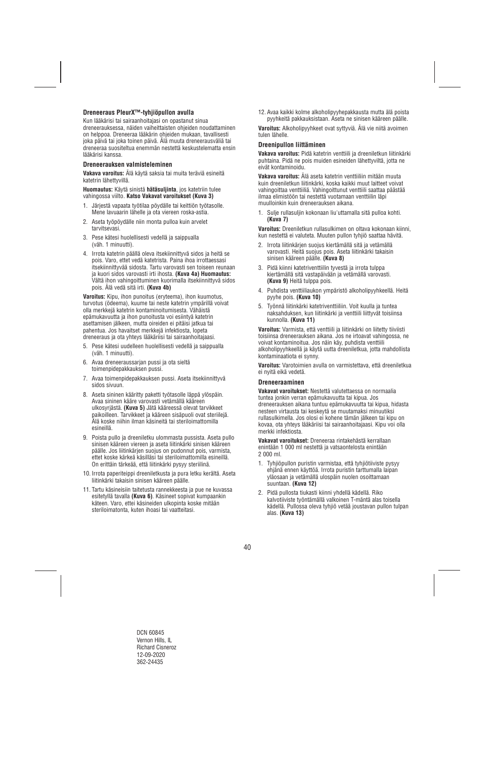## **Dreneeraus PleurX™-tyhjiöpullon avulla**

Kun lääkärisi tai sairaanhoitajasi on opastanut sinua dreneerauksessa, näiden vaiheittaisten ohjeiden noudattaminen on helppoa. Dreneeraa lääkärin ohjeiden mukaan, tavallisesti joka päivä tai joka toinen päivä. Älä muuta dreneerausväliä tai dreneeraa suositeltua enemmän nestettä keskustelematta ensin lääkärisi kanssa.

#### **Dreneerauksen valmisteleminen**

**Vakava varoitus:** Älä käytä saksia tai muita teräviä esineitä katetrin lähettyvillä.

**Huomautus:** Käytä sinistä **hätäsuljinta**, jos katetriin tulee vahingossa viilto. **Katso Vakavat varoitukset (Kuva 3)**

- 1. Järjestä vapaata työtilaa pöydälle tai keittiön työtasolle. Mene lavuaarin lähelle ja ota viereen roska-astia.
- 2. Aseta työpöydälle niin monta pulloa kuin arvelet tarvitsevasi.
- 3. Pese kätesi huolellisesti vedellä ja saippualla (väh. 1 minuutti).
- 4. Irrota katetrin päällä oleva itsekiinnittyvä sidos ja heitä se pois. Varo, ettet vedä katetrista. Paina ihoa irrottaessasi itsekiinnittyvää sidosta. Tartu varovasti sen toiseen reunaan ja kuori sidos varovasti irti ihosta. **(Kuva 4a) Huomautus:** Vältä ihon vahingoittuminen kuorimalla itsekiinnittyvä sidos pois. Älä vedä sitä irti. **(Kuva 4b)**

**Varoitus:** Kipu, ihon punoitus (eryteema), ihon kuumotus, turvotus (ödeema), kuume tai neste katetrin ympärillä voivat olla merkkejä katetrin kontaminoitumisesta. Vähäistä epämukavuutta ja ihon punoitusta voi esiintyä katetrin asettamisen jälkeen, mutta oireiden ei pitäisi jatkua tai pahentua. Jos havaitset merkkejä infektiosta, lopeta dreneeraus ja ota yhteys lääkäriisi tai sairaanhoitajaasi.

- 5. Pese kätesi uudelleen huolellisesti vedellä ja saippualla (väh. 1 minuutti).
- 6. Avaa dreneeraussarjan pussi ja ota sieltä toimenpidepakkauksen pussi.
- 7. Avaa toimenpidepakkauksen pussi. Aseta itsekiinnittyvä sidos sivuun.
- 8. Aseta sininen kääritty paketti työtasolle läppä ylöspäin. Avaa sininen kääre varovasti vetämällä kääreen ulkosyrjästä. **(Kuva 5)** Jätä kääreessä olevat tarvikkeet paikoilleen. Tarvikkeet ja kääreen sisäpuoli ovat steriilejä. Älä koske niihin ilman käsineitä tai steriloimattomilla esineillä.
- 9. Poista pullo ja dreeniletku ulommasta pussista. Aseta pullo sinisen kääreen viereen ja aseta liitinkärki sinisen kääreen päälle. Jos liitinkärjen suojus on pudonnut pois, varmista, ettet koske kärkeä käsilläsi tai steriloimattomilla esineillä. On erittäin tärkeää, että liitinkärki pysyy steriilinä.
- 10. Irrota paperiteippi dreeniletkusta ja pura letku kerältä. Aseta liitinkärki takaisin sinisen kääreen päälle.
- 11. Tartu käsineisiin taitetusta rannekkeesta ja pue ne kuvassa esitetyllä tavalla **(Kuva 6)**. Käsineet sopivat kumpaankin käteen. Varo, ettei käsineiden ulkopinta koske mitään steriloimatonta, kuten ihoasi tai vaatteitasi.

12. Avaa kaikki kolme alkoholipyyhepakkausta mutta älä poista pyyhkeitä pakkauksistaan. Aseta ne sinisen kääreen päälle.

**Varoitus:** Alkoholipyyhkeet ovat syttyviä. Älä vie niitä avoimen tulen lähelle.

#### **Dreenipullon liittäminen**

**Vakava varoitus:** Pidä katetrin venttiili ja dreeniletkun liitinkärki puhtaina. Pidä ne pois muiden esineiden lähettyviltä, jotta ne eivät kontaminoidu.

**Vakava varoitus:** Älä aseta katetrin venttiiliin mitään muuta kuin dreeniletkun liitinkärki, koska kaikki muut laitteet voivat vahingoittaa venttiiliä. Vahingoittunut venttiili saattaa päästää ilmaa elimistöön tai nestettä vuotamaan venttiilin läpi muulloinkin kuin dreneerauksen aikana.

1. Sulje rullasuljin kokonaan liu'uttamalla sitä pulloa kohti. **(Kuva 7)** 

**Varoitus:** Dreeniletkun rullasulkimen on oltava kokonaan kiinni, kun nestettä ei valuteta. Muuten pullon tyhjiö saattaa hävitä.

- 2. Irrota liitinkärjen suojus kiertämällä sitä ja vetämällä varovasti. Heitä suojus pois. Aseta liitinkärki takaisin sinisen kääreen päälle. **(Kuva 8)**
- 3. Pidä kiinni katetriventtiilin tyvestä ja irrota tulppa kiertämällä sitä vastapäivään ja vetämällä varovasti. **(Kuva 9)** Heitä tulppa pois.
- 4. Puhdista venttiiliaukon ympäristö alkoholipyyhkeellä. Heitä pyyhe pois. **(Kuva 10)**
- 5. Työnnä liitinkärki katetriventtiiliin. Voit kuulla ja tuntea naksahduksen, kun liitinkärki ja venttiili liittyvät toisiinsa kunnolla. **(Kuva 11)**

**Varoitus:** Varmista, että venttiili ja liitinkärki on liitetty tiiviisti toisiinsa dreneerauksen aikana. Jos ne irtoavat vahingossa, ne voivat kontaminoitua. Jos näin käy, puhdista venttiili alkoholipyyhkeellä ja käytä uutta dreeniletkua, jotta mahdollista kontaminaatiota ei synny.

**Varoitus:** Varotoimien avulla on varmistettava, että dreeniletkua ei nyitä eikä vedetä.

#### **Dreneeraaminen**

**Vakavat varoitukset:** Nestettä valutettaessa on normaalia tuntea jonkin verran epämukavuutta tai kipua. Jos dreneerauksen aikana tuntuu epämukavuutta tai kipua, hidasta nesteen virtausta tai keskeytä se muutamaksi minuutiksi rullasulkimella. Jos olosi ei kohene tämän jälkeen tai kipu on kovaa, ota yhteys lääkäriisi tai sairaanhoitajaasi. Kipu voi olla merkki infektiosta.

**Vakavat varoitukset:** Dreneeraa rintakehästä kerrallaan enintään 1 000 ml nestettä ja vatsaontelosta enintään 2 000 ml.

- 1. Tyhjiöpullon puristin varmistaa, että tyhjiötiiviste pysyy ehjänä ennen käyttöä. Irrota puristin tarttumalla laipan yläosaan ja vetämällä ulospäin nuolen osoittamaan suuntaan. **(Kuva 12)**
- 2. Pidä pullosta tiukasti kiinni yhdellä kädellä. Riko kalvotiiviste työntämällä valkoinen T-mäntä alas toisella kädellä. Pullossa oleva tyhjiö vetää joustavan pullon tulpan alas. **(Kuva 13)**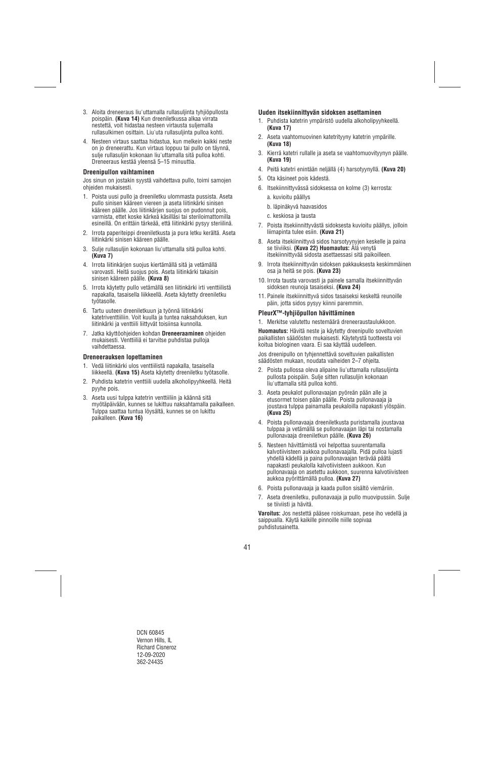- 3. Aloita dreneeraus liu'uttamalla rullasuljinta tyhjiöpullosta poispäin. **(Kuva 14)** Kun dreeniletkussa alkaa virrata nestettä, voit hidastaa nesteen virtausta suljemalla rullasulkimen osittain. Liu'uta rullasuljinta pulloa kohti.
- 4. Nesteen virtaus saattaa hidastua, kun melkein kaikki neste on jo dreneerattu. Kun virtaus loppuu tai pullo on täynnä, sulje rullasuljin kokonaan liu'uttamalla sitä pulloa kohti. Dreneeraus kestää yleensä 5–15 minuuttia.

#### **Dreenipullon vaihtaminen**

Jos sinun on jostakin syystä vaihdettava pullo, toimi samojen ohjeiden mukaisesti.

- 1. Poista uusi pullo ja dreeniletku ulommasta pussista. Aseta pullo sinisen kääreen viereen ja aseta liitinkärki sinisen kääreen päälle. Jos liitinkärjen suojus on pudonnut pois, varmista, ettet koske kärkeä käsilläsi tai steriloimattomilla esineillä. On erittäin tärkeää, että liitinkärki pysyy steriilinä.
- 2. Irrota paperiteippi dreeniletkusta ja pura letku kerältä. Aseta liitinkärki sinisen kääreen päälle.
- 3. Sulje rullasuljin kokonaan liu'uttamalla sitä pulloa kohti. **(Kuva 7)**
- 4. Irrota liitinkärjen suojus kiertämällä sitä ja vetämällä varovasti. Heitä suojus pois. Aseta liitinkärki takaisin sinisen kääreen päälle. **(Kuva 8)**
- 5. Irrota käytetty pullo vetämällä sen liitinkärki irti venttiilistä napakalla, tasaisella liikkeellä. Aseta käytetty dreeniletku työtasolle.
- 6. Tartu uuteen dreeniletkuun ja työnnä liitinkärki katetriventtiiliin. Voit kuulla ja tuntea naksahduksen, kun liitinkärki ja venttiili liittyvät toisiinsa kunnolla.
- 7. Jatka käyttöohjeiden kohdan **Dreneeraaminen** ohjeiden mukaisesti. Venttiiliä ei tarvitse puhdistaa pulloja vaihdettaessa.

#### **Dreneerauksen lopettaminen**

- 1. Vedä liitinkärki ulos venttiilistä napakalla, tasaisella liikkeellä. **(Kuva 15)** Aseta käytetty dreeniletku työtasolle.
- 2. Puhdista katetrin venttiili uudella alkoholipyyhkeellä. Heitä pyyhe pois.
- 3. Aseta uusi tulppa katetrin venttiiliin ja käännä sitä myötäpäivään, kunnes se lukittuu naksahtamalla paikalleen. Tulppa saattaa tuntua löysältä, kunnes se on lukittu paikalleen. **(Kuva 16)**

## **Uuden itsekiinnittyvän sidoksen asettaminen**

- 1. Puhdista katetrin ympäristö uudella alkoholipyyhkeellä. **(Kuva 17)**
- 2. Aseta vaahtomuovinen katetrityyny katetrin ympärille. **(Kuva 18)**
- 3. Kierrä katetri rullalle ja aseta se vaahtomuovityynyn päälle. **(Kuva 19)**
- 4. Peitä katetri enintään neljällä (4) harsotyynyllä. **(Kuva 20)**
- 5. Ota käsineet pois kädestä.
- 6. Itsekiinnittyvässä sidoksessa on kolme (3) kerrosta:
	- a. kuvioitu päällys
	- b. läpinäkyvä haavasidos
	- c. keskiosa ja tausta
- 7. Poista itsekiinnittyvästä sidoksesta kuvioitu päällys, jolloin liimapinta tulee esiin. **(Kuva 21)**
- 8. Aseta itsekiinnittyvä sidos harsotyynyjen keskelle ja paina se tiiviiksi. **(Kuva 22) Huomautus:** Älä venytä itsekiinnittyvää sidosta asettaessasi sitä paikoilleen.
- 9. Irrota itsekiinnittyvän sidoksen pakkauksesta keskimmäinen osa ja heitä se pois. **(Kuva 23)**
- 10. Irrota tausta varovasti ja painele samalla itsekiinnittyvän sidoksen reunoja tasaiseksi. **(Kuva 24)**
- 11. Painele itsekiinnittyvä sidos tasaiseksi keskeltä reunoille päin, jotta sidos pysyy kiinni paremmin.

#### **PleurX™-tyhjiöpullon hävittäminen**

1. Merkitse valutettu nestemäärä dreneeraustaulukkoon.

**Huomautus:** Hävitä neste ja käytetty dreenipullo soveltuvien paikallisten säädösten mukaisesti. Käytetystä tuotteesta voi koitua biologinen vaara. Ei saa käyttää uudelleen.

Jos dreenipullo on tyhjennettävä soveltuvien paikallisten säädösten mukaan, noudata vaiheiden 2–7 ohjeita.

- 2. Poista pullossa oleva alipaine liu'uttamalla rullasuljinta pullosta poispäin. Sulje sitten rullasuljin kokonaan liu'uttamalla sitä pulloa kohti.
- 3. Aseta peukalot pullonavaajan pyöreän pään alle ja etusormet toisen pään päälle. Poista pullonavaaja ja joustava tulppa painamalla peukaloilla napakasti ylöspäin. **(Kuva 25)**
- 4. Poista pullonavaaja dreeniletkusta puristamalla joustavaa tulppaa ja vetämällä se pullonavaajan läpi tai nostamalla pullonavaaja dreeniletkun päälle. **(Kuva 26)**
- 5. Nesteen hävittämistä voi helpottaa suurentamalla kalvotiivisteen aukkoa pullonavaajalla. Pidä pulloa lujasti yhdellä kädellä ja paina pullonavaajan terävää päätä napakasti peukalolla kalvotiivisteen aukkoon. Kun pullonavaaja on asetettu aukkoon, suurenna kalvotiivisteen aukkoa pyörittämällä pulloa. **(Kuva 27)**
- 6. Poista pullonavaaja ja kaada pullon sisältö viemäriin.
- 7. Aseta dreeniletku, pullonavaaja ja pullo muovipussiin. Sulje se tiiviisti ja hävitä.

**Varoitus:** Jos nestettä pääsee roiskumaan, pese iho vedellä ja saippualla. Käytä kaikille pinnoille niille sopivaa puhdistusainetta.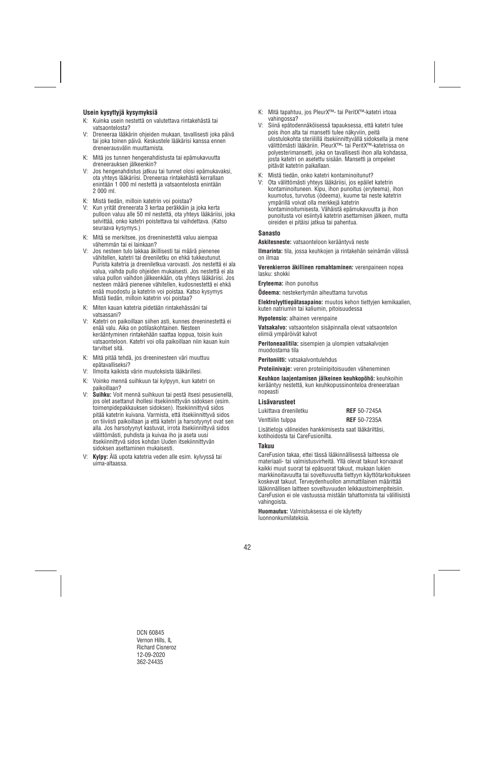## **Usein kysyttyjä kysymyksiä**

- K: Kuinka usein nestettä on valutettava rintakehästä tai vatsaontelosta?
- V: Dreneeraa lääkärin ohjeiden mukaan, tavallisesti joka päivä tai joka toinen päivä. Keskustele lääkärisi kanssa ennen dreneerausvälin muuttamista.
- K: Mitä jos tunnen hengenahdistusta tai epämukavuutta dreneerauksen jälkeenkin?
- V: Jos hengenahdistus jatkuu tai tunnet olosi epämukavaksi, ota yhteys lääkäriisi. Dreneeraa rintakehästä kerrallaan enintään 1 000 ml nestettä ja vatsaontelosta enintään 2 000 ml.
- K: Mistä tiedän, milloin katetrin voi poistaa?
- V: Kun yrität dreneerata 3 kertaa peräkkäin ja joka kerta pulloon valuu alle 50 ml nestettä, ota yhteys lääkäriisi, joka selvittää, onko katetri poistettava tai vaihdettava. (Katso seuraava kysymys.)
- K: Mitä se merkitsee, jos dreeninestettä valuu aiempaa vähemmän tai ei lainkaan?
- V: Jos nesteen tulo lakkaa äkillisesti tai määrä pienenee vähitellen, katetri tai dreeniletku on ehkä tukkeutunut. Purista katetria ja dreeniletkua varovasti. Jos nestettä ei ala valua, vaihda pullo ohjeiden mukaisesti. Jos nestettä ei ala valua pullon vaihdon jälkeenkään, ota yhteys lääkäriisi. Jos nesteen määrä pienenee vähitellen, kudosnestettä ei ehkä enää muodostu ja katetrin voi poistaa. Katso kysymys Mistä tiedän, milloin katetrin voi poistaa?
- K: Miten kauan katetria pidetään rintakehässäni tai vatsassani?
- V: Katetri on paikoillaan siihen asti, kunnes dreeninestettä ei enää valu. Aika on potilaskohtainen. Nesteen kerääntyminen rintakehään saattaa loppua, toisin kuin vatsaonteloon. Katetri voi olla paikoillaan niin kauan kuin tarvitset sitä.
- K: Mitä pitää tehdä, jos dreeninesteen väri muuttuu epätavalliseksi?
- V: Ilmoita kaikista värin muutoksista lääkärillesi.
- K: Voinko mennä suihkuun tai kylpyyn, kun katetri on paikoillaan?
- V: **Suihku:** Voit mennä suihkuun tai pestä itsesi pesusienellä, jos olet asettanut ihollesi itsekiinnittyvän sidoksen (esim. toimenpidepakkauksen sidoksen). Itsekiinnittyvä sidos pitää katetrin kuivana. Varmista, että itsekiinnittyvä sidos on tiiviisti paikoillaan ja että katetri ja harsotyynyt ovat sen alla. Jos harsotyynyt kastuvat, irrota itsekiinnittyvä sidos välittömästi, puhdista ja kuivaa iho ja aseta uusi itsekiinnittyvä sidos kohdan Uuden itsekiinnittyvän sidoksen asettaminen mukaisesti.
- V: **Kylpy:** Älä upota katetria veden alle esim. kylvyssä tai uima-altaassa.
- K: Mitä tapahtuu, jos PleurX™- tai PeritX™-katetri irtoaa vahingossa?
- V: Siinä epätodennäköisessä tapauksessa, että katetri tulee pois ihon alta tai mansetti tulee näkyviin, peitä ulostulokohta steriilillä itsekiinnittyvällä sidoksella ja mene välittömästi lääkäriin. PleurX™- tai PeritX™-katetrissa on polyesterimansetti, joka on tavallisesti ihon alla kohdassa, josta katetri on asetettu sisään. Mansetti ja ompeleet pitävät katetrin paikallaan.
- K: Mistä tiedän, onko katetri kontaminoitunut?
- V: Ota välittömästi yhteys lääkäriisi, jos epäilet katetrin kontaminoituneen. Kipu, ihon punoitus (eryteema), ihon kuumotus, turvotus (ödeema), kuume tai neste katetrin ympärillä voivat olla merkkejä katetrin kontaminoitumisesta. Vähäistä epämukavuutta ja ihon punoitusta voi esiintyä katetrin asettamisen jälkeen, mutta oireiden ei pitäisi jatkua tai pahentua.

## **Sanasto**

**Askitesneste:** vatsaonteloon kerääntyvä neste

**Ilmarinta:** tila, jossa keuhkojen ja rintakehän seinämän välissä on ilmaa

**Verenkierron äkillinen romahtaminen:** verenpaineen nopea lasku: shokki

**Eryteema:** ihon punoitus

**Ödeema:** nestekertymän aiheuttama turvotus

**Elektrolyyttiepätasapaino:** muutos kehon tiettyjen kemikaalien, kuten natriumin tai kaliumin, pitoisuudessa

**Hypotensio:** alhainen verenpaine

**Vatsakalvo:** vatsaontelon sisäpinnalla olevat vatsaontelon elimiä ympäröivät kalvot

**Peritoneaalitila:** sisempien ja ulompien vatsakalvojen muodostama tila

**Peritoniitti:** vatsakalvontulehdus

**Proteiinivaje:** veren proteiinipitoisuuden väheneminen

**Keuhkon laajentamisen jälkeinen keuhkopöhö:** keuhkoihin kerääntyy nestettä, kun keuhkopussinonteloa dreneerataan nopeasti

#### **Lisävarusteet**

| Lukittava dreeniletku                                   | <b>REF</b> 50-7245A |
|---------------------------------------------------------|---------------------|
| Venttiilin tulppa                                       | <b>REF</b> 50-7235A |
| l isätietoja välineiden hankkimisesta saat lääkäriltäsi |                     |

Lisätietoja välineiden hankkimisesta saat lääkäriltäsi, kotihoidosta tai CareFusionilta.

#### **Takuu**

CareFusion takaa, ettei tässä lääkinnällisessä laitteessa ole materiaali- tai valmistusvirheitä. Yllä olevat takuut korvaavat kaikki muut suorat tai epäsuorat takuut, mukaan lukien markkinoitavuutta tai soveltuvuutta tiettyyn käyttötarkoitukseen koskevat takuut. Terveydenhuollon ammattilainen määrittää lääkinnällisen laitteen soveltuvuuden leikkaustoimenpiteisiin. CareFusion ei ole vastuussa mistään tahattomista tai välillisistä vahingoista.

**Huomautus:** Valmistuksessa ei ole käytetty luonnonkumilateksia.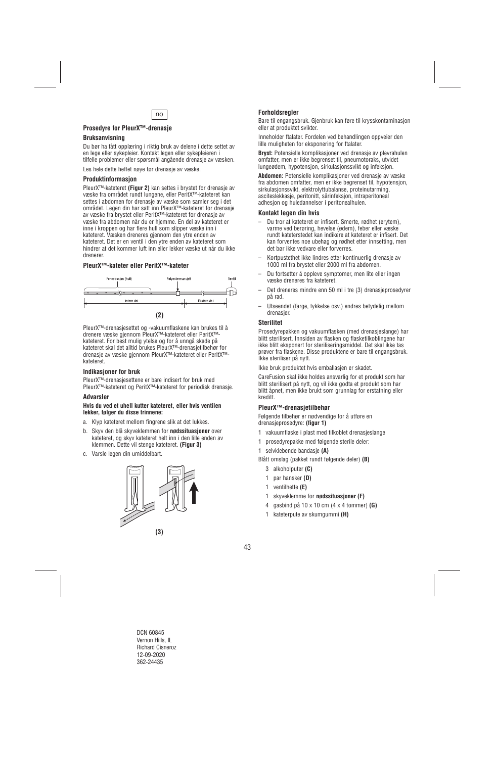

## **Prosedyre for PleurX™-drenasje**

## **Bruksanvisning**

Du bør ha fått opplæring i riktig bruk av delene i dette settet av en lege eller sykepleier. Kontakt legen eller sykepleieren i tilfelle problemer eller spørsmål angående drenasje av væsken.

Les hele dette heftet nøye før drenasje av væske.

### **Produktinformasjon**

PleurX™-kateteret **(Figur 2)** kan settes i brystet for drenasje av væske fra området rundt lungene, eller PeritX™-kateteret kan settes i abdomen for drenasje av væske som samler seg i det området. Legen din har satt inn PleurX™-kateteret for drenasje av væske fra brystet eller PeritX™-kateteret for drenasje av væske fra abdomen når du er hjemme. En del av kateteret er inne i kroppen og har flere hull som slipper væske inn i kateteret. Væsken dreneres gjennom den ytre enden av kateteret. Det er en ventil i den ytre enden av kateteret som hindrer at det kommer luft inn eller lekker væske ut når du ikke drenerer.

## **PleurX™-kateter eller PeritX™-kateter**



PleurX™-drenasjesettet og -vakuumflaskene kan brukes til å drenere væske gjennom PleurX™-kateteret eller PeritX™ kateteret. For best mulig ytelse og for å unngå skade på kateteret skal det alltid brukes PleurX™-drenasjetilbehør for drenasje av væske gjennom PleurX™-kateteret eller PeritX™ kateteret.

#### **Indikasjoner for bruk**

PleurX™-drenasjesettene er bare indisert for bruk med PleurX™-kateteret og PeritX™-kateteret for periodisk drenasje.

#### **Advarsler**

#### **Hvis du ved et uhell kutter kateteret, eller hvis ventilen lekker, følger du disse trinnene:**

- a. Klyp kateteret mellom fingrene slik at det lukkes.
- b. Skyv den blå skyveklemmen for **nødssituasjoner** over kateteret, og skyv kateteret helt inn i den lille enden av klemmen. Dette vil stenge kateteret. **(Figur 3)**
- c. Varsle legen din umiddelbart.



## **Forholdsregler**

Bare til engangsbruk. Gjenbruk kan føre til krysskontaminasjon eller at produktet svikter.

Inneholder ftalater. Fordelen ved behandlingen oppveier den lille muligheten for eksponering for ftalater.

**Bryst:** Potensielle komplikasjoner ved drenasje av plevrahulen omfatter, men er ikke begrenset til, pneumotoraks, utvidet lungeødem, hypotensjon, sirkulasjonssvikt og infeksjon.

**Abdomen:** Potensielle komplikasjoner ved drenasje av væske fra abdomen omfatter, men er ikke begrenset til, hypotensjon, sirkulasjonssvikt, elektrolyttubalanse, proteinutarming, asciteslekkasje, peritonitt, sårinfeksjon, intraperitoneal adhesjon og huledannelser i peritonealhulen.

#### **Kontakt legen din hvis**

- Du tror at kateteret er infisert. Smerte, rødhet (erytem), varme ved berøring, hevelse (ødem), feber eller væske rundt kateterstedet kan indikere at kateteret er infisert. Det kan forventes noe ubehag og rødhet etter innsetting, men det bør ikke vedvare eller forverres.
- Kortpustethet ikke lindres etter kontinuerlig drenasje av 1000 ml fra brystet eller 2000 ml fra abdomen.
- Du fortsetter å oppleve symptomer, men lite eller ingen væske dreneres fra kateteret.
- Det dreneres mindre enn 50 ml i tre (3) drenasjeprosedyrer på rad.
- Utseendet (farge, tykkelse osv.) endres betydelig mellom drenasier.

## **Sterilitet**

Prosedyrepakken og vakuumflasken (med drenasjeslange) har blitt sterilisert. Innsiden av flasken og flasketilkoblingene har ikke blitt eksponert for steriliseringsmiddel. Det skal ikke tas prøver fra flaskene. Disse produktene er bare til engangsbruk. Ikke steriliser på nytt.

Ikke bruk produktet hvis emballasjen er skadet.

CareFusion skal ikke holdes ansvarlig for et produkt som har blitt sterilisert på nytt, og vil ikke godta et produkt som har blitt åpnet, men ikke brukt som grunnlag for erstatning eller kreditt.

## **PleurX™-drenasjetilbehør**

Følgende tilbehør er nødvendige for å utføre en drenasjeprosedyre: **(figur 1)**

- 1 vakuumflaske i plast med tilkoblet drenasjeslange
- 1 prosedyrepakke med følgende sterile deler:
- 1 selvklebende bandasje **(A)**
- Blått omslag (pakket rundt følgende deler) **(B)** 
	- 3 alkoholputer **(C)**
	- 1 par hansker **(D)**
	- 1 ventilhette **(E)**
	- 1 skyveklemme for **nødssituasjoner (F)**
	- 4 gasbind på 10 x 10 cm (4 x 4 tommer) **(G)**
	- 1 kateterpute av skumgummi **(H)**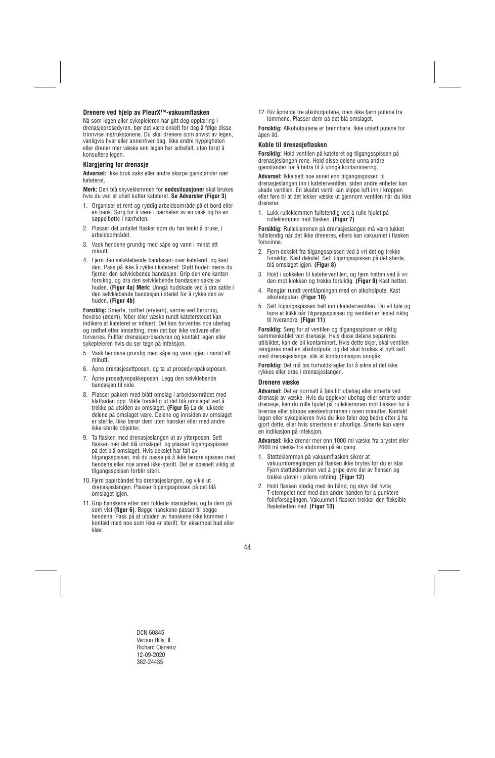## **Drenere ved hjelp av PleurX™-vakuumflasken**

Nå som legen eller sykepleieren har gitt deg opplæring i drenasjeprosedyren, bør det være enkelt for deg å følge disse trinnvise instruksjonene. Du skal drenere som anvist av legen, vanligvis hver eller annenhver dag. Ikke endre hyppigheten eller drener mer væske enn legen har anbefalt, uten først å konsultere legen.

### **Klargjøring for drenasje**

**Advarsel:** Ikke bruk saks eller andre skarpe gjenstander nær kateteret.

**Merk:** Den blå skyveklemmen for **nødssituasjoner** skal brukes hvis du ved et uhell kutter kateteret. **Se Advarsler (Figur 3)**

- 1. Organiser et rent og ryddig arbeidsområde på et bord eller en benk. Sørg for å være i nærheten av en vask og ha en søppelbøtte i nærheten.
- 2. Plasser det antallet flasker som du har tenkt å bruke, i arbeidsområdet.
- 3. Vask hendene grundig med såpe og vann i minst ett minutt.
- 4. Fjern den selvklebende bandasjen over kateteret, og kast den. Pass på ikke å rykke i kateteret: Støtt huden mens du fjerner den selvklebende bandasjen. Grip den ene kanten forsiktig, og dra den selvklebende bandasjen sakte av huden. **(Figur 4a) Merk:** Unngå hudskade ved å dra sakte i den selvklebende bandasjen i stedet for å rykke den av huden. **(Figur 4b)**

**Forsiktig:** Smerte, rødhet (erytem), varme ved berøring, hevelse (ødem), feber eller væske rundt kateterstedet kan indikere at kateteret er infisert. Det kan forventes noe ubehag og rødhet etter innsetting, men det bør ikke vedvare eller forverres. Fullfør drenasjeprosedyren og kontakt legen eller sykepleieren hvis du ser tegn på infeksjon.

- 5. Vask hendene grundig med såpe og vann jojen i minst ett minutt.
- 6. Åpne drenasjesettposen, og ta ut prosedyrepakkeposen.
- 7. Åpne prosedyrepakkeposen. Legg den selvklebende bandasjen til side.
- 8. Plasser pakken med blått omslag i arbeidsområdet med klaffsiden opp. Vikle forsiktig ut det blå omslaget ved å trekke på utsiden av omslaget. **(Figur 5)** La de lukkede delene på omslaget være. Delene og innsiden av omslaget er sterile. Ikke berør dem uten hansker eller med andre ikke-sterile objekter.
- 9. Ta flasken med drenasjeslangen ut av ytterposen. Sett flasken nær det blå omslaget, og plasser tilgangsspissen på det blå omslaget. Hvis dekslet har falt av tilgangsspissen, må du passe på å ikke berøre spissen med hendene eller noe annet ikke-sterilt. Det er spesielt viktig at tilgangsspissen forblir steril.
- 10. Fiern papirbåndet fra drenasieslangen, og vikle ut drenasjeslangen. Plasser tilgangsspissen på det blå omslaget igjen.
- 11. Grip hanskene etter den foldede mansjetten, og ta dem på som vist **(figur 6)**. Begge hanskene passer til begge hendene. Pass på at utsiden av hanskene ikke kommer i kontakt med noe som ikke er sterilt, for eksempel hud eller klær.

12. Riv åpne de tre alkoholputene, men ikke fjern putene fra lommene. Plasser dem på det blå omslaget.

**Forsiktig:** Alkoholputene er brennbare. Ikke utsett putene for åpen ild.

## **Koble til drenasjeflasken**

**Forsiktig:** Hold ventilen på kateteret og tilgangsspissen på drenasjeslangen rene. Hold disse delene unna andre gjenstander for å bidra til å unngå kontaminering.

**Advarsel:** Ikke sett noe annet enn tilgangsspissen til drenasjeslangen inn i kateterventilen, siden andre enheter kan skade ventilen. En skadet ventil kan slippe luft inn i kroppen eller føre til at det lekker væske ut gjennom ventilen når du ikke drenerer.

1. Lukk rulleklemmen fullstendig ved å rulle hjulet på rulleklemmen mot flasken. **(Figur 7)** 

**Forsiktig:** Rulleklemmen på drenasjeslangen må være lukket fullstendig når det ikke dreneres, ellers kan vakuumet i flasken forsvinne.

- 2. Fjern dekslet fra tilgangsspissen ved å vri det og trekke forsiktig. Kast dekslet. Sett tilgangsspissen på det sterile, blå omslaget igjen. **(Figur 8)**
- 3. Hold i sokkelen til kateterventilen, og fjern hetten ved å vri den mot klokken og trekke forsiktig. **(Figur 9)** Kast hetten.
- 4. Rengjør rundt ventilåpningen med en alkoholpute. Kast alkoholputen. **(Figur 10)**
- 5. Sett tilgangsspissen helt inn i kateterventilen. Du vil føle og høre et klikk når tilgangsspissen og ventilen er festet riktig til hverandre. **(Figur 11)**

**Forsiktig:** Sørg for at ventilen og tilgangsspissen er riktig sammenkoblet ved drenasje. Hvis disse delene separeres utilsiktet, kan de bli kontaminert. Hvis dette skjer, skal ventilen rengjøres med en alkoholpute, og det skal brukes et nytt sett med drenasjeslange, slik at kontaminasjon unngås.

**Forsiktig:** Det må tas forholdsregler for å sikre at det ikke rykkes eller dras i drenasjeslangen.

#### **Drenere væske**

**Advarsel:** Det er normalt å føle litt ubehag eller smerte ved drenasje av væske. Hvis du opplever ubehag eller smerte under drenasie, kan du rulle hiulet på rulleklemmen mot flasken for å bremse eller stoppe væskestrømmen i noen minutter. Kontakt legen eller sykepleieren hvis du ikke føler deg bedre etter å ha gjort dette, eller hvis smertene er alvorlige. Smerte kan være en indikasjon på infeksjon.

**Advarsel:** Ikke drener mer enn 1000 ml væske fra brystet eller 2000 ml væske fra abdomen på én gang.

- 1. Støtteklemmen på vakuumflasken sikrer at vakuumforseglingen på flasken ikke brytes før du er klar. Fjern støtteklemmen ved å gripe øvre del av flensen og trekke utover i pilens retning. **(Figur 12)**
- 2. Hold flasken stødig med én hånd, og skyv det hvite T-stempelet ned med den andre hånden for å punktere folieforseglingen. Vakuumet i flasken trekker den fleksible flaskehetten ned. **(Figur 13)**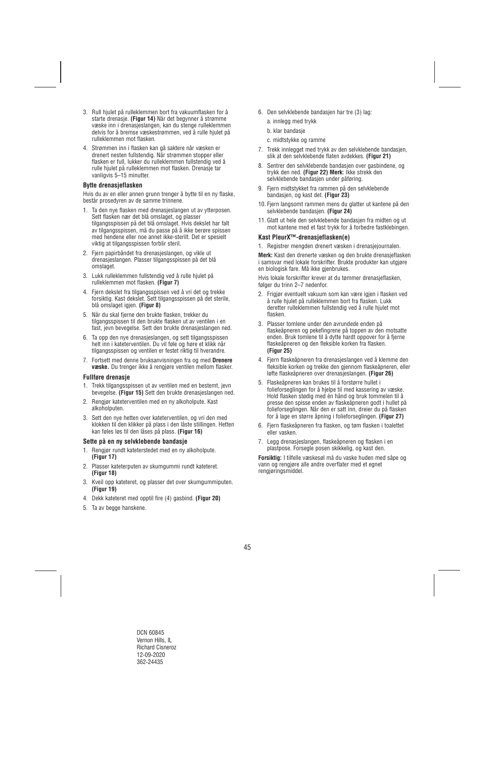- 3. Rull hjulet på rulleklemmen bort fra vakuumflasken for å starte drenasje. **(Figur 14)** Når det begynner å strømme væske inn i drenasjeslangen, kan du stenge rulleklemmen delvis for å bremse væskestrømmen, ved å rulle hjulet på rulleklemmen mot flasken.
- 4. Strømmen inn i flasken kan gå saktere når væsken er drenert nesten fullstendig. Når strømmen stopper eller flasken er full, lukker du rulleklemmen fullstendig ved å rulle hjulet på rulleklemmen mot flasken. Drenasje tar vanligvis 5–15 minutter.

#### **Bytte drenasjeflasken**

Hvis du av en eller annen grunn trenger å bytte til en ny flaske, består prosedyren av de samme trinnene.

- 1. Ta den nye flasken med drenasjeslangen ut av ytterposen. Sett flasken nær det blå omslaget, og plasser tilgangsspissen på det blå omslaget. Hvis dekslet har falt av tilgangsspissen, må du passe på å ikke berøre spissen med hendene eller noe annet ikke-sterilt. Det er spesielt viktig at tilgangsspissen forblir steril.
- 2. Fjern papirbåndet fra drenasjeslangen, og vikle ut drenasjeslangen. Plasser tilgangsspissen på det blå omslaget.
- 3. Lukk rulleklemmen fullstendig ved å rulle hjulet på rulleklemmen mot flasken. **(Figur 7)**
- 4. Fjern dekslet fra tilgangsspissen ved å vri det og trekke forsiktig. Kast dekslet. Sett tilgangsspissen på det sterile, blå omslaget igjen. **(Figur 8)**
- 5. Når du skal fjerne den brukte flasken, trekker du tilgangsspissen til den brukte flasken ut av ventilen i en fast, jevn bevegelse. Sett den brukte drenasjeslangen ned.
- 6. Ta opp den nye drenasjeslangen, og sett tilgangsspissen helt inn i kateterventilen. Du vil føle og høre et klikk når tilgangsspissen og ventilen er festet riktig til hverandre.
- 7. Fortsett med denne bruksanvisningen fra og med **Drenere væske.** Du trenger ikke å rengjøre ventilen mellom flasker.

#### **Fullføre drenasje**

- 1. Trekk tilgangsspissen ut av ventilen med en bestemt, jevn bevegelse. **(Figur 15)** Sett den brukte drenasjeslangen ned.
- 2. Rengjør kateterventilen med en ny alkoholpute. Kast alkoholputen.
- 3. Sett den nye hetten over kateterventilen, og vri den med klokken til den klikker på plass i den låste stillingen. Hetten kan føles løs til den låses på plass. **(Figur 16)**

#### **Sette på en ny selvklebende bandasje**

- 1. Rengjør rundt kateterstedet med en ny alkoholpute. **(Figur 17)**
- 2. Plasser kateterputen av skumgummi rundt kateteret. **(Figur 18)**
- 3. Kveil opp kateteret, og plasser det over skumgummiputen. **(Figur 19)**
- 4. Dekk kateteret med opptil fire (4) gasbind. **(Figur 20)**
- 5. Ta av begge hanskene.
- 6. Den selvklebende bandasjen har tre (3) lag:
	- a. innlegg med trykk
	- b. klar bandasje
	- c. midtstykke og ramme
- 7. Trekk innlegget med trykk av den selvklebende bandasjen, slik at den selvklebende flaten avdekkes. **(Figur 21)**
- 8. Sentrer den selvklebende bandasjen over gasbindene, og trykk den ned. **(Figur 22) Merk:** Ikke strekk den selvklebende bandasjen under påføring.
- 9. Fjern midtstykket fra rammen på den selvklebende bandasjen, og kast det. **(Figur 23)**
- 10. Fjern langsomt rammen mens du glatter ut kantene på den selvklebende bandasjen. **(Figur 24)**
- 11. Glatt ut hele den selvklebende bandasjen fra midten og ut mot kantene med et fast trykk for å forbedre fastklebingen.

#### **Kast PleurX™-drenasjeflasken(e)**

1. Registrer mengden drenert væsken i drenasjejournalen.

**Merk:** Kast den drenerte væsken og den brukte drenasjeflasken i samsvar med lokale forskrifter. Brukte produkter kan utgjøre en biologisk fare. Må ikke gjenbrukes.

Hvis lokale forskrifter krever at du tømmer drenasjeflasken, følger du trinn 2–7 nedenfor.

- 2. Frigjør eventuelt vakuum som kan være igjen i flasken ved å rulle hjulet på rulleklemmen bort fra flasken. Lukk deretter rulleklemmen fullstendig ved å rulle hjulet mot flasken.
- 3. Plasser tomlene under den avrundede enden på flaskeåpneren og pekefingrene på toppen av den motsatte enden. Bruk tomlene til å dytte hardt oppover for å fjerne flaskeåpneren og den fleksible korken fra flasken. **(Figur 25)**
- 4. Fjern flaskeåpneren fra drenasjeslangen ved å klemme den fleksible korken og trekke den gjennom flaskeåpneren, eller løfte flaskeåpneren over drenasjeslangen. **(Figur 26)**
- 5. Flaskeåpneren kan brukes til å forstørre hullet i folieforseglingen for å hjelpe til med kassering av væske. Hold flasken stødig med én hånd og bruk tommelen til å presse den spisse enden av flaskeåpneren godt i hullet på folieforseglingen. Når den er satt inn, dreier du på flasken for å lage en større åpning i folieforseglingen. **(Figur 27)**
- 6. Fjern flaskeåpneren fra flasken, og tøm flasken i toalettet eller vasken.
- 7. Legg drenasjeslangen, flaskeåpneren og flasken i en plastpose. Forsegle posen skikkelig, og kast den.

**Forsiktig:** I tilfelle væskesøl må du vaske huden med såpe og vann og rengjøre alle andre overflater med et egnet rengjøringsmiddel.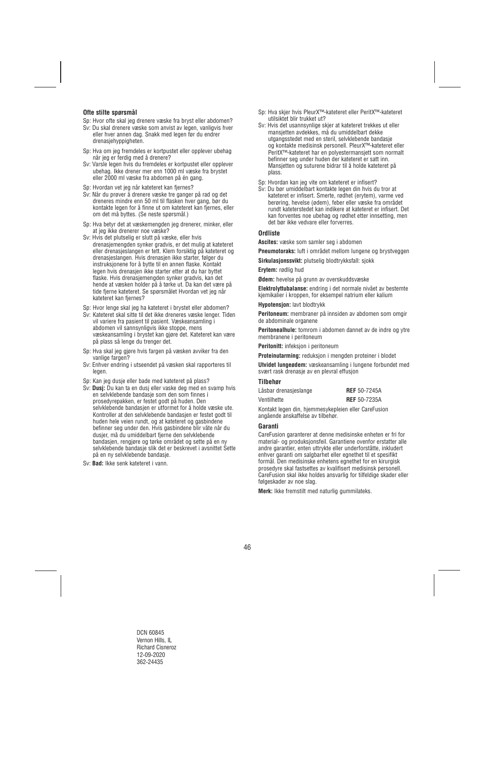## **Ofte stilte spørsmål**

- Sp: Hvor ofte skal jeg drenere væske fra bryst eller abdomen?
- Sv: Du skal drenere væske som anvist av legen, vanligvis hver eller hver annen dag. Snakk med legen før du endrer drenasjehyppigheten.
- Sp: Hva om jeg fremdeles er kortpustet eller opplever ubehag når jeg er ferdig med å drenere?
- Sv: Varsle legen hvis du fremdeles er kortpustet eller opplever ubehag. Ikke drener mer enn 1000 ml væske fra brystet eller 2000 ml væske fra abdomen på én gang.
- Sp: Hvordan vet jeg når kateteret kan fjernes?
- Sv: Når du prøver å drenere væske tre ganger på rad og det dreneres mindre enn 50 ml til flasken hver gang, bør du kontakte legen for å finne ut om kateteret kan fjernes, eller om det må byttes. (Se neste spørsmål.)
- Sp: Hva betyr det at væskemengden jeg drenerer, minker, eller at jeg ikke drenerer noe væske?
- Sv: Hvis det plutselig er slutt på væske, eller hvis drenasjemengden synker gradvis, er det mulig at kateteret eller drenasjeslangen er tett. Klem forsiktig på kateteret og drenasjeslangen. Hvis drenasjen ikke starter, følger du instruksjonene for å bytte til en annen flaske. Kontakt legen hvis drenasjen ikke starter etter at du har byttet flaske. Hvis drenasjemengden synker gradvis, kan det hende at væsken holder på å tørke ut. Da kan det være på tide fjerne kateteret. Se spørsmålet Hvordan vet jeg når kateteret kan fjernes?
- Sp: Hvor lenge skal jeg ha kateteret i brystet eller abdomen?
- Sv: Kateteret skal sitte til det ikke dreneres væske lenger. Tiden vil variere fra pasient til pasient. Væskeansamling i abdomen vil sannsynligvis ikke stoppe, mens væskeansamling i brystet kan gjøre det. Kateteret kan være på plass så lenge du trenger det.
- Sp: Hva skal jeg gjøre hvis fargen på væsken avviker fra den vanlige fargen?
- Sv: Enhver endring i utseendet på væsken skal rapporteres til legen.
- Sp: Kan jeg dusje eller bade med kateteret på plass?
- Sv: **Dusj:** Du kan ta en dusj eller vaske deg med en svamp hvis en selvklebende bandasje som den som finnes i prosedyrepakken, er festet godt på huden. Den selvklebende bandasjen er utformet for å holde væske ute. Kontroller at den selvklebende bandasjen er festet godt til huden hele veien rundt, og at kateteret og gasbindene befinner seg under den. Hvis gasbindene blir våte når du dusjer, må du umiddelbart fjerne den selvklebende bandasjen, rengjøre og tørke området og sette på en ny selvklebende bandasje slik det er beskrevet i avsnittet Sette på en ny selvklebende bandasje.
- Sv: **Bad:** Ikke senk kateteret i vann.
- Sp: Hva skjer hvis PleurX™-kateteret eller PeritX™-kateteret utilsiktet blir trukket ut?
- Sv: Hvis det usannsynlige skjer at kateteret trekkes ut eller mansjetten avdekkes, må du umiddelbart dekke utgangsstedet med en steril, selvklebende bandasje og kontakte medisinsk personell. PleurX™-kateteret eller PeritX™-kateteret har en polyestermansjett som normalt befinner seg under huden der kateteret er satt inn. Mansjetten og suturene bidrar til å holde kateteret på plass.
- Sp: Hvordan kan jeg vite om kateteret er infisert?
- Sv: Du bør umiddelbart kontakte legen din hvis du tror at kateteret er infisert. Smerte, rødhet (erytem), varme ved berøring, hevelse (ødem), feber eller væske fra området rundt kateterstedet kan indikere at kateteret er infisert. Det kan forventes noe ubehag og rødhet etter innsetting, men det bør ikke vedvare eller forverres.

## **Ordliste**

**Ascites:** væske som samler seg i abdomen

**Pneumotoraks:** luft i området mellom lungene og brystveggen

**Sirkulasjonssvikt:** plutselig blodtrykksfall: sjokk

**Erytem:** rødlig hud

**Ødem:** hevelse på grunn av overskuddsvæske

**Elektrolyttubalanse:** endring i det normale nivået av bestemte kjemikalier i kroppen, for eksempel natrium eller kalium

**Hypotensjon:** lavt blodtrykk

**Peritoneum:** membraner på innsiden av abdomen som omgir de abdominale organene

**Peritonealhule:** tomrom i abdomen dannet av de indre og ytre membranene i peritoneum

**Peritonitt:** infeksjon i peritoneum

**Proteinutarming:** reduksjon i mengden proteiner i blodet

**Utvidet lungeødem:** væskeansamling i lungene forbundet med svært rask drenasje av en plevral effusjon

#### **Tilbehør**

| Låsbar drenasjeslange | <b>REF</b> 50-7245A |
|-----------------------|---------------------|
| Ventilhette           | <b>REF</b> 50-7235A |

Kontakt legen din, hjemmesykepleien eller CareFusion angående anskaffelse av tilbehør.

#### **Garanti**

CareFusion garanterer at denne medisinske enheten er fri for material- og produksjonsfeil. Garantiene ovenfor erstatter alle andre garantier, enten uttrykte eller underforståtte, inkludert enhver garanti om salgbarhet eller egnethet til et spesifikt formål. Den medisinske enhetens egnethet for en kirurgisk prosedyre skal fastsettes av kvalifisert medisinsk personell. CareFusion skal ikke holdes ansvarlig for tilfeldige skader eller følgeskader av noe slag.

**Merk:** Ikke fremstilt med naturlig gummilateks.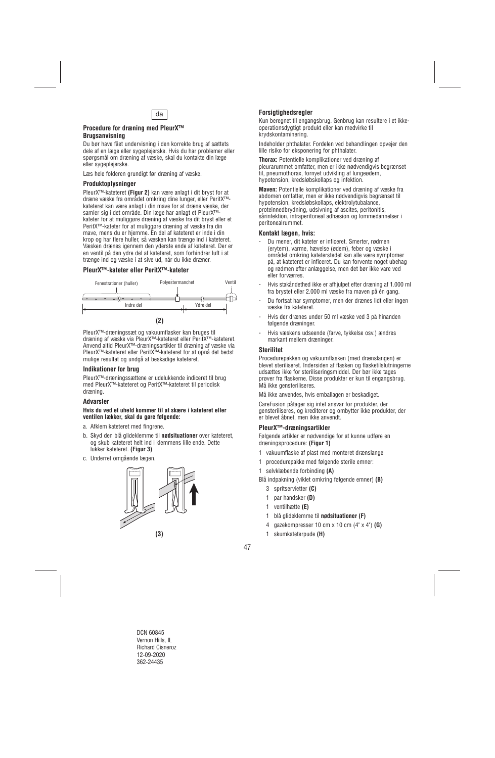

#### **Procedure for dræning med PleurX™ Brugsanvisning**

Du bør have fået undervisning i den korrekte brug af sættets dele af en læge eller sygeplejerske. Hvis du har problemer eller spørgsmål om dræning af væske, skal du kontakte din læge eller sygeplejerske.

Læs hele folderen grundigt før dræning af væske.

## **Produktoplysninger**

PleurX™-kateteret **(Figur 2)** kan være anlagt i dit bryst for at dræne væske fra området omkring dine lunger, eller PeritX™ kateteret kan være anlagt i din mave for at dræne væske, der samler sig i det område. Din læge har anlagt et PleurX™ kateter for at muliggøre dræning af væske fra dit bryst eller et PeritX™-kateter for at muliggøre dræning af væske fra din mave, mens du er hjemme. En del af kateteret er inde i din krop og har flere huller, så væsken kan trænge ind i kateteret. Væsken drænes igennem den yderste ende af kateteret. Der er en ventil på den ydre del af kateteret, som forhindrer luft i at trænge ind og væske i at sive ud, når du ikke dræner.

## **PleurX™-kateter eller PeritX™-kateter**



PleurX™-dræningssæt og vakuumflasker kan bruges til dræning af væske via PleurX™-kateteret eller PeritX™-kateteret. Anvend altid PleurX™-dræningsartikler til dræning af væske via PleurX™-kateteret eller PeritX™-kateteret for at opnå det bedst mulige resultat og undgå at beskadige kateteret.

## **Indikationer for brug**

PleurX™-dræningssættene er udelukkende indiceret til brug med PleurX™-kateteret og PeritX™-kateteret til periodisk dræning.

#### **Advarsler**

#### **Hvis du ved et uheld kommer til at skære i kateteret eller ventilen lækker, skal du gøre følgende:**

- a. Afklem kateteret med fingrene.
- b. Skyd den blå glideklemme til **nødsituationer** over kateteret, og skub kateteret helt ind i klemmens lille ende. Dette lukker kateteret. **(Figur 3)**
- c. Underret omgående lægen.



## **Forsigtighedsregler**

Kun beregnet til engangsbrug. Genbrug kan resultere i et ikkeoperationsdygtigt produkt eller kan medvirke til krydskontaminering.

Indeholder phthalater. Fordelen ved behandlingen opvejer den lille risiko for eksponering for phthalater.

**Thorax:** Potentielle komplikationer ved dræning af pleurarummet omfatter, men er ikke nødvendigvis begrænset til, pneumothorax, fornyet udvikling af lungeødem, hypotension, kredsløbskollaps og infektion.

**Maven:** Potentielle komplikationer ved dræning af væske fra abdomen omfatter, men er ikke nødvendigvis begrænset til hypotension, kredsløbskollaps, elektrolytubalance, proteinnedbrydning, udsivning af ascites, peritonitis, sårinfektion, intraperitoneal adhæsion og lommedannelser i peritonealrummet.

#### **Kontakt lægen, hvis:**

- Du mener, dit kateter er inficeret. Smerter, rødmen (erytem), varme, hævelse (ødem), feber og væske i området omkring kateterstedet kan alle være symptomer på, at kateteret er inficeret. Du kan forvente noget ubehag og rødmen efter anlæggelse, men det bør ikke vare ved eller forværres.
- Hvis stakåndethed ikke er afhjulpet efter dræning af 1.000 ml fra brystet eller 2.000 ml væske fra maven på én gang.
- Du fortsat har symptomer, men der drænes lidt eller ingen væske fra kateteret.
- Hvis der drænes under 50 ml væske ved 3 på hinanden følgende dræninger.
- Hvis væskens udseende (farve, tykkelse osv.) ændres markant mellem dræninger.

## **Sterilitet**

Procedurepakken og vakuumflasken (med drænslangen) er blevet steriliseret. Indersiden af flasken og flasketilslutningerne udsættes ikke for steriliseringsmiddel. Der bør ikke tages prøver fra flaskerne. Disse produkter er kun til engangsbrug. Må ikke gensteriliseres.

Må ikke anvendes, hvis emballagen er beskadiget.

CareFusion påtager sig intet ansvar for produkter, der gensteriliseres, og krediterer og ombytter ikke produkter, der er blevet åbnet, men ikke anvendt.

## **PleurX™-dræningsartikler**

Følgende artikler er nødvendige for at kunne udføre en dræningsprocedure: **(Figur 1)** 

- 1 vakuumflaske af plast med monteret drænslange
- 1 procedurepakke med følgende sterile emner:
- 1 selvklæbende forbinding **(A)**

Blå indpakning (viklet omkring følgende emner) **(B)** 

- 3 spritservietter **(C)**
- 1 par handsker **(D)**
- 1 ventilhætte **(E)**
- 1 blå glideklemme til **nødsituationer (F)**
- 4 gazekompresser 10 cm x 10 cm (4" x 4") **(G)**
- 1 skumkateterpude **(H)**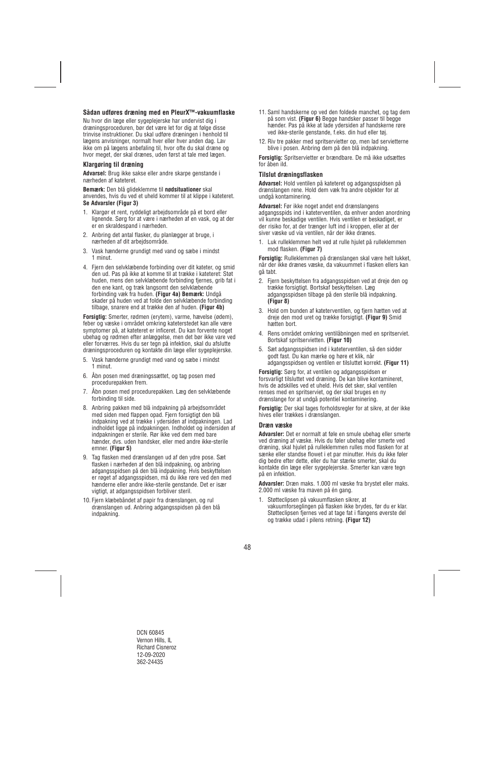## **Sådan udføres dræning med en PleurX™-vakuumflaske**

Nu hvor din læge eller sygeplejerske har undervist dig i dræningsproceduren, bør det være let for dig at følge disse trinvise instruktioner. Du skal udføre dræningen i henhold til lægens anvisninger, normalt hver eller hver anden dag. Lav ikke om på lægens anbefaling til, hvor ofte du skal dræne og hvor meget, der skal drænes, uden først at tale med lægen.

### **Klargøring til dræning**

**Advarsel:** Brug ikke sakse eller andre skarpe genstande i nærheden af kateteret.

**Bemærk:** Den blå glideklemme til **nødsituationer** skal anvendes, hvis du ved et uheld kommer til at klippe i kateteret. **Se Advarsler (Figur 3)** 

- 1. Klargør et rent, ryddeligt arbejdsområde på et bord eller lignende. Sørg for at være i nærheden af en vask, og at der er en skraldespand i nærheden.
- 2. Anbring det antal flasker, du planlægger at bruge, i nærheden af dit arbejdsområde.
- 3. Vask hænderne grundigt med vand og sæbe i mindst 1 minut.
- 4. Fjern den selvklæbende forbinding over dit kateter, og smid den ud. Pas på ikke at komme til at trække i kateteret: Støt huden, mens den selvklæbende forbinding fjernes, grib fat i den ene kant, og træk langsomt den selvklæbende forbinding væk fra huden. **(Figur 4a) Bemærk:** Undgå skader på huden ved at folde den selvklæbende forbinding tilbage, snarere end at trække den af huden. **(Figur 4b)**

**Forsigtig:** Smerter, rødmen (erytem), varme, hævelse (ødem), feber og væske i området omkring kateterstedet kan alle være symptomer på, at kateteret er inficeret. Du kan forvente noget ubehag og rødmen efter anlæggelse, men det bør ikke vare ved eller forværres. Hvis du ser tegn på infektion, skal du afslutte dræningsproceduren og kontakte din læge eller sygeplejerske.

- 5. Vask hænderne grundigt med vand og sæbe i mindst 1 minut.
- 6. Åbn posen med dræningssættet, og tag posen med procedurepakken frem.
- 7. Åbn posen med procedurepakken. Læg den selvklæbende forbinding til side.
- 8. Anbring pakken med blå indpakning på arbejdsområdet med siden med flappen opad. Fjern forsigtigt den blå indpakning ved at trække i ydersiden af indpakningen. Lad indholdet ligge på indpakningen. Indholdet og indersiden af indpakningen er sterile. Rør ikke ved dem med bare hænder, dvs. uden handsker, eller med andre ikke-sterile emner. **(Figur 5)**
- 9. Tag flasken med drænslangen ud af den ydre pose. Sæt flasken i nærheden af den blå indpakning, og anbring adgangsspidsen på den blå indpakning. Hvis beskyttelsen er røget af adgangsspidsen, må du ikke røre ved den med hænderne eller andre ikke-sterile genstande. Det er især vigtigt, at adgangsspidsen forbliver steril.
- 10. Fiern klæbebåndet af papir fra drænslangen, og rul drænslangen ud. Anbring adgangsspidsen på den blå indpakning.
- 11. Saml handskerne op ved den foldede manchet, og tag dem på som vist. **(Figur 6)** Begge handsker passer til begge hænder. Pas på ikke at lade ydersiden af handskerne røre ved ikke-sterile genstande, f.eks. din hud eller tøj.
- 12. Riv tre pakker med spritservietter op, men lad servietterne blive i posen. Anbring dem på den blå indpakning.

**Forsigtig:** Spritservietter er brændbare. De må ikke udsættes for åben ild.

## **Tilslut dræningsflasken**

**Advarsel:** Hold ventilen på kateteret og adgangsspidsen på drænslangen rene. Hold dem væk fra andre objekter for at undgå kontaminering.

**Advarsel:** Før ikke noget andet end drænslangens adgangsspids ind i kateterventilen, da enhver anden anordning vil kunne beskadige ventilen. Hvis ventilen er beskadiget, er der risiko for, at der trænger luft ind i kroppen, eller at der siver væske ud via ventilen, når der ikke drænes.

1. Luk rulleklemmen helt ved at rulle hjulet på rulleklemmen mod flasken. **(Figur 7)** 

**Forsigtig:** Rulleklemmen på drænslangen skal være helt lukket, når der ikke drænes væske, da vakuummet i flasken ellers kan gå tabt.

- 2. Fjern beskyttelsen fra adgangsspidsen ved at dreje den og trække forsigtigt. Bortskaf beskyttelsen. Læg adgangsspidsen tilbage på den sterile blå indpakning. **(Figur 8)**
- 3. Hold om bunden af kateterventilen, og fjern hætten ved at dreje den mod uret og trække forsigtigt. **(Figur 9)** Smid hætten bort.
- 4. Rens området omkring ventilåbningen med en spritserviet. Bortskaf spritservietten. **(Figur 10)**
- 5. Sæt adgangsspidsen ind i kateterventilen, så den sidder godt fast. Du kan mærke og høre et klik, når adgangsspidsen og ventilen er tilsluttet korrekt. **(Figur 11)**

**Forsigtig:** Sørg for, at ventilen og adgangsspidsen er forsvarligt tilsluttet ved dræning. De kan blive kontamineret, hvis de adskilles ved et uheld. Hvis det sker, skal ventilen renses med en spritserviet, og der skal bruges en ny drænslange for at undgå potentiel kontaminering.

**Forsigtig:** Der skal tages forholdsregler for at sikre, at der ikke hives eller trækkes i drænslangen.

#### **Dræn væske**

**Advarsler:** Det er normalt at føle en smule ubehag eller smerte ved dræning af væske. Hvis du føler ubehag eller smerte ved dræning, skal hjulet på rulleklemmen rulles mod flasken for at sænke eller standse flowet i et par minutter. Hvis du ikke føler dig bedre efter dette, eller du har stærke smerter, skal du kontakte din læge eller sygeplejerske. Smerter kan være tegn på en infektion.

**Advarsler:** Dræn maks. 1.000 ml væske fra brystet eller maks. 2.000 ml væske fra maven på én gang.

1. Støtteclipsen på vakuumflasken sikrer, at vakuumforseglingen på flasken ikke brydes, før du er klar. Støtteclipsen fjernes ved at tage fat i flangens øverste del og trække udad i pilens retning. **(Figur 12)**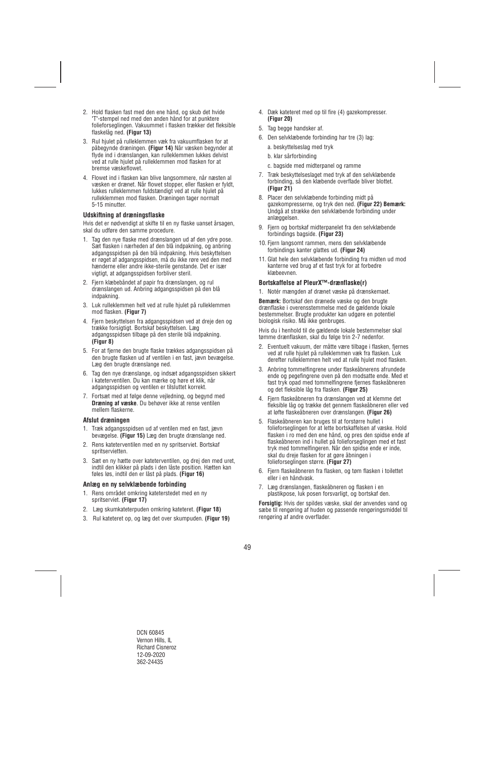- 2. Hold flasken fast med den ene hånd, og skub det hvide "T"-stempel ned med den anden hånd for at punktere folieforseglingen. Vakuummet i flasken trækker det fleksible flaskelåg ned. **(Figur 13)**
- 3. Rul hjulet på rulleklemmen væk fra vakuumflasken for at påbegynde dræningen. **(Figur 14)** Når væsken begynder at flyde ind i drænslangen, kan rulleklemmen lukkes delvist ved at rulle hjulet på rulleklemmen mod flasken for at bremse væskeflowet.
- 4. Flowet ind i flasken kan blive langsommere, når næsten al væsken er drænet. Når flowet stopper, eller flasken er fyldt, lukkes rulleklemmen fuldstændigt ved at rulle hjulet på rulleklemmen mod flasken. Dræningen tager normalt 5-15 minutter.

## **Udskiftning af dræningsflaske**

Hvis det er nødvendigt at skifte til en ny flaske uanset årsagen, skal du udføre den samme procedure.

- 1. Tag den nye flaske med drænslangen ud af den ydre pose. Sæt flasken i nærheden af den blå indpakning, og anbring adgangsspidsen på den blå indpakning. Hvis beskyttelsen er røget af adgangsspidsen, må du ikke røre ved den med hænderne eller andre ikke-sterile genstande. Det er især vigtigt, at adgangsspidsen forbliver steril.
- 2. Fjern klæbebåndet af papir fra drænslangen, og rul drænslangen ud. Anbring adgangsspidsen på den blå indpakning.
- 3. Luk rulleklemmen helt ved at rulle hjulet på rulleklemmen mod flasken. **(Figur 7)**
- 4. Fjern beskyttelsen fra adgangsspidsen ved at dreje den og trække forsigtigt. Bortskaf beskyttelsen. Læg adgangsspidsen tilbage på den sterile blå indpakning. **(Figur 8)**
- 5. For at fjerne den brugte flaske trækkes adgangsspidsen på den brugte flasken ud af ventilen i en fast, jævn bevægelse. Læg den brugte drænslange ned.
- 6. Tag den nye drænslange, og indsæt adgangsspidsen sikkert i kateterventilen. Du kan mærke og høre et klik, når adgangsspidsen og ventilen er tilsluttet korrekt.
- 7. Fortsæt med at følge denne vejledning, og begynd med **Dræning af væske**. Du behøver ikke at rense ventilen mellem flaskerne.

#### **Afslut dræningen**

- 1. Træk adgangsspidsen ud af ventilen med en fast, jævn bevægelse. **(Figur 15)** Læg den brugte drænslange ned.
- 2. Rens kateterventilen med en ny spritserviet. Bortskaf spritservietten.
- 3. Sæt en ny hætte over kateterventilen, og drej den med uret, indtil den klikker på plads i den låste position. Hætten kan føles løs, indtil den er låst på plads. **(Figur 16)**

#### **Anlæg en ny selvklæbende forbinding**

- 1. Rens området omkring kateterstedet med en ny spritserviet. **(Figur 17)**
- 2. Læg skumkateterpuden omkring kateteret. **(Figur 18)**
- 3. Rul kateteret op, og læg det over skumpuden. **(Figur 19)**
- 4. Dæk kateteret med op til fire (4) gazekompresser. **(Figur 20)**
- 5. Tag begge handsker af.
- 6. Den selvklæbende forbinding har tre (3) lag:
	- a. beskyttelseslag med tryk
	- b. klar sårforbinding
	- c. bagside med midterpanel og ramme
- 7. Træk beskyttelseslaget med tryk af den selvklæbende forbinding, så den klæbende overflade bliver blottet. **(Figur 21)**
- 8. Placer den selvklæbende forbinding midt på gazekompresserne, og tryk den ned. **(Figur 22) Bemærk:**  Undgå at strække den selvklæbende forbinding under anlæggelsen.
- 9. Fjern og bortskaf midterpanelet fra den selvklæbende forbindings bagside. **(Figur 23)**
- 10. Fjern langsomt rammen, mens den selvklæbende forbindings kanter glattes ud. **(Figur 24)**
- 11. Glat hele den selvklæbende forbinding fra midten ud mod kanterne ved brug af et fast tryk for at forbedre klæbeevnen.

## **Bortskaffelse af PleurX™-drænflaske(r)**

1. Notér mængden af drænet væske på drænskemaet.

**Bemærk:** Bortskaf den drænede væske og den brugte drænflaske i overensstemmelse med de gældende lokale bestemmelser. Brugte produkter kan udgøre en potentiel biologisk risiko. Må ikke genbruges.

Hvis du i henhold til de gældende lokale bestemmelser skal tømme drænflasken, skal du følge trin 2-7 nedenfor.

- 2. Eventuelt vakuum, der måtte være tilbage i flasken, fjernes ved at rulle hjulet på rulleklemmen væk fra flasken. Luk derefter rulleklemmen helt ved at rulle hjulet mod flasken.
- 3. Anbring tommelfingrene under flaskeåbnerens afrundede ende og pegefingrene oven på den modsatte ende. Med et fast tryk opad med tommelfingrene fjernes flaskeåbneren og det fleksible låg fra flasken. **(Figur 25)**
- 4. Fjern flaskeåbneren fra drænslangen ved at klemme det fleksible låg og trække det gennem flaskeåbneren eller ved at løfte flaskeåbneren over drænslangen. **(Figur 26)**
- 5. Flaskeåbneren kan bruges til at forstørre hullet i folieforseglingen for at lette bortskaffelsen af væske. Hold flasken i ro med den ene hånd, og pres den spidse ende af flaskeåbneren ind i hullet på folieforseglingen med et fast tryk med tommelfingeren. Når den spidse ende er inde, skal du dreje flasken for at gøre åbningen i folieforseglingen større. **(Figur 27)**
- 6. Fjern flaskeåbneren fra flasken, og tøm flasken i toilettet eller i en håndvask.
- 7. Læg drænslangen, flaskeåbneren og flasken i en plastikpose, luk posen forsvarligt, og bortskaf den.

**Forsigtig:** Hvis der spildes væske, skal der anvendes vand og sæbe til rengøring af huden og passende rengøringsmiddel til rengøring af andre overflader.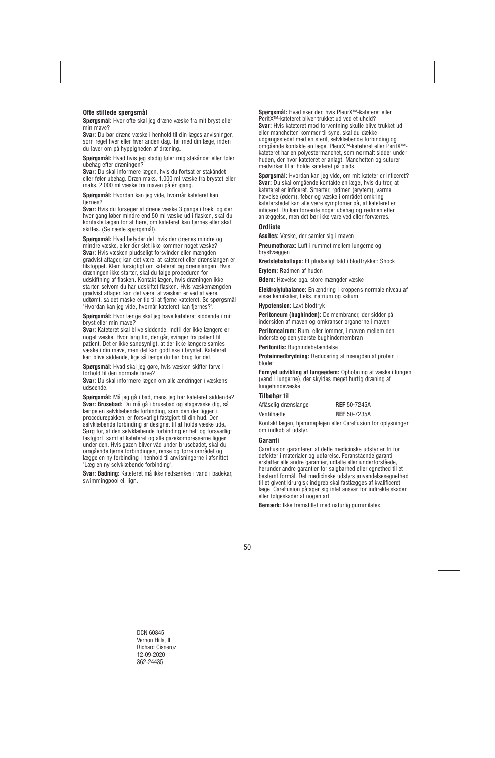## **Ofte stillede spørgsmål**

**Spørgsmål:** Hvor ofte skal jeg dræne væske fra mit bryst eller min mave?

**Svar:** Du bør dræne væske i henhold til din læges anvisninger, som regel hver eller hver anden dag. Tal med din læge, inden du laver om på hyppigheden af dræning.

**Spørgsmål:** Hvad hvis jeg stadig føler mig stakåndet eller føler ubehag efter dræningen?

**Svar:** Du skal informere lægen, hvis du fortsat er stakåndet eller føler ubehag. Dræn maks. 1.000 ml væske fra brystet eller maks. 2.000 ml væske fra maven på én gang.

**Spørgsmål:** Hvordan kan jeg vide, hvornår kateteret kan fiernes?

**Svar:** Hvis du forsøger at dræne væske 3 gange i træk, og der hver gang løber mindre end 50 ml væske ud i flasken, skal du kontakte lægen for at høre, om kateteret kan fjernes eller skal skiftes. (Se næste spørgsmål).

**Spørgsmål:** Hvad betyder det, hvis der drænes mindre og mindre væske, eller der slet ikke kommer noget væske? **Svar:** Hvis væsken pludseligt forsvinder eller mængden gradvist aftager, kan det være, at kateteret eller drænslangen er tilstoppet. Klem forsigtigt om kateteret og drænslangen. Hvis dræningen ikke starter, skal du følge proceduren for udskiftning af flasken. Kontakt lægen, hvis dræningen ikke starter, selvom du har udskiftet flasken. Hvis væskemængden gradvist aftager, kan det være, at væsken er ved at være udtømt, så det måske er tid til at fjerne kateteret. Se spørgsmål "Hvordan kan jeg vide, hvornår kateteret kan fjernes?".

**Spørgsmål:** Hvor længe skal jeg have kateteret siddende i mit bryst eller min mave?

**Svar:** Kateteret skal blive siddende, indtil der ikke længere er noget væske. Hvor lang tid, der går, svinger fra patient til patient. Det er ikke sandsynligt, at der ikke længere samles væske i din mave, men det kan godt ske i brystet. Kateteret kan blive siddende, lige så længe du har brug for det.

**Spørgsmål:** Hvad skal jeg gøre, hvis væsken skifter farve i forhold til den normale farve?

**Svar:** Du skal informere lægen om alle ændringer i væskens udseende.

**Spørgsmål:** Må jeg gå i bad, mens jeg har kateteret siddende? **Svar: Brusebad:** Du må gå i brusebad og etagevaske dig, så længe en selvklæbende forbinding, som den der ligger i procedurepakken, er forsvarligt fastgjort til din hud. Den selvklæbende forbinding er designet til at holde væske ude. Sørg for, at den selvklæbende forbinding er helt og forsvarligt fastgjort, samt at kateteret og alle gazekompresserne ligger under den. Hvis gazen bliver våd under brusebadet, skal du omgående fjerne forbindingen, rense og tørre området og lægge en ny forbinding i henhold til anvisningerne i afsnittet "Læg en ny selvklæbende forbinding".

**Svar: Badning:** Kateteret må ikke nedsænkes i vand i badekar, swimmingpool el. lign.

**Spørgsmål:** Hvad sker der, hvis PleurX™-kateteret eller PeritX™-kateteret bliver trukket ud ved et uheld? **Svar:** Hvis kateteret mod forventning skulle blive trukket ud eller manchetten kommer til syne, skal du dække udgangsstedet med en steril, selvklæbende forbinding og omgående kontakte en læge. PleurX™-kateteret eller PeritX™ kateteret har en polyestermanchet, som normalt sidder under huden, der hvor kateteret er anlagt. Manchetten og suturer medvirker til at holde kateteret på plads.

**Spørgsmål:** Hvordan kan jeg vide, om mit kateter er inficeret? **Svar:** Du skal omgående kontakte en læge, hvis du tror, at kateteret er inficeret. Smerter, rødmen (erytem), varme, hævelse (ødem), feber og væske i området omkring kateterstedet kan alle være symptomer på, at kateteret er inficeret. Du kan forvente noget ubehag og rødmen efter anlæggelse, men det bør ikke vare ved eller forværres.

## **Ordliste**

**Ascites:** Væske, der samler sig i maven

**Pneumothorax:** Luft i rummet mellem lungerne og brystvæggen

**Kredsløbskollaps:** Et pludseligt fald i blodtrykket: Shock

**Erytem:** Rødmen af huden

**Ødem:** Hævelse pga. store mængder væske

**Elektrolytubalance:** En ændring i kroppens normale niveau af visse kemikalier, f.eks. natrium og kalium

**Hypotension:** Lavt blodtryk

**Peritoneum (bughinden):** De membraner, der sidder på indersiden af maven og omkranser organerne i maven

**Peritonealrum:** Rum, eller lommer, i maven mellem den inderste og den yderste bughindemembran

**Peritonitis:** Bughindebetændelse

**Proteinnedbrydning:** Reducering af mængden af protein i blodet

**Fornyet udvikling af lungeødem:** Ophobning af væske i lungen (vand i lungerne), der skyldes meget hurtig dræning af lungehindevæske

#### **Tilbehør til**

| Aflåselig drænslange | <b>REF</b> 50-7245A |
|----------------------|---------------------|
| Ventilhætte          | <b>REF</b> 50-7235A |

Kontakt lægen, hjemmeplejen eller CareFusion for oplysninger om indkøb af udstyr.

#### **Garanti**

CareFusion garanterer, at dette medicinske udstyr er fri for defekter i materialer og udførelse. Foranstående garanti erstatter alle andre garantier, udtalte eller underforståede, herunder andre garantier for salgbarhed eller egnethed til et bestemt formål. Det medicinske udstyrs anvendelsesegnethed til et givent kirurgisk indgreb skal fastlægges af kvalificeret læge. CareFusion påtager sig intet ansvar for indirekte skader eller følgeskader af nogen art.

**Bemærk:** Ikke fremstillet med naturlig gummilatex.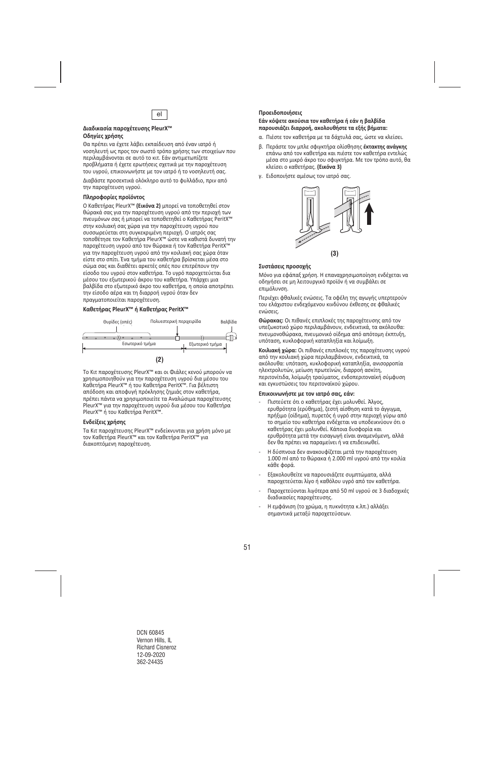

#### **Διαδικασία παροχέτευσης PleurX™ Οδηγίες χρήσης**

Θα πρέπει να έχετε λάβει εκπαίδευση από έναν ιατρό ή νοσηλευτή ως προς τον σωστό τρόπο χρήσης των στοιχείων που περιλαμβάνονται σε αυτό το κιτ. Εάν αντιμετωπίζετε προβλήματα ή έχετε ερωτήσεις σχετικά με την παροχέτευση του υγρού, επικοινωνήστε με τον ιατρό ή το νοσηλευτή σας.

Διαβάστε προσεκτικά ολόκληρο αυτό το φυλλάδιο, πριν από την παροχέτευση υγρού.

#### **Πληροφορίες προϊόντος**

Ο Καθετήρας PleurX™ **(Εικόνα 2)** μπορεί να τοποθετηθεί στον θώρακά σας για την παροχέτευση υγρού από την περιοχή των πνευμόνων σας ή μπορεί να τοποθετηθεί ο Καθετήρας PeritX™ στην κοιλιακή σας χώρα για την παροχέτευση υγρού που συσσωρεύεται στη συγκεκριμένη περιοχή. Ο ιατρός σας τοποθέτησε τον Καθετήρα PleurX™ ώστε να καθιστά δυνατή την παροχέτευση υγρού από τον θώρακα ή τον Καθετήρα PeritX™ για την παροχέτευση υγρού από την κοιλιακή σας χώρα όταν είστε στο σπίτι. Ένα τμήμα του καθετήρα βρίσκεται μέσα στο σώμα σας και διαθέτει αρκετές οπές που επιτρέπουν την είσοδο του υγρού στον καθετήρα. Το υγρό παροχετεύεται δια μέσου του εξωτερικού άκρου του καθετήρα. Υπάρχει μια βαλβίδα στο εξωτερικό άκρο του καθετήρα, η οποία αποτρέπει την είσοδο αέρα και τη διαρροή υγρού όταν δεν πραγματοποιείται παροχέτευση.

#### **Καθετήρας PleurX™ ή Καθετήρας PeritX™**



Το Κιτ παροχέτευσης PleurX™ και οι Φιάλες κενού μπορούν να χρησιμοποιηθούν για την παροχέτευση υγρού δια μέσου του Καθετήρα PleurX™ ή του Καθετήρα PeritX™. Για βέλτιστη απόδοση και αποφυγή πρόκλησης ζημιάς στον καθετήρα, πρέπει πάντα να χρησιμοποιείτε τα Αναλώσιμα παροχέτευσης PleurX™ για την παροχέτευση υγρού δια μέσου του Καθετήρα PleurX™ ή του Καθετήρα PeritX™.

## **Ενδείξεις χρήσης**

Τα Κιτ παροχέτευσης PleurX™ ενδείκνυνται για χρήση μόνο με τον Καθετήρα PleurX™ και τον Καθετήρα PeritX™ για διακοπτόμενη παροχέτευση.

## el **Προειδοποιήσεις**

#### **Εάν κόψετε ακούσια τον καθετήρα ή εάν η βαλβίδα παρουσιάζει διαρροή, ακολουθήστε τα εξής βήματα:**

- α. Πιέστε τον καθετήρα με τα δάχτυλά σας, ώστε να κλείσει.
- β. Περάστε τον μπλε σφιγκτήρα ολίσθησης **έκτακτης ανάγκης** επάνω από τον καθετήρα και πιέστε τον καθετήρα εντελώς μέσα στο μικρό άκρο του σφιγκτήρα. Με τον τρόπο αυτό, θα κλείσει ο καθετήρας. **(Εικόνα 3)**
- γ. Ειδοποιήστε αμέσως τον ιατρό σας.



## **Συστάσεις προσοχής**

Μόνο για εφάπαξ χρήση. Η επαναχρησιμοποίηση ενδέχεται να οδηγήσει σε μη λειτουργικό προϊόν ή να συμβάλει σε επιμόλυνση.

Περιέχει φθαλικές ενώσεις. Τα οφέλη της αγωγής υπερτερούν του ελάχιστου ενδεχόμενου κινδύνου έκθεσης σε φθαλικές ενώσεις.

**Θώρακας:** Οι πιθανές επιπλοκές της παροχέτευσης από τον υπεζωκοτικό χώρο περιλαμβάνουν, ενδεικτικά, τα ακόλουθα: πνευμονοθώρακα, πνευμονικό οίδημα από απότομη έκπτυξη, υπόταση, κυκλοφορική καταπληξία και λοίμωξη.

**Κοιλιακή χώρα:** Οι πιθανές επιπλοκές της παροχέτευσης υγρού από την κοιλιακή χώρα περιλαμβάνουν, ενδεικτικά, τα ακόλουθα: υπόταση, κυκλοφορική καταπληξία, ανισορροπία ηλεκτρολυτών, μείωση πρωτεϊνών, διαρροή ασκίτη, περιτονίτιδα, λοίμωξη τραύματος, ενδοπεριτοναϊκή σύμφυση και εγκυστώσεις του περιτοναϊκού χώρου.

#### **Επικοινωνήστε με τον ιατρό σας, εάν:**

- ‐ Πιστεύετε ότι ο καθετήρας έχει μολυνθεί. Άλγος, ερυθρότητα (ερύθημα), ζεστή αίσθηση κατά το άγγιγμα, πρήξιμο (οίδημα), πυρετός ή υγρό στην περιοχή γύρω από το σημείο του καθετήρα ενδέχεται να υποδεικνύουν ότι ο καθετήρας έχει μολυνθεί. Κάποια δυσφορία και ερυθρότητα μετά την εισαγωγή είναι αναμενόμενη, αλλά δεν θα πρέπει να παραμείνει ή να επιδεινωθεί.
- ‐ Η δύσπνοια δεν ανακουφίζεται μετά την παροχέτευση 1.000 ml από το θώρακα ή 2.000 ml υγρού από την κοιλία κάθε φορά.
- ‐ Εξακολουθείτε να παρουσιάζετε συμπτώματα, αλλά παροχετεύεται λίγο ή καθόλου υγρό από τον καθετήρα.
- ‐ Παροχετεύονται λιγότερα από 50 ml υγρού σε 3 διαδοχικές διαδικασίες παροχέτευσης.
- ‐ Η εμφάνιση (το χρώμα, η πυκνότητα κ.λπ.) αλλάξει σημαντικά μεταξύ παροχετεύσεων.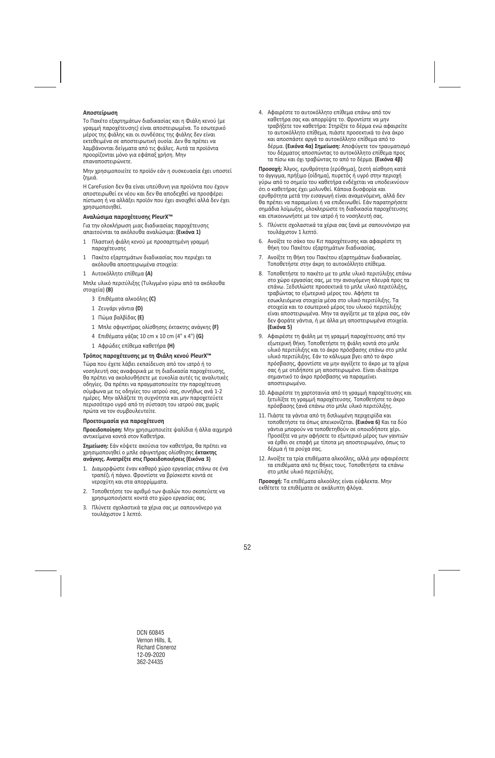## **Αποστείρωση**

Το Πακέτο εξαρτημάτων διαδικασίας και η Φιάλη κενού (με γραμμή παροχέτευσης) είναι αποστειρωμένα. Το εσωτερικό μέρος της φιάλης και οι συνδέσεις της φιάλης δεν είναι εκτεθειμένα σε αποστειρωτική ουσία. Δεν θα πρέπει να λαμβάνονται δείγματα από τις φιάλες. Αυτά τα προϊόντα προορίζονται μόνο για εφάπαξ χρήση. Μην επαναποστειρώνετε.

Μην χρησιμοποιείτε το προϊόν εάν η συσκευασία έχει υποστεί ζημιά.

Η CareFusion δεν θα είναι υπεύθυνη για προϊόντα που έχουν αποστειρωθεί εκ νέου και δεν θα αποδεχθεί να προσφέρει πίστωση ή να αλλάξει προϊόν που έχει ανοιχθεί αλλά δεν έχει χρησιμοποιηθεί.

#### **Αναλώσιμα παροχέτευσης PleurX™**

Για την ολοκλήρωση μιας διαδικασίας παροχέτευσης απαιτούνται τα ακόλουθα αναλώσιμα: **(Εικόνα 1)** 

- 1 Πλαστική φιάλη κενού με προσαρτημένη γραμμή παροχέτευσης
- 1 Πακέτο εξαρτημάτων διαδικασίας που περιέχει τα ακόλουθα αποστειρωμένα στοιχεία:
- 1 Αυτοκόλλητο επίθεμα **(A)**

Μπλε υλικό περιτύλιξης (Τυλιγμένο γύρω από τα ακόλουθα στοιχεία) **(B)** 

- 3 Επιθέματα αλκοόλης **(C)**
- 1 Ζευγάρι γάντια **(D)**
- 1 Πώμα βαλβίδας **(E)**
- 1 Μπλε σφιγκτήρας ολίσθησης έκτακτης ανάγκης **(F)**
- 4 Επιθέματα γάζας 10 cm x 10 cm (4" x 4") **(G)**
- 1 Αφρώδες επίθεμα καθετήρα **(H)**

#### **Τρόπος παροχέτευσης με τη Φιάλη κενού PleurX™**

Τώρα που έχετε λάβει εκπαίδευση από τον ιατρό ή το νοσηλευτή σας αναφορικά με τη διαδικασία παροχέτευσης, θα πρέπει να ακολουθήσετε με ευκολία αυτές τις αναλυτικές οδηγίες. Θα πρέπει να πραγματοποιείτε την παροχέτευση σύμφωνα με τις οδηγίες του ιατρού σας, συνήθως ανά 1‐2 ημέρες. Μην αλλάζετε τη συχνότητα και μην παροχετεύετε περισσότερο υγρό από τη σύσταση του ιατρού σας χωρίς πρώτα να τον συμβουλευτείτε.

#### **Προετοιμασία για παροχέτευση**

**Προειδοποίηση:** Μην χρησιμοποιείτε ψαλίδια ή άλλα αιχμηρά αντικείμενα κοντά στον Καθετήρα.

**Σημείωση:** Εάν κόψετε ακούσια τον καθετήρα, θα πρέπει να χρησιμοποιηθεί ο μπλε σφιγκτήρας ολίσθησης **έκτακτης ανάγκης. Ανατρέξτε στις Προειδοποιήσεις (Εικόνα 3)** 

- 1. Διαμορφώστε έναν καθαρό χώρο εργασίας επάνω σε ένα τραπέζι ή πάγκο. Φροντίστε να βρίσκεστε κοντά σε νεροχύτη και στα απορρίμματα.
- 2. Τοποθετήστε τον αριθμό των φιαλών που σκοπεύετε να χρησιμοποιήσετε κοντά στο χώρο εργασίας σας.
- 3. Πλύνετε σχολαστικά τα χέρια σας με σαπουνόνερο για τουλάχιστον 1 λεπτό.

4. Αφαιρέστε το αυτοκόλλητο επίθεμα επάνω από τον καθετήρα σας και απορρίψτε το. Φροντίστε να μην τραβήξετε τον καθετήρα: Στηρίξτε το δέρμα ενώ αφαιρείτε το αυτοκόλλητο επίθεμα, πιάστε προσεκτικά το ένα άκρο και αποσπάστε αργά το αυτοκόλλητο επίθεμα από το δέρμα. **(Εικόνα 4α) Σημείωση:** Αποφύγετε τον τραυματισμό του δέρματος αποσπώντας το αυτοκόλλητο επίθεμα προς τα πίσω και όχι τραβώντας το από το δέρμα. **(Εικόνα 4β)** 

**Προσοχή:** Άλγος, ερυθρότητα (ερύθημα), ζεστή αίσθηση κατά το άγγιγμα, πρήξιμο (οίδημα), πυρετός ή υγρό στην περιοχή γύρω από το σημείο του καθετήρα ενδέχεται να υποδεικνύουν ότι ο καθετήρας έχει μολυνθεί. Κάποια δυσφορία και ερυθρότητα μετά την εισαγωγή είναι αναμενόμενη, αλλά δεν θα πρέπει να παραμείνει ή να επιδεινωθεί. Εάν παρατηρήσετε σημάδια λοίμωξης, ολοκληρώστε τη διαδικασία παροχέτευσης και επικοινωνήστε με τον ιατρό ή το νοσηλευτή σας.

- 5. Πλύνετε σχολαστικά τα χέρια σας ξανά με σαπουνόνερο για τουλάχιστον 1 λεπτό.
- 6. Ανοίξτε το σάκο του Κιτ παροχέτευσης και αφαιρέστε τη θήκη του Πακέτου εξαρτημάτων διαδικασίας.
- 7. Ανοίξτε τη θήκη του Πακέτου εξαρτημάτων διαδικασίας. Τοποθετήστε στην άκρη το αυτοκόλλητο επίθεμα.
- 8. Τοποθετήστε το πακέτο με το μπλε υλικό περιτύλιξης επάνω στο χώρο εργασίας σας, με την ανοιγόμενη πλευρά προς τα επάνω. Ξεδιπλώστε προσεκτικά το μπλε υλικό περιτύλιξης, τραβώντας το εξωτερικό μέρος του. Αφήστε τα εσωκλειόμενα στοιχεία μέσα στο υλικό περιτύλιξης. Τα στοιχεία και το εσωτερικό μέρος του υλικού περιτύλιξης είναι αποστειρωμένα. Μην τα αγγίξετε με τα χέρια σας, εάν δεν φοράτε γάντια, ή με άλλα μη αποστειρωμένα στοιχεία. **(Εικόνα 5)**
- 9. Αφαιρέστε τη φιάλη με τη γραμμή παροχέτευσης από την εξωτερική θήκη. Τοποθετήστε τη φιάλη κοντά στο μπλε υλικό περιτύλιξης και το άκρο πρόσβασης επάνω στο μπλε υλικό περιτύλιξης. Εάν το κάλυμμα βγει από το άκρο πρόσβασης, φροντίστε να μην αγγίξετε το άκρο με τα χέρια σας ή με οτιδήποτε μη αποστειρωμένο. Είναι ιδιαίτερα σημαντικό το άκρο πρόσβασης να παραμείνει αποστειρωμένο.
- 10. Αφαιρέστε τη χαρτοταινία από τη γραμμή παροχέτευσης και ξετυλίξτε τη γραμμή παροχέτευσης. Τοποθετήστε το άκρο πρόσβασης ξανά επάνω στο μπλε υλικό περιτύλιξης.
- 11. Πιάστε τα γάντια από τη διπλωμένη περιχειρίδα και τοποθετήστε τα όπως απεικονίζεται. **(Εικόνα 6)** Και τα δύο γάντια μπορούν να τοποθετηθούν σε οποιοδήποτε χέρι. Προσέξτε να μην αφήσετε το εξωτερικό μέρος των γαντιών να έρθει σε επαφή με τίποτα μη αποστειρωμένο, όπως το δέρμα ή τα ρούχα σας.
- 12. Ανοίξτε τα τρία επιθέματα αλκοόλης, αλλά μην αφαιρέσετε τα επιθέματα από τις θήκες τους. Τοποθετήστε τα επάνω στο μπλε υλικό περιτύλιξης.

**Προσοχή:** Τα επιθέματα αλκοόλης είναι εύφλεκτα. Μην εκθέτετε τα επιθέματα σε ακάλυπτη φλόγα.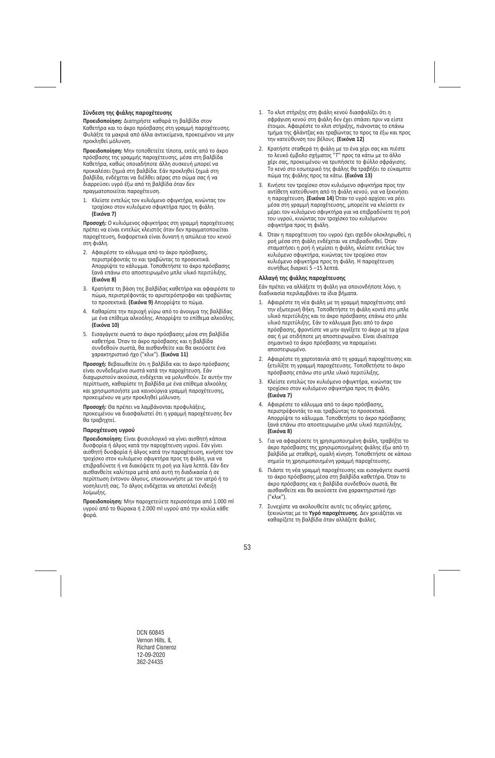## **Σύνδεση της φιάλης παροχέτευσης**

**Προειδοποίηση:** Διατηρήστε καθαρά τη βαλβίδα στον Καθετήρα και το άκρο πρόσβασης στη γραμμή παροχέτευσης. Φυλάξτε τα μακριά από άλλα αντικείμενα, προκειμένου να μην προκληθεί μόλυνση.

**Προειδοποίηση:** Μην τοποθετείτε τίποτα, εκτός από το άκρο πρόσβασης της γραμμής παροχέτευσης, μέσα στη βαλβίδα Καθετήρα, καθώς οποιαδήποτε άλλη συσκευή μπορεί να προκαλέσει ζημιά στη βαλβίδα. Εάν προκληθεί ζημιά στη βαλβίδα, ενδέχεται να διέλθει αέρας στο σώμα σας ή να διαρρεύσει υγρό έξω από τη βαλβίδα όταν δεν πραγματοποιείται παροχέτευση.

1. Κλείστε εντελώς τον κυλιόμενο σφιγκτήρα, κινώντας τον τροχίσκο στον κυλιόμενο σφιγκτήρα προς τη φιάλη. **(Εικόνα 7)** 

**Προσοχή:** Ο κυλιόμενος σφιγκτήρας στη γραμμή παροχέτευσης πρέπει να είναι εντελώς κλειστός όταν δεν πραγματοποιείται παροχέτευση, διαφορετικά είναι δυνατή η απώλεια του κενού στη φιάλη.

- 2. Αφαιρέστε το κάλυμμα από το άκρο πρόσβασης, περιστρέφοντάς το και τραβώντας το προσεκτικά. Απορρίψτε το κάλυμμα. Τοποθετήστε το άκρο πρόσβασης ξανά επάνω στο αποστειρωμένο μπλε υλικό περιτύλιξης. **(Εικόνα 8)**
- 3. Κρατήστε τη βάση της βαλβίδας καθετήρα και αφαιρέστε το πώμα, περιστρέφοντάς το αριστερόστροφα και τραβώντας το προσεκτικά. **(Εικόνα 9)** Απορρίψτε το πώμα.
- 4. Καθαρίστε την περιοχή γύρω από το άνοιγμα της βαλβίδας με ένα επίθεμα αλκοόλης. Απορρίψτε το επίθεμα αλκοόλης. **(Εικόνα 10)**
- 5. Εισαγάγετε σωστά το άκρο πρόσβασης μέσα στη βαλβίδα καθετήρα. Όταν το άκρο πρόσβασης και η βαλβίδα συνδεθούν σωστά, θα αισθανθείτε και θα ακούσετε ένα χαρακτηριστικό ήχο ("κλικ"). **(Εικόνα 11)**

**Προσοχή:** Βεβαιωθείτε ότι η βαλβίδα και το άκρο πρόσβασης είναι συνδεδεμένα σωστά κατά την παροχέτευση. Εάν διαχωριστούν ακούσια, ενδέχεται να μολυνθούν. Σε αυτήν την περίπτωση, καθαρίστε τη βαλβίδα με ένα επίθεμα αλκοόλης και χρησιμοποιήστε μια καινούργια γραμμή παροχέτευσης, προκειμένου να μην προκληθεί μόλυνση.

**Προσοχή:** Θα πρέπει να λαμβάνονται προφυλάξεις, προκειμένου να διασφαλιστεί ότι η γραμμή παροχέτευσης δεν θα τραβηχτεί.

#### **Παροχέτευση υγρού**

**Προειδοποίηση:** Είναι φυσιολογικό να γίνει αισθητή κάποια δυσφορία ή άλγος κατά την παροχέτευση υγρού. Εάν γίνει αισθητή δυσφορία ή άλγος κατά την παροχέτευση, κινήστε τον τροχίσκο στον κυλιόμενο σφιγκτήρα προς τη φιάλη, για να επιβραδύνετε ή να διακόψετε τη ροή για λίγα λεπτά. Εάν δεν αισθανθείτε καλύτερα μετά από αυτή τη διαδικασία ή σε περίπτωση έντονου άλγους, επικοινωνήστε με τον ιατρό ή το νοσηλευτή σας. Το άλγος ενδέχεται να αποτελεί ένδειξη λοίμωξης.

**Προειδοποίηση:** Μην παροχετεύετε περισσότερα από 1.000 ml υγρού από το θώρακα ή 2.000 ml υγρού από την κοιλία κάθε φορά.

- 1. Το κλιπ στήριξης στη φιάλη κενού διασφαλίζει ότι η σφράγιση κενού στη φιάλη δεν έχει σπάσει πριν να είστε έτοιμοι. Αφαιρέστε το κλιπ στήριξης, πιάνοντας το επάνω τμήμα της φλάντζας και τραβώντας το προς τα έξω και προς την κατεύθυνση του βέλους. **(Εικόνα 12)**
- 2. Κρατήστε σταθερά τη φιάλη με το ένα χέρι σας και πιέστε το λευκό έμβολο σχήματος "T" προς τα κάτω με το άλλο χέρι σας, προκειμένου να τρυπήσετε το φύλλο σφράγισης. Το κενό στο εσωτερικό της φιάλης θα τραβήξει το εύκαμπτο πώμα της φιάλης προς τα κάτω. **(Εικόνα 13)**
- 3. Κινήστε τον τροχίσκο στον κυλιόμενο σφιγκτήρα προς την αντίθετη κατεύθυνση από τη φιάλη κενού, για να ξεκινήσει η παροχέτευση. **(Εικόνα 14)** Όταν το υγρό αρχίσει να ρέει μέσα στη γραμμή παροχέτευσης, μπορείτε να κλείσετε εν μέρει τον κυλιόμενο σφιγκτήρα για να επιβραδύνετε τη ροή του υγρού, κινώντας τον τροχίσκο του κυλιόμενου σφιγκτήρα προς τη φιάλη.
- 4. Όταν η παροχέτευση του υγρού έχει σχεδόν ολοκληρωθεί, η ροή μέσα στη φιάλη ενδέχεται να επιβραδυνθεί. Όταν σταματήσει η ροή ή γεμίσει η φιάλη, κλείστε εντελώς τον κυλιόμενο σφιγκτήρα, κινώντας τον τροχίσκο στον κυλιόμενο σφιγκτήρα προς τη φιάλη. Η παροχέτευση συνήθως διαρκεί 5 –15 λεπτά.

#### **Αλλαγή της φιάλης παροχέτευσης**

Εάν πρέπει να αλλάξετε τη φιάλη για οποιονδήποτε λόγο, η διαδικασία περιλαμβάνει τα ίδια βήματα.

- 1. Αφαιρέστε τη νέα φιάλη με τη γραμμή παροχέτευσης από την εξωτερική θήκη. Τοποθετήστε τη φιάλη κοντά στο μπλε υλικό περιτύλιξης και το άκρο πρόσβασης επάνω στο μπλε υλικό περιτύλιξης. Εάν το κάλυμμα βγει από το άκρο πρόσβασης, φροντίστε να μην αγγίξετε το άκρο με τα χέρια σας ή με οτιδήποτε μη αποστειρωμένο. Είναι ιδιαίτερα σημαντικό το άκρο πρόσβασης να παραμείνει αποστειρωμένο.
- 2. Αφαιρέστε τη χαρτοταινία από τη γραμμή παροχέτευσης και ξετυλίξτε τη γραμμή παροχέτευσης. Τοποθετήστε το άκρο πρόσβασης επάνω στο μπλε υλικό περιτύλιξης.
- 3. Κλείστε εντελώς τον κυλιόμενο σφιγκτήρα, κινώντας τον τροχίσκο στον κυλιόμενο σφιγκτήρα προς τη φιάλη. **(Εικόνα 7)**
- 4. Αφαιρέστε το κάλυμμα από το άκρο πρόσβασης, περιστρέφοντάς το και τραβώντας το προσεκτικά. Απορρίψτε το κάλυμμα. Τοποθετήστε το άκρο πρόσβασης ξανά επάνω στο αποστειρωμένο μπλε υλικό περιτύλιξης. **(Εικόνα 8)**
- 5. Για να αφαιρέσετε τη χρησιμοποιημένη φιάλη, τραβήξτε το άκρο πρόσβασης της χρησιμοποιημένης φιάλης έξω από τη βαλβίδα με σταθερή, ομαλή κίνηση. Τοποθετήστε σε κάποιο σημείο τη χρησιμοποιημένη γραμμή παροχέτευσης.
- 6. Πιάστε τη νέα γραμμή παροχέτευσης και εισαγάγετε σωστά το άκρο πρόσβασης μέσα στη βαλβίδα καθετήρα. Όταν το άκρο πρόσβασης και η βαλβίδα συνδεθούν σωστά, θα αισθανθείτε και θα ακούσετε ένα χαρακτηριστικό ήχο ("κλικ").
- 7. Συνεχίστε να ακολουθείτε αυτές τις οδηγίες χρήσης, ξεκινώντας με το **Υγρό παροχέτευσης**. Δεν χρειάζεται να καθαρίζετε τη βαλβίδα όταν αλλάζετε φιάλες.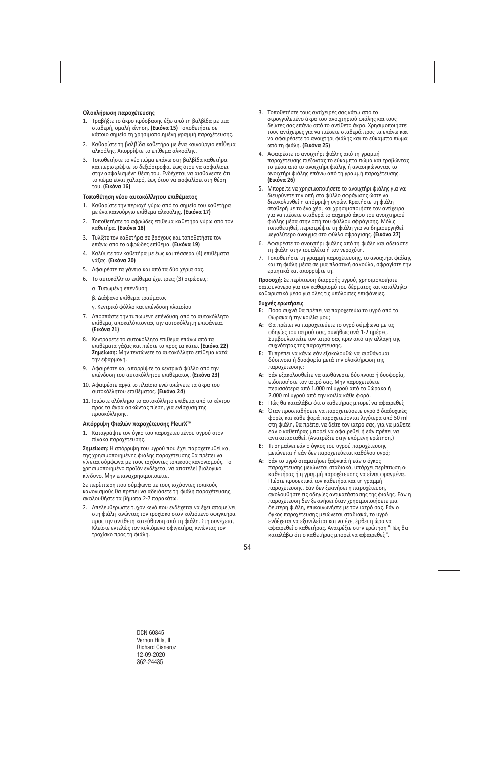## **Ολοκλήρωση παροχέτευσης**

- 1. Τραβήξτε το άκρο πρόσβασης έξω από τη βαλβίδα με μια σταθερή, ομαλή κίνηση. **(Εικόνα 15)** Τοποθετήστε σε κάποιο σημείο τη χρησιμοποιημένη γραμμή παροχέτευσης.
- 2. Καθαρίστε τη βαλβίδα καθετήρα με ένα καινούργιο επίθεμα αλκοόλης. Απορρίψτε το επίθεμα αλκοόλης.
- 3. Τοποθετήστε το νέο πώμα επάνω στη βαλβίδα καθετήρα και περιστρέψτε το δεξιόστροφα, έως ότου να ασφαλίσει στην ασφαλισμένη θέση του. Ενδέχεται να αισθάνεστε ότι το πώμα είναι χαλαρό, έως ότου να ασφαλίσει στη θέση του. **(Εικόνα 16)**

#### **Τοποθέτηση νέου αυτοκόλλητου επιθέματος**

- 1. Καθαρίστε την περιοχή γύρω από το σημείο του καθετήρα με ένα καινούργιο επίθεμα αλκοόλης. **(Εικόνα 17)**
- 2. Τοποθετήστε το αφρώδες επίθεμα καθετήρα γύρω από τον καθετήρα. **(Εικόνα 18)**
- 3. Τυλίξτε τον καθετήρα σε βρόχους και τοποθετήστε τον επάνω από το αφρώδες επίθεμα. **(Εικόνα 19)**
- 4. Καλύψτε τον καθετήρα με έως και τέσσερα (4) επιθέματα γάζας. **(Εικόνα 20)**
- 5. Αφαιρέστε τα γάντια και από τα δύο χέρια σας.
- 6. Το αυτοκόλλητο επίθεμα έχει τρεις (3) στρώσεις:
	- α. Τυπωμένη επένδυση
	- β. Διάφανο επίθεμα τραύματος
	- γ. Κεντρικό φύλλο και επένδυση πλαισίου
- 7. Αποσπάστε την τυπωμένη επένδυση από το αυτοκόλλητο επίθεμα, αποκαλύπτοντας την αυτοκόλλητη επιφάνεια. **(Εικόνα 21)**
- 8. Κεντράρετε το αυτοκόλλητο επίθεμα επάνω από τα επιθέματα γάζας και πιέστε το προς τα κάτω. **(Εικόνα 22) Σημείωση:** Μην τεντώνετε το αυτοκόλλητο επίθεμα κατά την εφαρμογή.
- 9. Αφαιρέστε και απορρίψτε το κεντρικό φύλλο από την επένδυση του αυτοκόλλητου επιθέματος. **(Εικόνα 23)**
- 10. Αφαιρέστε αργά το πλαίσιο ενώ ισιώνετε τα άκρα του αυτοκόλλητου επιθέματος. **(Εικόνα 24)**
- 11. Ισιώστε ολόκληρο το αυτοκόλλητο επίθεμα από το κέντρο προς τα άκρα ασκώντας πίεση, για ενίσχυση της προσκόλλησης.

#### **Απόρριψη Φιαλών παροχέτευσης PleurX™**

1. Καταγράψτε τον όγκο του παροχετευμένου υγρού στον πίνακα παροχέτευσης.

**Σημείωση:** Η απόρριψη του υγρού που έχει παροχετευθεί και της χρησιμοποιημένης φιάλης παροχέτευσης θα πρέπει να γίνεται σύμφωνα με τους ισχύοντες τοπικούς κανονισμούς. Το χρησιμοποιημένο προϊόν ενδέχεται να αποτελεί βιολογικό κίνδυνο. Μην επαναχρησιμοποιείτε.

Σε περίπτωση που σύμφωνα με τους ισχύοντες τοπικούς κανονισμούς θα πρέπει να αδειάσετε τη φιάλη παροχέτευσης, ακολουθήστε τα βήματα 2‐7 παρακάτω.

2. Απελευθερώστε τυχόν κενό που ενδέχεται να έχει απομείνει στη φιάλη κινώντας τον τροχίσκο στον κυλιόμενο σφιγκτήρα προς την αντίθετη κατεύθυνση από τη φιάλη. Στη συνέχεια, Κλείστε εντελώς τον κυλιόμενο σφιγκτήρα, κινώντας τον τροχίσκο προς τη φιάλη.

- 3. Τοποθετήστε τους αντίχειρές σας κάτω από το στρογγυλεμένο άκρο του ανοιχτηριού φιάλης και τους δείκτες σας επάνω από το αντίθετο άκρο. Χρησιμοποιήστε τους αντίχειρες για να πιέσετε σταθερά προς τα επάνω και να αφαιρέσετε το ανοιχτήρι φιάλης και το εύκαμπτο πώμα από τη φιάλη. **(Εικόνα 25)**
- 4. Αφαιρέστε το ανοιχτήρι φιάλης από τη γραμμή παροχέτευσης πιέζοντας το εύκαμπτο πώμα και τραβώντας το μέσα από το ανοιχτήρι φιάλης ή ανασηκώνοντας το ανοιχτήρι φιάλης επάνω από τη γραμμή παροχέτευσης. **(Εικόνα 26)**
- 5. Μπορείτε να χρησιμοποιήσετε το ανοιχτήρι φιάλης για να διευρύνετε την οπή στο φύλλο σφράγισης ώστε να διευκολυνθεί η απόρριψη υγρών. Κρατήστε τη φιάλη σταθερή με το ένα χέρι και χρησιμοποιήστε τον αντίχειρα για να πιέσετε σταθερά το αιχμηρό άκρο του ανοιχτηριού φιάλης μέσα στην οπή του φύλλου σφράγισης. Μόλις τοποθετηθεί, περιστρέψτε τη φιάλη για να δημιουργηθεί μεγαλύτερο άνοιγμα στο φύλλο σφράγισης. **(Εικόνα 27)**
- 6. Αφαιρέστε το ανοιχτήρι φιάλης από τη φιάλη και αδειάστε τη φιάλη στην τουαλέτα ή τον νεροχύτη.
- 7. Τοποθετήστε τη γραμμή παροχέτευσης, το ανοιχτήρι φιάλης και τη φιάλη μέσα σε μια πλαστική σακούλα, σφραγίστε την ερμητικά και απορρίψτε τη.

**Προσοχή:** Σε περίπτωση διαρροής υγρού, χρησιμοποιήστε σαπουνόνερο για τον καθαρισμό του δέρματος και κατάλληλο καθαριστικό μέσο για όλες τις υπόλοιπες επιφάνειες.

#### **Συχνές ερωτήσεις**

- **Ε:** Πόσο συχνά θα πρέπει να παροχετεύω το υγρό από το θώρακα ή την κοιλία μου;
- **Α:** Θα πρέπει να παροχετεύετε το υγρό σύμφωνα με τις οδηγίες του ιατρού σας, συνήθως ανά 1‐2 ημέρες. Συμβουλευτείτε τον ιατρό σας πριν από την αλλαγή της συχνότητας της παροχέτευσης.
- **Ε:** Τι πρέπει να κάνω εάν εξακολουθώ να αισθάνομαι δύσπνοια ή δυσφορία μετά την ολοκλήρωση της παροχέτευσης;
- **Α:** Εάν εξακολουθείτε να αισθάνεστε δύσπνοια ή δυσφορία, ειδοποιήστε τον ιατρό σας. Μην παροχετεύετε περισσότερα από 1.000 ml υγρού από το θώρακα ή 2.000 ml υγρού από την κοιλία κάθε φορά.
- **Ε:** Πώς θα καταλάβω ότι ο καθετήρας μπορεί να αφαιρεθεί;
- **Α:** Όταν προσπαθήσετε να παροχετεύσετε υγρό 3 διαδοχικές φορές και κάθε φορά παροχετεύονται λιγότερα από 50 ml στη φιάλη, θα πρέπει να δείτε τον ιατρό σας, για να μάθετε εάν ο καθετήρας μπορεί να αφαιρεθεί ή εάν πρέπει να αντικατασταθεί. (Ανατρέξτε στην επόμενη ερώτηση.)
- **Ε:** Τι σημαίνει εάν ο όγκος του υγρού παροχέτευσης μειώνεται ή εάν δεν παροχετεύεται καθόλου υγρό;
- **Α:** Εάν το υγρό σταματήσει ξαφνικά ή εάν ο όγκος παροχέτευσης μειώνεται σταδιακά, υπάρχει περίπτωση ο καθετήρας ή η γραμμή παροχέτευσης να είναι φραγμένα. Πιέστε προσεκτικά τον καθετήρα και τη γραμμή παροχέτευσης. Εάν δεν ξεκινήσει η παροχέτευση, ακολουθήστε τις οδηγίες αντικατάστασης της φιάλης. Εάν η παροχέτευση δεν ξεκινήσει όταν χρησιμοποιήσετε μια δεύτερη φιάλη, επικοινωνήστε με τον ιατρό σας. Εάν ο όγκος παροχέτευσης μειώνεται σταδιακά, το υγρό ενδέχεται να εξαντλείται και να έχει έρθει η ώρα να αφαιρεθεί ο καθετήρας. Ανατρέξτε στην ερώτηση "Πώς θα καταλάβω ότι ο καθετήρας μπορεί να αφαιρεθεί;".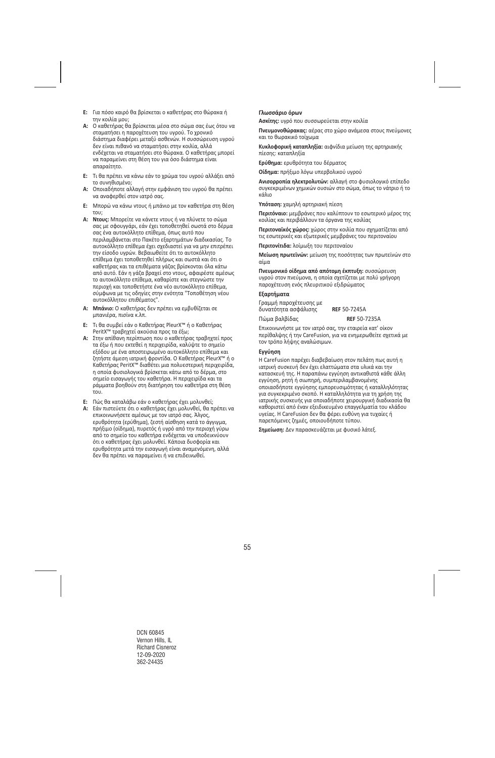- **Ε:** Για πόσο καιρό θα βρίσκεται ο καθετήρας στο θώρακα ή την κοιλία μου;
- **Α:** Ο καθετήρας θα βρίσκεται μέσα στο σώμα σας έως ότου να σταματήσει η παροχέτευση του υγρού. Το χρονικό διάστημα διαφέρει μεταξύ ασθενών. Η συσσώρευση υγρού δεν είναι πιθανό να σταματήσει στην κοιλία, αλλά ενδέχεται να σταματήσει στο θώρακα. Ο καθετήρας μπορεί να παραμείνει στη θέση του για όσο διάστημα είναι απαραίτητο.
- **Ε:** Τι θα πρέπει να κάνω εάν το χρώμα του υγρού αλλάξει από το συνηθισμένο;
- **Α:** Οποιαδήποτε αλλαγή στην εμφάνιση του υγρού θα πρέπει να αναφερθεί στον ιατρό σας.
- **Ε:** Μπορώ να κάνω ντους ή μπάνιο με τον καθετήρα στη θέση του;
- **Α: Ντους:** Μπορείτε να κάνετε ντους ή να πλύνετε το σώμα σας με σφουγγάρι, εάν έχει τοποθετηθεί σωστά στο δέρμα σας ένα αυτοκόλλητο επίθεμα, όπως αυτό που περιλαμβάνεται στο Πακέτο εξαρτημάτων διαδικασίας. Το αυτοκόλλητο επίθεμα έχει σχεδιαστεί για να μην επιτρέπει την είσοδο υγρών. Βεβαιωθείτε ότι το αυτοκόλλητο επίθεμα έχει τοποθετηθεί πλήρως και σωστά και ότι ο καθετήρας και τα επιθέματα γάζας βρίσκονται όλα κάτω από αυτό. Εάν η γάζα βραχεί στο ντους, αφαιρέστε αμέσως το αυτοκόλλητο επίθεμα, καθαρίστε και στεγνώστε την περιοχή και τοποθετήστε ένα νέο αυτοκόλλητο επίθεμα, σύμφωνα με τις οδηγίες στην ενότητα "Τοποθέτηση νέου αυτοκόλλητου επιθέματος".
- **Α: Μπάνιο:** Ο καθετήρας δεν πρέπει να εμβυθίζεται σε μπανιέρα, πισίνα κ.λπ.
- **Ε:** Τι θα συμβεί εάν ο Καθετήρας PleurX™ ή ο Καθετήρας PeritX™ τραβηχτεί ακούσια προς τα έξω;
- **Α:** Στην απίθανη περίπτωση που ο καθετήρας τραβηχτεί προς τα έξω ή που εκτεθεί η περιχειρίδα, καλύψτε το σημείο εξόδου με ένα αποστειρωμένο αυτοκόλλητο επίθεμα και ζητήστε άμεση ιατρική φροντίδα. Ο Καθετήρας PleurX™ ή ο Καθετήρας PeritX™ διαθέτει μια πολυεστερική περιχειρίδα, η οποία φυσιολογικά βρίσκεται κάτω από το δέρμα, στο σημείο εισαγωγής του καθετήρα. Η περιχειρίδα και τα ράμματα βοηθούν στη διατήρηση του καθετήρα στη θέση του.
- **Ε:** Πώς θα καταλάβω εάν ο καθετήρας έχει μολυνθεί;
- **Α:** Εάν πιστεύετε ότι ο καθετήρας έχει μολυνθεί, θα πρέπει να επικοινωνήσετε αμέσως με τον ιατρό σας. Άλγος, ερυθρότητα (ερύθημα), ζεστή αίσθηση κατά το άγγιγμα, πρήξιμο (οίδημα), πυρετός ή υγρό από την περιοχή γύρω από το σημείο του καθετήρα ενδέχεται να υποδεικνύουν ότι ο καθετήρας έχει μολυνθεί. Κάποια δυσφορία και ερυθρότητα μετά την εισαγωγή είναι αναμενόμενη, αλλά δεν θα πρέπει να παραμείνει ή να επιδεινωθεί.

#### **Γλωσσάριο όρων**

**Ασκίτης:** υγρό που συσσωρεύεται στην κοιλία

**Πνευμονοθώρακας:** αέρας στο χώρο ανάμεσα στους πνεύμονες και το θωρακικό τοίχωμα

**Κυκλοφορική καταπληξία:** αιφνίδια μείωση της αρτηριακής πίεσης: καταπληξία

**Ερύθημα:** ερυθρότητα του δέρματος

**Οίδημα:** πρήξιμο λόγω υπερβολικού υγρού

**Ανισορροπία ηλεκτρολυτών:** αλλαγή στο φυσιολογικό επίπεδο συγκεκριμένων χημικών ουσιών στο σώμα, όπως το νάτριο ή το κάλιο

**Υπόταση:** χαμηλή αρτηριακή πίεση

**Περιτόναιο:** μεμβράνες που καλύπτουν το εσωτερικό μέρος της κοιλίας και περιβάλλουν τα όργανα της κοιλίας

**Περιτοναϊκός χώρος:** χώρος στην κοιλία που σχηματίζεται από τις εσωτερικές και εξωτερικές μεμβράνες του περιτοναίου

**Περιτονίτιδα:** λοίμωξη του περιτοναίου

**Μείωση πρωτεϊνών:** μείωση της ποσότητας των πρωτεϊνών στο αίμα

**Πνευμονικό οίδημα από απότομη έκπτυξη:** συσσώρευση υγρού στον πνεύμονα, η οποία σχετίζεται με πολύ γρήγορη παροχέτευση ενός πλευριτικού εξιδρώματος

#### **Εξαρτήματα**

| Γραμμή παροχέτευσης με |                     |
|------------------------|---------------------|
| δυνατότητα ασφάλισης   | <b>REF 50-7245A</b> |
| Πώμα βαλβίδας          | <b>REF 50-7235A</b> |

Επικοινωνήστε με τον ιατρό σας, την εταιρεία κατ' οίκον περίθαλψης ή την CareFusion, για να ενημερωθείτε σχετικά με τον τρόπο λήψης αναλώσιμων.

#### **Εγγύηση**

Η CareFusion παρέχει διαβεβαίωση στον πελάτη πως αυτή η ιατρική συσκευή δεν έχει ελαττώματα στα υλικά και την κατασκευή της. Η παραπάνω εγγύηση αντικαθιστά κάθε άλλη εγγύηση, ρητή ή σιωπηρή, συμπεριλαμβανομένης οποιασδήποτε εγγύησης εμπορευσιμότητας ή καταλληλότητας για συγκεκριμένο σκοπό. Η καταλληλότητα για τη χρήση της ιατρικής συσκευής για οποιαδήποτε χειρουργική διαδικασία θα καθοριστεί από έναν εξειδικευμένο επαγγελματία του κλάδου υγείας. Η CareFusion δεν θα φέρει ευθύνη για τυχαίες ή παρεπόμενες ζημιές, οποιουδήποτε τύπου.

**Σημείωση:** Δεν παρασκευάζεται με φυσικό λάτεξ.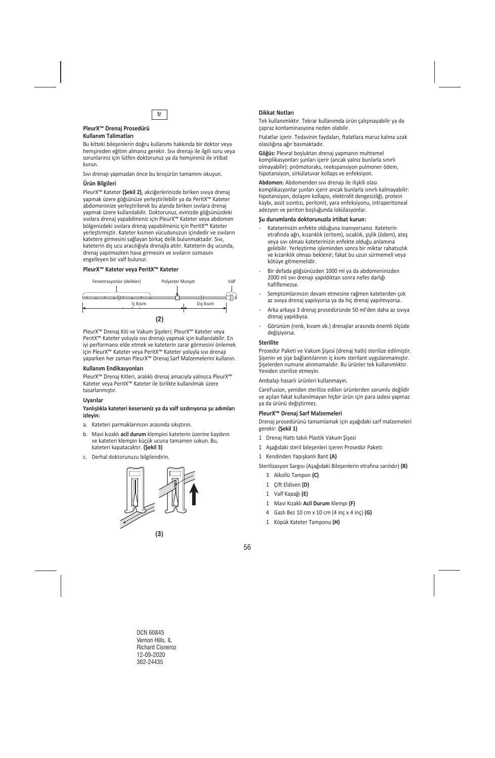

#### **PleurX™ Drenaj Prosedürü Kullanım Talimatları**

Bu kitteki bileşenlerin doğru kullanımı hakkında bir doktor veya hemşireden eğitim almanız gerekir. Sıvı drenajı ile ilgili soru veya sorunlarınız için lütfen doktorunuz ya da hemşireniz ile irtibat kurun.

Sıvı drenajı yapmadan önce bu broşürün tamamını okuyun.

#### **Ürün Bilgileri**

PleurX™ Kateter **(Şekil 2)**, akciğerlerinizde biriken sıvıya drenaj yapmak üzere göğsünüze yerleştirilebilir ya da PeritX™ Kateter abdomeninize yerleştirilerek bu alanda biriken sıvılara drenaj yapmak üzere kullanılabilir. Doktorunuz, evinizde göğsünüzdeki sıvılara drenaj yapabilmeniz için PleurX™ Kateter veya abdomen bölgenizdeki sıvılara drenaj yapabilmeniz için PeritX™ Kateter yerleştirmiştir. Kateter kısmen vücudunuzun içindedir ve sıvıların katetere girmesini sağlayan birkaç delik bulunmaktadır. Sıvı, kateterin dış ucu aracılığıyla drenajla atılır. Kateterin dış ucunda, drenaj yapılmazken hava girmesini ve sıvıların sızmasını engelleyen bir valf bulunur.

#### **PleurX™ Kateter veya PeritX™ Kateter**



PleurX™ Drenaj Kiti ve Vakum Şişeleri; PleurX™ Kateter veya PeritX™ Kateter yoluyla sıvı drenajı yapmak için kullanılabilir. En iyi performansı elde etmek ve kateterin zarar görmesini önlemek için PleurX™ Kateter veya PeritX™ Kateter yoluyla sıvı drenajı yaparken her zaman PleurX™ Drenaj Sarf Malzemelerini kullanın.

#### **Kullanım Endikasyonları**

PleurX™ Drenaj Kitleri, aralıklı drenaj amacıyla yalnızca PleurX™ Kateter veya PeritX™ Kateter ile birlikte kullanılmak üzere tasarlanmıştır.

#### **Uyarılar**

#### **Yanlışlıkla kateteri keserseniz ya da valf sızdırıyorsa şu adımları izleyin:**

- a. Kateteri parmaklarınızın arasında sıkıştırın.
- b. Mavi kızaklı **acil durum** klempini kateterin üzerine kaydırın ve kateteri klempin küçük ucuna tamamen sokun. Bu, kateteri kapatacaktır. **(Şekil 3)**
- c. Derhal doktorunuzu bilgilendirin.



## tr **Dikkat Notları**

Tek kullanımlıktır. Tekrar kullanımda ürün çalışmayabilir ya da çapraz kontaminasyona neden olabilir.

Ftalatlar içerir. Tedavinin faydaları, ftalatlara maruz kalma uzak olasılığına ağır basmaktadır.

**Göğüs:** Plevral boşluktan drenaj yapmanın muhtemel komplikasyonları şunları içerir (ancak yalnız bunlarla sınırlı olmayabilir): pnömotoraks, reekspansiyon pulmoner ödem, hipotansiyon, sirkülatuvar kollaps ve enfeksiyon.

**Abdomen:** Abdomenden sıvı drenajı ile ilişkili olası komplikasyonlar şunları içerir ancak bunlarla sınırlı kalmayabilir: hipotansiyon, dolaşım kollapsı, elektrolit dengesizliği, protein kaybı, assit sızıntısı, peritonit, yara enfeksiyonu, intraperitoneal adezyon ve periton boşluğunda lokülasyonlar.

#### **Şu durumlarda doktorunuzla irtibat kurun:**

- ‐ Kateterinizin enfekte olduğuna inanıyorsanız. Kateterin etrafında ağrı, kızarıklık (eritem), sıcaklık, şişlik (ödem), ateş veya sıvı olması kateterinizin enfekte olduğu anlamına gelebilir. Yerleştirme işleminden sonra bir miktar rahatsızlık ve kızarıklık olması beklenir; fakat bu uzun sürmemeli veya kötüye gitmemelidir.
- ‐ Bir defada göğsünüzden 1000 ml ya da abdomeninizden 2000 ml sıvı drenajı yapıldıktan sonra nefes darlığı hafiflemezse.
- ‐ Semptomlarınızın devam etmesine rağmen kateterden çok az sıvıya drenaj yapılıyorsa ya da hiç drenaj yapılmıyorsa.
- ‐ Arka arkaya 3 drenaj prosedüründe 50 ml'den daha az sıvıya drenaj yapıldıysa.
- ‐ Görünüm (renk, kıvam vb.) drenajlar arasında önemli ölçüde değişiyorsa.

#### **Sterilite**

Prosedür Paketi ve Vakum Şişesi (drenaj hatlı) sterilize edilmiştir. Şişenin ve şişe bağlantılarının iç kısmı sterilant uygulanmamıştır. Şişelerden numune alınmamalıdır. Bu ürünler tek kullanımlıktır. Yeniden sterilize etmeyin.

Ambalajı hasarlı ürünleri kullanmayın.

CareFusion, yeniden sterilize edilen ürünlerden sorumlu değildir ve açılan fakat kullanılmayan hiçbir ürün için para iadesi yapmaz ya da ürünü değiştirmez.

#### **PleurX™ Drenaj Sarf Malzemeleri**

Drenaj prosedürünü tamamlamak için aşağıdaki sarf malzemeleri gerekir: **(Şekil 1)** 

- 1 Drenaj Hattı takılı Plastik Vakum Şişesi
- 1 Aşağıdaki steril bileşenleri içeren Prosedür Paketi:
- 1 Kendinden Yapışkanlı Bant **(A)**

Sterilizasyon Sargısı (Aşağıdaki Bileşenlerin etrafına sarılıdır) **(B)** 

- 3 Alkollü Tampon **(C)**
- 1 Çift Eldiven **(D)**
- 1 Valf Kapağı **(E)**
- 1 Mavi Kızaklı **Acil Durum** Klempi **(F)**
- 4 Gazlı Bez 10 cm x 10 cm (4 inç x 4 inç) **(G)**
- 1 Köpük Kateter Tamponu **(H)**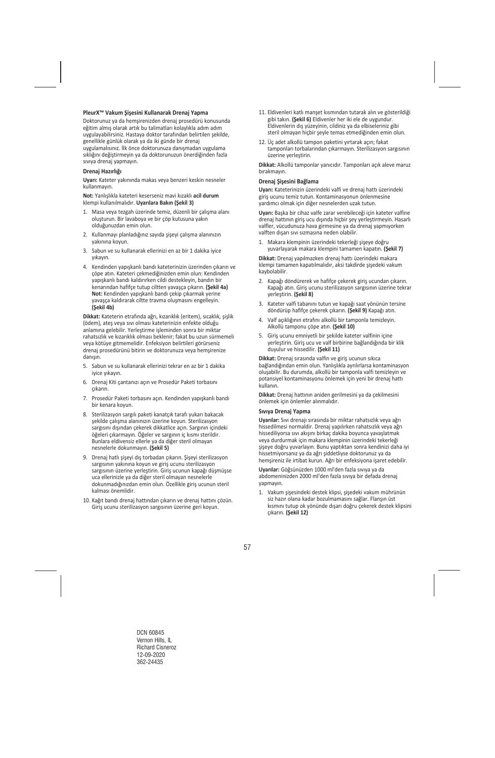#### **PleurX™ Vakum Şişesini Kullanarak Drenaj Yapma**

Doktorunuz ya da hemşirenizden drenaj prosedürü konusunda eğitim almış olarak artık bu talimatları kolaylıkla adım adım uygulayabilirsiniz. Hastaya doktor tarafından belirtilen şekilde, genellikle günlük olarak ya da iki günde bir drenaj uygulamalısınız. İlk önce doktorunuza danışmadan uygulama sıklığını değiştirmeyin ya da doktorunuzun önerdiğinden fazla sıvıya drenaj yapmayın.

#### **Drenaj Hazırlığı**

**Uyarı:** Kateter yakınında makas veya benzeri keskin nesneler kullanmayın.

**Not:** Yanlışlıkla kateteri keserseniz mavi kızaklı **acil durum** klempi kullanılmalıdır. **Uyarılara Bakın (Şekil 3)** 

- 1. Masa veya tezgah üzerinde temiz, düzenli bir çalışma alanı oluşturun. Bir lavaboya ve bir çöp kutusuna yakın olduğunuzdan emin olun.
- 2. Kullanmayı planladığınız sayıda şişeyi çalışma alanınızın yakınına koyun.
- 3. Sabun ve su kullanarak ellerinizi en az bir 1 dakika iyice yıkayın.
- 4. Kendinden yapışkanlı bandı kateterinizin üzerinden çıkarın ve çöpe atın. Kateteri çekmediğinizden emin olun: Kendinden yapışkanlı bandı kaldırırken cildi destekleyin, bandın bir kenarından hafifçe tutup ciltten yavaşça çıkarın. **(Şekil 4a) Not:** Kendinden yapışkanlı bandı çekip çıkarmak yerine yavaşça kaldırarak ciltte travma oluşmasını engelleyin. **(Şekil 4b)**

**Dikkat:** Kateterin etrafında ağrı, kızarıklık (eritem), sıcaklık, şişlik (ödem), ateş veya sıvı olması kateterinizin enfekte olduğu anlamına gelebilir. Yerleştirme işleminden sonra bir miktar rahatsızlık ve kızarıklık olması beklenir; fakat bu uzun sürmemeli veya kötüye gitmemelidir. Enfeksiyon belirtileri görürseniz drenaj prosedürünü bitirin ve doktorunuza veya hemşirenize danışın.

- 5. Sabun ve su kullanarak ellerinizi tekrar en az bir 1 dakika iyice yıkayın.
- 6. Drenaj Kiti çantanızı açın ve Prosedür Paketi torbasını çıkarın.
- 7. Prosedür Paketi torbasını açın. Kendinden yapışkanlı bandı bir kenara koyun.
- 8. Sterilizasyon sargılı paketi kanatçık tarafı yukarı bakacak şekilde çalışma alanınızın üzerine koyun. Sterilizasyon sargısını dışından çekerek dikkatlice açın. Sargının içindeki öğeleri çıkarmayın. Öğeler ve sargının iç kısmı sterildir. Bunlara eldivensiz ellerle ya da diğer steril olmayan nesnelerle dokunmayın. **(Şekil 5)**
- 9. Drenaj hatlı şişeyi dış torbadan çıkarın. Şişeyi sterilizasyon sargısının yakınına koyun ve giriş ucunu sterilizasyon sargısının üzerine yerleştirin. Giriş ucunun kapağı düşmüşse uca ellerinizle ya da diğer steril olmayan nesnelerle dokunmadığınızdan emin olun. Özellikle giriş ucunun steril kalması önemlidir.
- 10. Kağıt bandı drenaj hattından çıkarın ve drenaj hattını çözün. Giriş ucunu sterilizasyon sargısının üzerine geri koyun.
- 11. Eldivenleri katlı manşet kısmından tutarak alın ve gösterildiği gibi takın. **(Şekil 6)** Eldivenler her iki ele de uygundur. Eldivenlerin dış yüzeyinin, cildiniz ya da elbiseleriniz gibi steril olmayan hiçbir şeyle temas etmediğinden emin olun.
- 12. Üç adet alkollü tampon paketini yırtarak açın; fakat tamponları torbalarından çıkarmayın. Sterilizasyon sargısının üzerine yerleştirin.

**Dikkat:** Alkollü tamponlar yanıcıdır. Tamponları açık aleve maruz bırakmayın.

#### **Drenaj Şişesini Bağlama**

**Uyarı:** Kateterinizin üzerindeki valfi ve drenaj hattı üzerindeki giriş ucunu temiz tutun. Kontaminasyonun önlenmesine yardımcı olmak için diğer nesnelerden uzak tutun.

**Uyarı:** Başka bir cihaz valfe zarar verebileceği için kateter valfine drenaj hattının giriş ucu dışında hiçbir şey yerleştirmeyin. Hasarlı valfler, vücudunuza hava girmesine ya da drenaj yapmıyorken valften dışarı sıvı sızmasına neden olabilir.

1. Makara klempinin üzerindeki tekerleği şişeye doğru yuvarlayarak makara klempini tamamen kapatın. **(Şekil 7)** 

**Dikkat:** Drenaj yapılmazken drenaj hattı üzerindeki makara klempi tamamen kapatılmalıdır, aksi takdirde şişedeki vakum kaybolabilir.

- 2. Kapağı döndürerek ve hafifçe çekerek giriş ucundan çıkarın. Kapağı atın. Giriş ucunu sterilizasyon sargısının üzerine tekrar yerleştirin. **(Şekil 8)**
- 3. Kateter valfi tabanını tutun ve kapağı saat yönünün tersine döndürüp hafifçe çekerek çıkarın. **(Şekil 9)** Kapağı atın.
- 4. Valf açıklığının etrafını alkollü bir tamponla temizleyin. Alkollü tamponu çöpe atın. **(Şekil 10)**
- 5. Giriş ucunu emniyetli bir şekilde kateter valfinin içine yerleştirin. Giriş ucu ve valf birbirine bağlandığında bir klik duyulur ve hissedilir. **(Şekil 11)**

**Dikkat:** Drenaj sırasında valfin ve giriş ucunun sıkıca bağlandığından emin olun. Yanlışlıkla ayrılırlarsa kontaminasyon oluşabilir. Bu durumda, alkollü bir tamponla valfi temizleyin ve potansiyel kontaminasyonu önlemek için yeni bir drenaj hattı kullanın.

**Dikkat:** Drenaj hattının aniden gerilmesini ya da çekilmesini önlemek için önlemler alınmalıdır.

#### **Sıvıya Drenaj Yapma**

**Uyarılar:** Sıvı drenajı sırasında bir miktar rahatsızlık veya ağrı hissedilmesi normaldir. Drenaj yapılırken rahatsızlık veya ağrı hissediliyorsa sıvı akışını birkaç dakika boyunca yavaşlatmak veya durdurmak için makara klempinin üzerindeki tekerleği şişeye doğru yuvarlayın. Bunu yaptıktan sonra kendinizi daha iyi hissetmiyorsanız ya da ağrı şiddetliyse doktorunuz ya da hemşireniz ile irtibat kurun. Ağrı bir enfeksiyona işaret edebilir.

**Uyarılar:** Göğsünüzden 1000 ml'den fazla sıvıya ya da abdomeninizden 2000 ml'den fazla sıvıya bir defada drenaj yapmayın.

1. Vakum şişesindeki destek klipsi, şişedeki vakum mührünün siz hazır olana kadar bozulmamasını sağlar. Flanşın üst kısmını tutup ok yönünde dışarı doğru çekerek destek klipsini çıkarın. **(Şekil 12)**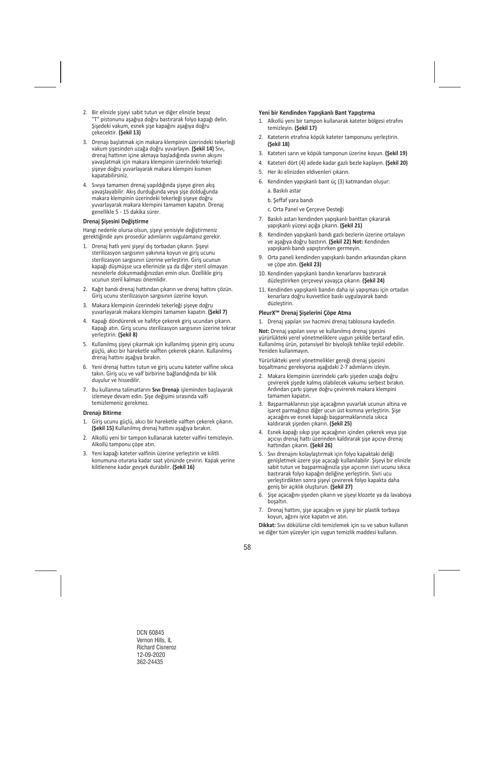- 2. Bir elinizle şişeyi sabit tutun ve diğer elinizle beyaz "T" pistonunu aşağıya doğru bastırarak folyo kapağı delin. Şişedeki vakum, esnek şişe kapağını aşağıya doğru çekecektir. **(Şekil 13)**
- 3. Drenajı başlatmak için makara klempinin üzerindeki tekerleği vakum şişesinden uzağa doğru yuvarlayın. **(Şekil 14)** Sıvı, drenaj hattının içine akmaya başladığında sıvının akışını yavaşlatmak için makara klempinin üzerindeki tekerleği şişeye doğru yuvarlayarak makara klempini kısmen kapatabilirsiniz.
- 4. Sıvıya tamamen drenaj yapıldığında şişeye giren akış yavaşlayabilir. Akış durduğunda veya şişe dolduğunda makara klempinin üzerindeki tekerleği şişeye doğru yuvarlayarak makara klempini tamamen kapatın. Drenaj genellikle 5 ‐ 15 dakika sürer.

#### **Drenaj Şişesini Değiştirme**

Hangi nedenle olursa olsun, şişeyi yenisiyle değiştirmeniz gerektiğinde aynı prosedür adımlarını uygulamanız gerekir.

- 1. Drenaj hatlı yeni şişeyi dış torbadan çıkarın. Şişeyi sterilizasyon sargısının yakınına koyun ve giriş ucunu sterilizasyon sargısının üzerine yerleştirin. Giriş ucunun kapağı düşmüşse uca ellerinizle ya da diğer steril olmayan nesnelerle dokunmadığınızdan emin olun. Özellikle giriş ucunun steril kalması önemlidir.
- 2. Kağıt bandı drenaj hattından çıkarın ve drenaj hattını çözün. Giriş ucunu sterilizasyon sargısının üzerine koyun.
- 3. Makara klempinin üzerindeki tekerleği şişeye doğru yuvarlayarak makara klempini tamamen kapatın. **(Şekil 7)**
- 4. Kapağı döndürerek ve hafifçe çekerek giriş ucundan çıkarın. Kapağı atın. Giriş ucunu sterilizasyon sargısının üzerine tekrar yerleştirin. **(Şekil 8)**
- 5. Kullanılmış şişeyi çıkarmak için kullanılmış şişenin giriş ucunu güçlü, akıcı bir hareketle valften çekerek çıkarın. Kullanılmış drenaj hattını aşağıya bırakın.
- 6. Yeni drenaj hattını tutun ve giriş ucunu kateter valfine sıkıca takın. Giriş ucu ve valf birbirine bağlandığında bir klik duyulur ve hissedilir.
- 7. Bu kullanma talimatlarını **Sıvı Drenajı** işleminden başlayarak izlemeye devam edin. Şişe değişimi sırasında valfi temizlemeniz gerekmez.

#### **Drenajı Bitirme**

- 1. Giriş ucunu güçlü, akıcı bir hareketle valften çekerek çıkarın. **(Şekil 15)** Kullanılmış drenaj hattını aşağıya bırakın.
- 2. Alkollü yeni bir tampon kullanarak kateter valfini temizleyin. Alkollü tamponu çöpe atın.
- 3. Yeni kapağı kateter valfinin üzerine yerleştirin ve kilitli konumuna oturana kadar saat yönünde çevirin. Kapak yerine kilitlenene kadar gevşek durabilir. **(Şekil 16)**

## **Yeni bir Kendinden Yapışkanlı Bant Yapıştırma**

- 1. Alkollü yeni bir tampon kullanarak kateter bölgesi etrafını temizleyin. **(Şekil 17)**
- 2. Kateterin etrafına köpük kateter tamponunu yerleştirin. **(Şekil 18)**
- 3. Kateteri sarın ve köpük tamponun üzerine koyun. **(Şekil 19)**
- 4. Kateteri dört (4) adede kadar gazlı bezle kaplayın. **(Şekil 20)**
- 5. Her iki elinizden eldivenleri çıkarın.
- 6. Kendinden yapışkanlı bant üç (3) katmandan oluşur:
	- a. Baskılı astar
	- b. Şeffaf yara bandı
	- c. Orta Panel ve Çerçeve Desteği
- 7. Baskılı astarı kendinden yapışkanlı banttan çıkararak yapışkanlı yüzeyi açığa çıkarın. **(Şekil 21)**
- 8. Kendinden yapışkanlı bandı gazlı bezlerin üzerine ortalayın ve aşağıya doğru bastırın. **(Şekil 22) Not:** Kendinden yapışkanlı bandı yapıştırırken germeyin.
- 9. Orta paneli kendinden yapışkanlı bandın arkasından çıkarın ve çöpe atın. **(Şekil 23)**
- 10. Kendinden yapışkanlı bandın kenarlarını bastırarak düzleştirirken çerçeveyi yavaşça çıkarın. **(Şekil 24)**
- 11. Kendinden yapışkanlı bandın daha iyi yapışması için ortadan kenarlara doğru kuvvetlice baskı uygulayarak bandı düzleştirin.

#### **PleurX™ Drenaj Şişelerini Çöpe Atma**

1. Drenaj yapılan sıvı hacmini drenaj tablosuna kaydedin.

**Not:** Drenaj yapılan sıvıyı ve kullanılmış drenaj şişesini yürürlükteki yerel yönetmeliklere uygun şekilde bertaraf edin. Kullanılmış ürün, potansiyel bir biyolojik tehlike teşkil edebilir. Yeniden kullanmayın.

Yürürlükteki yerel yönetmelikler gereği drenaj şişesini boşaltmanız gerekiyorsa aşağıdaki 2‐7 adımlarını izleyin.

- 2. Makara klempinin üzerindeki çarkı şişeden uzağa doğru çevirerek şişede kalmış olabilecek vakumu serbest bırakın. Ardından çarkı şişeye doğru çevirerek makara klempini tamamen kapatın.
- 3. Başparmaklarınızı şişe açacağının yuvarlak ucunun altına ve işaret parmağınızı diğer ucun üst kısmına yerleştirin. Şişe açacağını ve esnek kapağı başparmaklarınızla sıkıca kaldırarak şişeden çıkarın. **(Şekil 25)**
- 4. Esnek kapağı sıkıp şişe açacağının içinden çekerek veya şişe açıcıyı drenaj hattı üzerinden kaldırarak şişe açıcıyı drenaj hattından çıkarın. **(Şekil 26)**
- 5. Sıvı drenajını kolaylaştırmak için folyo kapaktaki deliği genişletmek üzere şişe açacağı kullanılabilir. Şişeyi bir elinizle sabit tutun ve başparmağınızla şişe açıcının sivri ucunu sıkıca bastırarak folyo kapağın deliğine yerleştirin. Sivri ucu yerleştirdikten sonra şişeyi çevirerek folyo kapakta daha geniş bir açıklık oluşturun. **(Şekil 27)**
- 6. Şişe açacağını şişeden çıkarın ve şişeyi klozete ya da lavaboya boşaltın.
- 7. Drenaj hattını, şişe açacağını ve şişeyi bir plastik torbaya koyun, ağzını iyice kapatın ve atın.

**Dikkat:** Sıvı dökülürse cildi temizlemek için su ve sabun kullanın ve diğer tüm yüzeyler için uygun temizlik maddesi kullanın.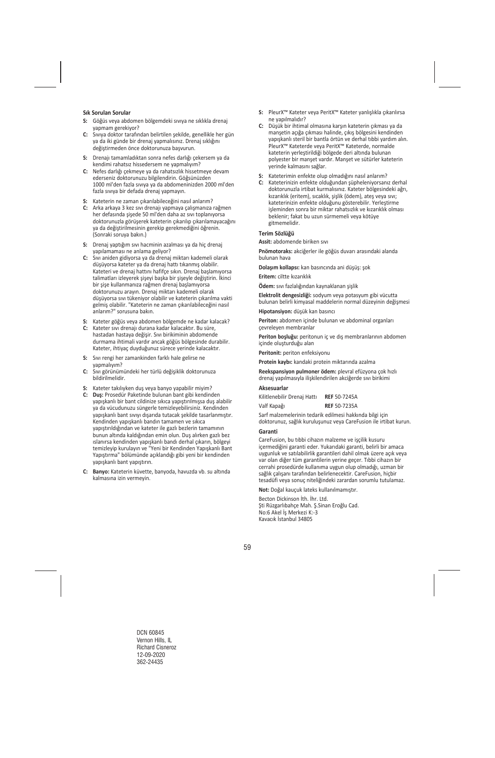#### **Sık Sorulan Sorular**

- **S:** Göğüs veya abdomen bölgemdeki sıvıya ne sıklıkla drenaj yapmam gerekiyor?
- **C:** Sıvıya doktor tarafından belirtilen şekilde, genellikle her gün ya da iki günde bir drenaj yapmalısınız. Drenaj sıklığını değiştirmeden önce doktorunuza başvurun.
- **S:** Drenajı tamamladıktan sonra nefes darlığı çekersem ya da kendimi rahatsız hissedersem ne yapmalıyım?
- **C:** Nefes darlığı çekmeye ya da rahatsızlık hissetmeye devam ederseniz doktorunuzu bilgilendirin. Göğsünüzden 1000 ml'den fazla sıvıya ya da abdomeninizden 2000 ml'den fazla sıvıya bir defada drenaj yapmayın.
- **S:** Kateterin ne zaman çıkarılabileceğini nasıl anlarım?
- **C:** Arka arkaya 3 kez sıvı drenajı yapmaya çalışmanıza rağmen her defasında şişede 50 ml'den daha az sıvı toplanıyorsa doktorunuzla görüşerek kateterin çıkarılıp çıkarılamayacağını ya da değiştirilmesinin gerekip gerekmediğini öğrenin. (Sonraki soruya bakın.)
- **S:** Drenaj yaptığım sıvı hacminin azalması ya da hiç drenaj yapılamaması ne anlama geliyor?
- **C:** Sıvı aniden gidiyorsa ya da drenaj miktarı kademeli olarak düşüyorsa kateter ya da drenaj hattı tıkanmış olabilir. Kateteri ve drenaj hattını hafifçe sıkın. Drenaj başlamıyorsa talimatları izleyerek şişeyi başka bir şişeyle değiştirin. İkinci bir şişe kullanmanıza rağmen drenaj başlamıyorsa doktorunuzu arayın. Drenaj miktarı kademeli olarak düşüyorsa sıvı tükeniyor olabilir ve kateterin çıkarılma vakti gelmiş olabilir. "Kateterin ne zaman çıkarılabileceğini nasıl anlarım?" sorusuna bakın.
- **S:** Kateter göğüs veya abdomen bölgemde ne kadar kalacak?
- **C:** Kateter sıvı drenajı durana kadar kalacaktır. Bu süre, hastadan hastaya değişir. Sıvı birikiminin abdomende durmama ihtimali vardır ancak göğüs bölgesinde durabilir. Kateter, ihtiyaç duyduğunuz sürece yerinde kalacaktır.
- **S:** Sıvı rengi her zamankinden farklı hale gelirse ne yapmalıyım?
- **C:** Sıvı görünümündeki her türlü değişiklik doktorunuza bildirilmelidir.
- **S:** Kateter takılıyken duş veya banyo yapabilir miyim?
- **C: Duş:** Prosedür Paketinde bulunan bant gibi kendinden yapışkanlı bir bant cildinize sıkıca yapıştırılmışsa duş alabilir ya da vücudunuzu süngerle temizleyebilirsiniz. Kendinden yapışkanlı bant sıvıyı dışarıda tutacak şekilde tasarlanmıştır. Kendinden yapışkanlı bandın tamamen ve sıkıca yapıştırıldığından ve kateter ile gazlı bezlerin tamamının bunun altında kaldığından emin olun. Duş alırken gazlı bez ıslanırsa kendinden yapışkanlı bandı derhal çıkarın, bölgeyi temizleyip kurulayın ve "Yeni bir Kendinden Yapışkanlı Bant Yapıştırma" bölümünde açıklandığı gibi yeni bir kendinden yapışkanlı bant yapıştırın.
- **C: Banyo:** Kateterin küvette, banyoda, havuzda vb. su altında kalmasına izin vermeyin.
- **S:** PleurX™ Kateter veya PeritX™ Kateter yanlışlıkla çıkarılırsa ne yapılmalıdır?
- **C:** Düşük bir ihtimal olmasına karşın kateterin çıkması ya da manşetin açığa çıkması halinde, çıkış bölgesini kendinden yapışkanlı steril bir bantla örtün ve derhal tıbbi yardım alın. PleurX™ Kateterde veya PeritX™ Kateterde, normalde kateterin yerleştirildiği bölgede deri altında bulunan polyester bir manşet vardır. Manşet ve sütürler kateterin yerinde kalmasını sağlar.
- **S:** Kateterimin enfekte olup olmadığını nasıl anlarım?
- **C:** Kateterinizin enfekte olduğundan şüpheleniyorsanız derhal doktorunuzla irtibat kurmalısınız. Kateter bölgesindeki ağrı, kızarıklık (eritem), sıcaklık, şişlik (ödem), ateş veya sıvı; kateterinizin enfekte olduğunu gösterebilir. Yerleştirme işleminden sonra bir miktar rahatsızlık ve kızarıklık olması beklenir; fakat bu uzun sürmemeli veya kötüye gitmemelidir.

#### **Terim Sözlüğü**

**Assit:** abdomende biriken sıvı

**Pnömotoraks:** akciğerler ile göğüs duvarı arasındaki alanda bulunan hava

**Dolaşım kollapsı:** kan basıncında ani düşüş: şok

**Eritem:** ciltte kızarıklık

**Ödem:** sıvı fazlalığından kaynaklanan şişlik

**Elektrolit dengesizliği:** sodyum veya potasyum gibi vücutta bulunan belirli kimyasal maddelerin normal düzeyinin değişmesi

**Hipotansiyon:** düşük kan basıncı

**Periton:** abdomen içinde bulunan ve abdominal organları çevreleyen membranlar

**Periton boşluğu:** peritonun iç ve dış membranlarının abdomen içinde oluşturduğu alan

**Peritonit:** periton enfeksiyonu

**Protein kaybı:** kandaki protein miktarında azalma

**Reekspansiyon pulmoner ödem:** plevral efüzyona çok hızlı drenaj yapılmasıyla ilişkilendirilen akciğerde sıvı birikimi

#### **Aksesuarlar**

| Kilitlenebilir Drenaj Hattı | <b>REF 50-7245A</b> |
|-----------------------------|---------------------|
| Valf Kapağı                 | <b>REF 50-7235A</b> |

Sarf malzemelerinin tedarik edilmesi hakkında bilgi için doktorunuz, sağlık kuruluşunuz veya CareFusion ile irtibat kurun.

#### **Garanti**

CareFusion, bu tıbbi cihazın malzeme ve işçilik kusuru içermediğini garanti eder. Yukarıdaki garanti, belirli bir amaca uygunluk ve satılabilirlik garantileri dahil olmak üzere açık veya var olan diğer tüm garantilerin yerine geçer. Tıbbi cihazın bir cerrahi prosedürde kullanıma uygun olup olmadığı, uzman bir sağlık çalışanı tarafından belirlenecektir. CareFusion, hiçbir tesadüfi veya sonuç niteliğindeki zarardan sorumlu tutulamaz.

**Not:** Doğal kauçuk lateks kullanılmamıştır.

Becton Dickinson İth. İhr. Ltd. Şti Rüzgarlıbahçe Mah. Ş.Sinan Eroğlu Cad. No:6 Akel İş Merkezi K:‐3 Kavacık İstanbul 34805